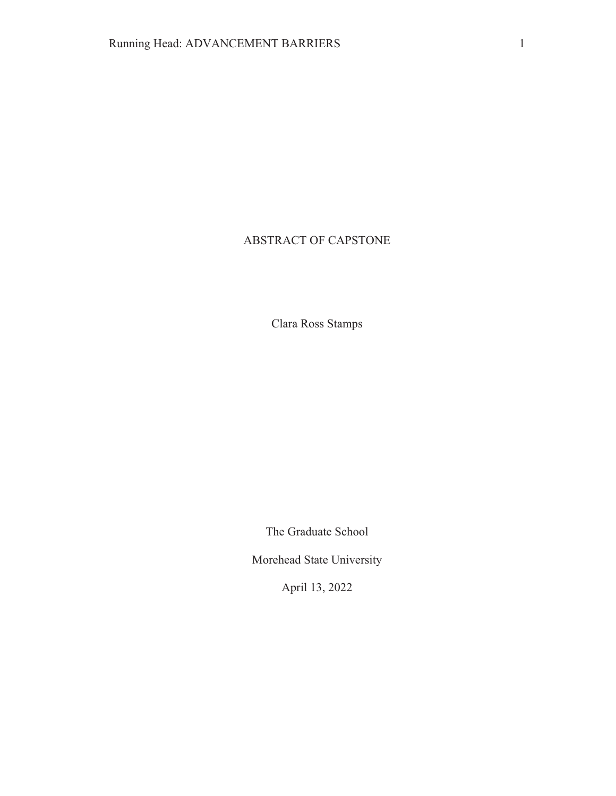# ABSTRACT OF CAPSTONE

Clara Ross Stamps

The Graduate School

Morehead State University

April 13, 2022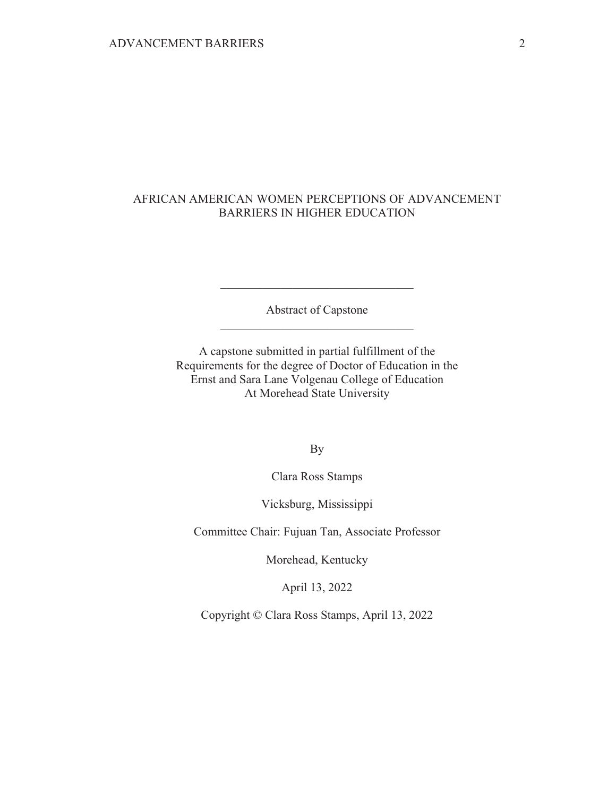## AFRICAN AMERICAN WOMEN PERCEPTIONS OF ADVANCEMENT **BARRIERS IN HIGHER EDUCATION**

Abstract of Capstone

A capstone submitted in partial fulfillment of the Requirements for the degree of Doctor of Education in the Ernst and Sara Lane Volgenau College of Education At Morehead State University

**By** 

Clara Ross Stamps

Vicksburg, Mississippi

Committee Chair: Fujuan Tan, Associate Professor

Morehead, Kentucky

April 13, 2022

Copyright © Clara Ross Stamps, April 13, 2022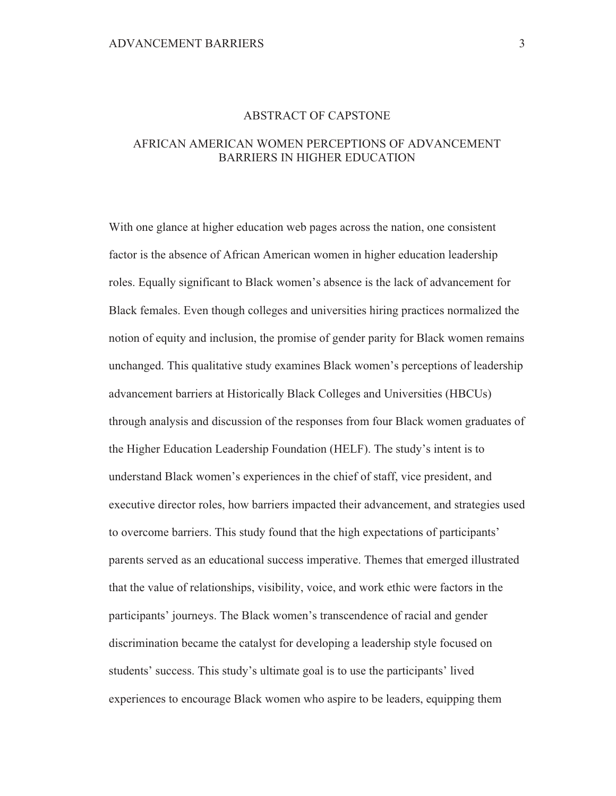### **ABSTRACT OF CAPSTONE**

## AFRICAN AMERICAN WOMEN PERCEPTIONS OF ADVANCEMENT BARRIERS IN HIGHER EDUCATION

With one glance at higher education web pages across the nation, one consistent factor is the absence of African American women in higher education leadership roles. Equally significant to Black women's absence is the lack of advancement for Black females. Even though colleges and universities hiring practices normalized the notion of equity and inclusion, the promise of gender parity for Black women remains unchanged. This qualitative study examines Black women's perceptions of leadership advancement barriers at Historically Black Colleges and Universities (HBCUs) through analysis and discussion of the responses from four Black women graduates of the Higher Education Leadership Foundation (HELF). The study's intent is to understand Black women's experiences in the chief of staff, vice president, and executive director roles, how barriers impacted their advancement, and strategies used to overcome barriers. This study found that the high expectations of participants' parents served as an educational success imperative. Themes that emerged illustrated that the value of relationships, visibility, voice, and work ethic were factors in the participants' journeys. The Black women's transcendence of racial and gender discrimination became the catalyst for developing a leadership style focused on students' success. This study's ultimate goal is to use the participants' lived experiences to encourage Black women who aspire to be leaders, equipping them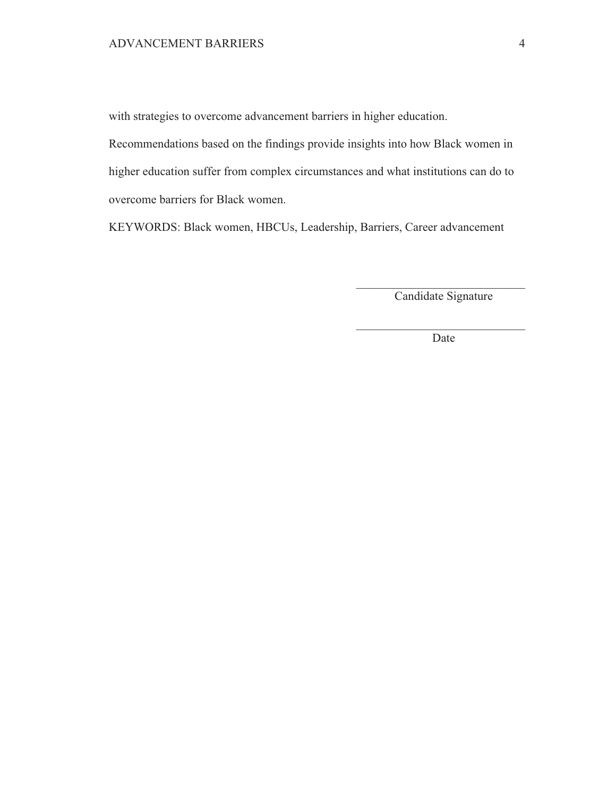with strategies to overcome advancement barriers in higher education.

Recommendations based on the findings provide insights into how Black women in higher education suffer from complex circumstances and what institutions can do to overcome barriers for Black women.

KEYWORDS: Black women, HBCUs, Leadership, Barriers, Career advancement

Candidate Signature

Date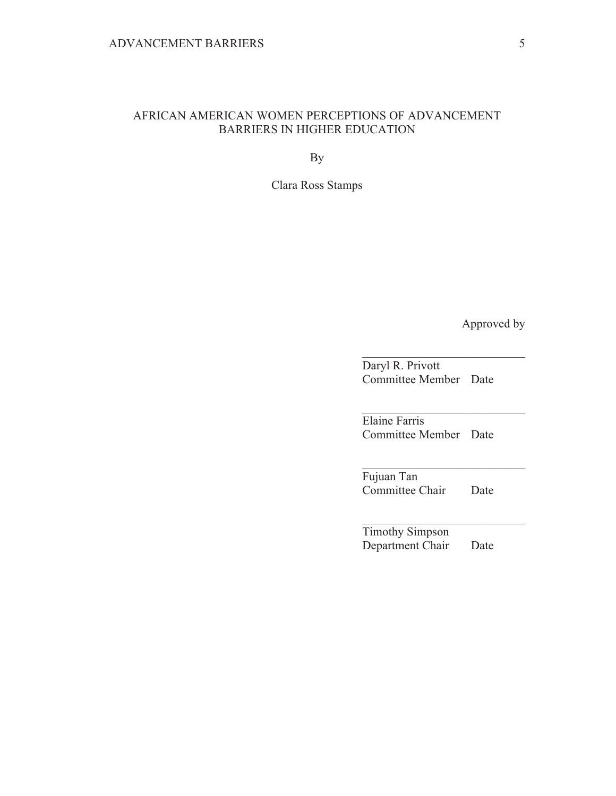## AFRICAN AMERICAN WOMEN PERCEPTIONS OF ADVANCEMENT **BARRIERS IN HIGHER EDUCATION**

**By** 

Clara Ross Stamps

Approved by

Daryl R. Privott Committee Member Date

Elaine Farris Committee Member Date

Fujuan Tan Committee Chair Date

Timothy Simpson Department Chair Date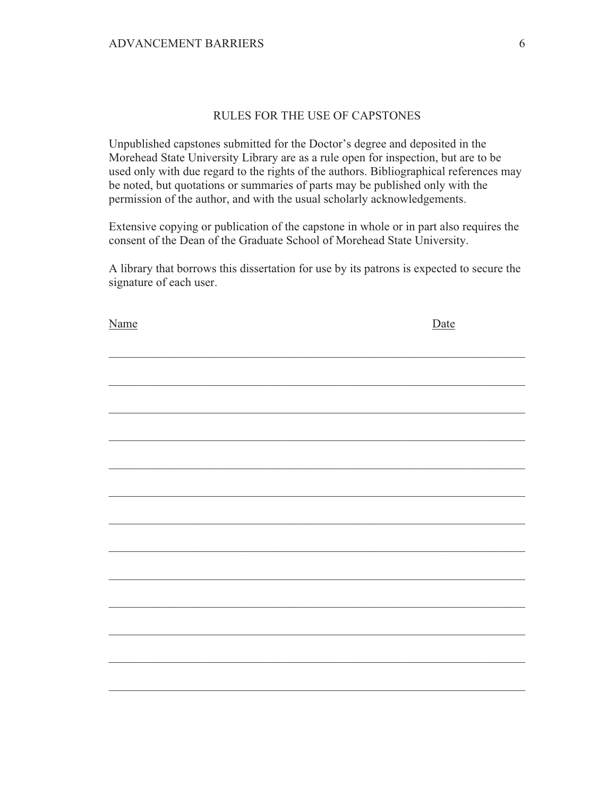## RULES FOR THE USE OF CAPSTONES

Unpublished capstones submitted for the Doctor's degree and deposited in the Morehead State University Library are as a rule open for inspection, but are to be used only with due regard to the rights of the authors. Bibliographical references may be noted, but quotations or summaries of parts may be published only with the permission of the author, and with the usual scholarly acknowledgements.

Extensive copying or publication of the capstone in whole or in part also requires the consent of the Dean of the Graduate School of Morehead State University.

A library that borrows this dissertation for use by its patrons is expected to secure the signature of each user.

| <b>Name</b> | Date |
|-------------|------|
|             |      |
|             |      |
|             |      |
|             |      |
|             |      |
|             |      |
|             |      |
|             |      |
|             |      |
|             |      |
|             |      |
|             |      |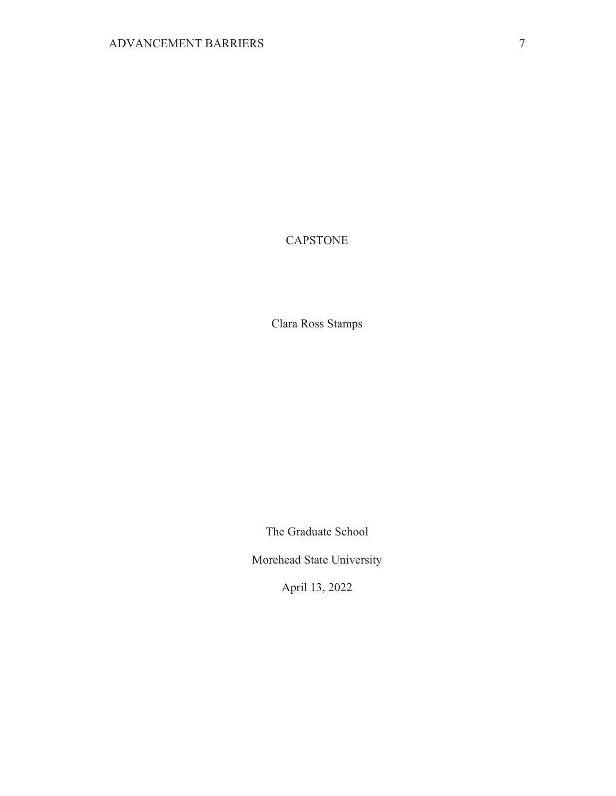# **CAPSTONE**

Clara Ross Stamps

The Graduate School

Morehead State University

April 13, 2022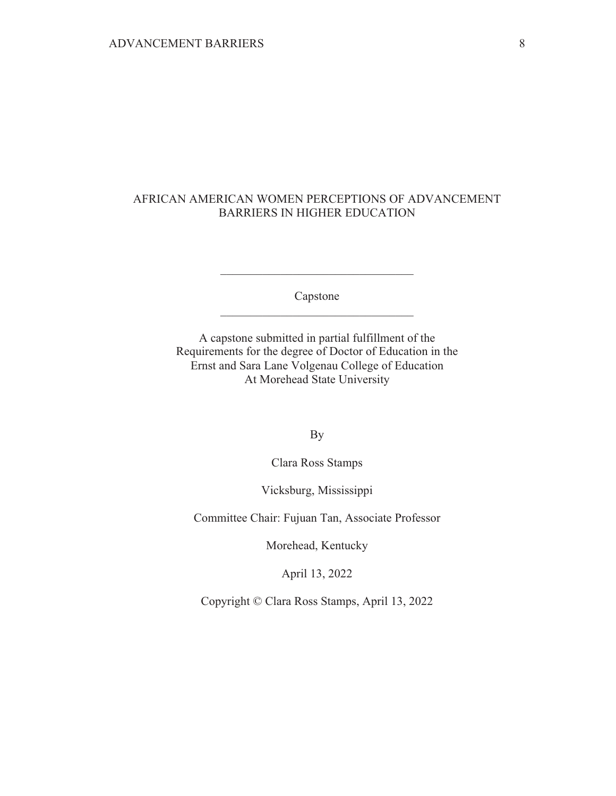## AFRICAN AMERICAN WOMEN PERCEPTIONS OF ADVANCEMENT **BARRIERS IN HIGHER EDUCATION**

Capstone

A capstone submitted in partial fulfillment of the Requirements for the degree of Doctor of Education in the Ernst and Sara Lane Volgenau College of Education At Morehead State University

**By** 

Clara Ross Stamps

Vicksburg, Mississippi

Committee Chair: Fujuan Tan, Associate Professor

Morehead, Kentucky

April 13, 2022

Copyright © Clara Ross Stamps, April 13, 2022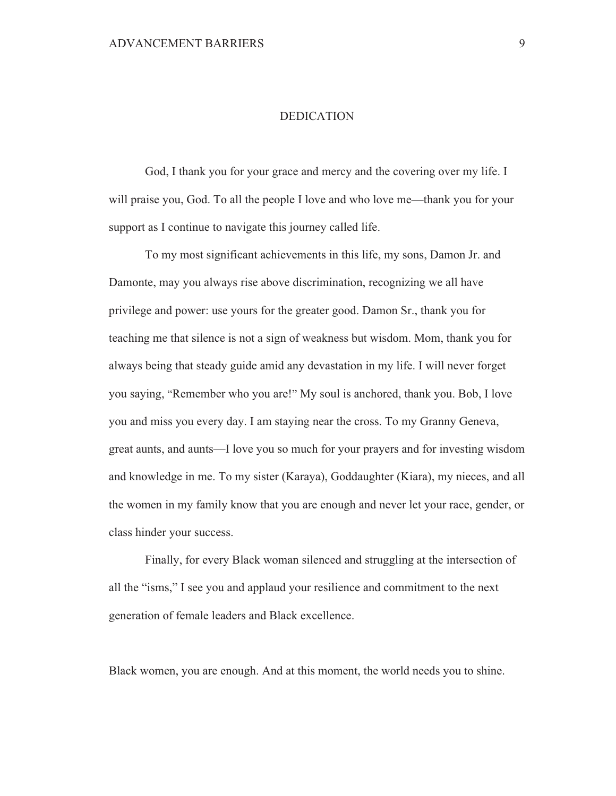### **DEDICATION**

God, I thank you for your grace and mercy and the covering over my life. I will praise you, God. To all the people I love and who love me—thank you for your support as I continue to navigate this journey called life.

To my most significant achievements in this life, my sons, Damon Jr. and Damonte, may you always rise above discrimination, recognizing we all have privilege and power: use yours for the greater good. Damon Sr., thank you for teaching me that silence is not a sign of weakness but wisdom. Mom, thank you for always being that steady guide amid any devastation in my life. I will never forget you saying, "Remember who you are!" My soul is anchored, thank you. Bob, I love you and miss you every day. I am staying near the cross. To my Granny Geneva, great aunts, and aunts—I love you so much for your prayers and for investing wisdom and knowledge in me. To my sister (Karaya), Goddaughter (Kiara), my nieces, and all the women in my family know that you are enough and never let your race, gender, or class hinder your success.

Finally, for every Black woman silenced and struggling at the intersection of all the "isms," I see you and applaud your resilience and commitment to the next generation of female leaders and Black excellence.

Black women, you are enough. And at this moment, the world needs you to shine.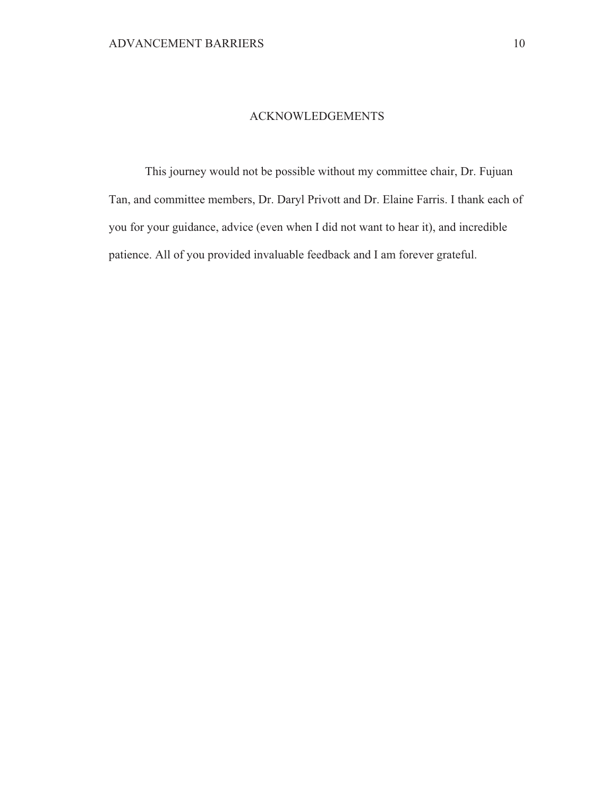### **ACKNOWLEDGEMENTS**

This journey would not be possible without my committee chair, Dr. Fujuan Tan, and committee members, Dr. Daryl Privott and Dr. Elaine Farris. I thank each of you for your guidance, advice (even when I did not want to hear it), and incredible patience. All of you provided invaluable feedback and I am forever grateful.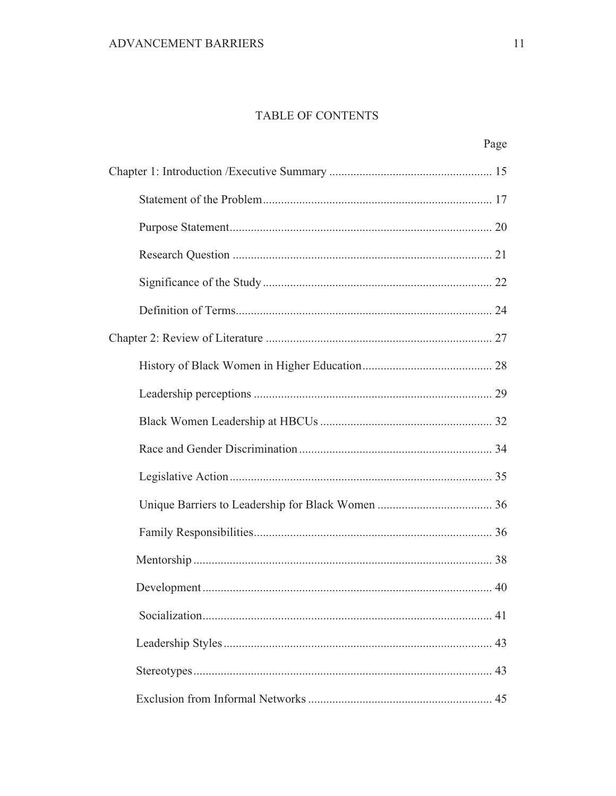# TABLE OF CONTENTS

| Page |
|------|
|      |
|      |
|      |
|      |
|      |
|      |
|      |
|      |
|      |
|      |
|      |
|      |
|      |
|      |
|      |
|      |
|      |
|      |
|      |
|      |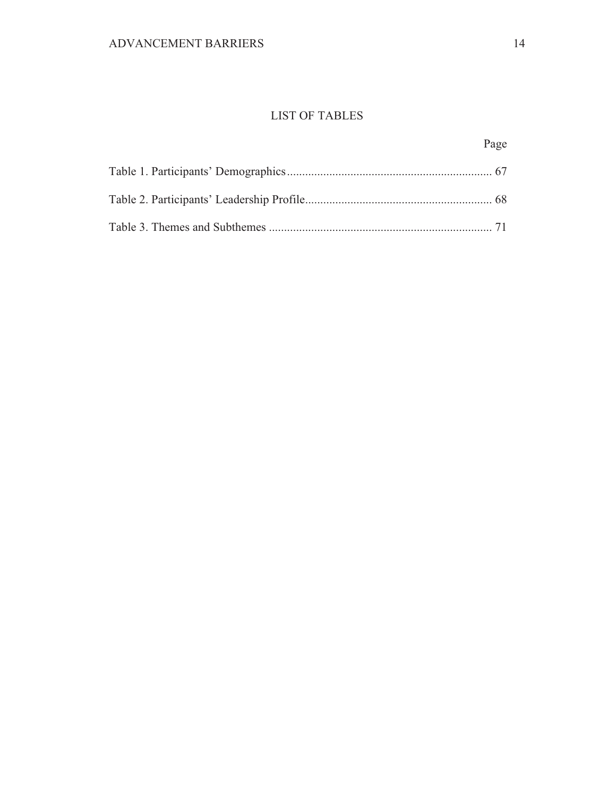# **LIST OF TABLES**

 $Pa$ 

Page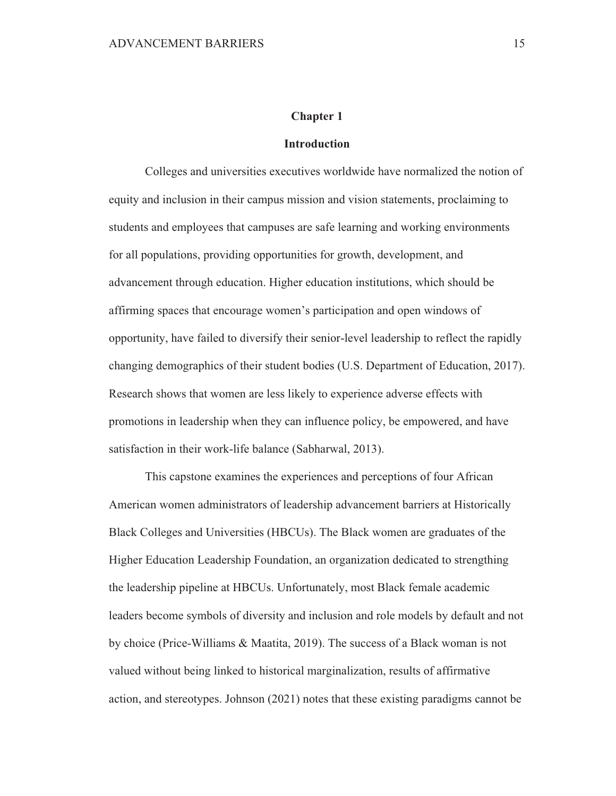#### **Chapter 1**

### **Introduction**

Colleges and universities executives worldwide have normalized the notion of equity and inclusion in their campus mission and vision statements, proclaiming to students and employees that campuses are safe learning and working environments for all populations, providing opportunities for growth, development, and advancement through education. Higher education institutions, which should be affirming spaces that encourage women's participation and open windows of opportunity, have failed to diversify their senior-level leadership to reflect the rapidly changing demographics of their student bodies (U.S. Department of Education, 2017). Research shows that women are less likely to experience adverse effects with promotions in leadership when they can influence policy, be empowered, and have satisfaction in their work-life balance (Sabharwal, 2013).

This capstone examines the experiences and perceptions of four African American women administrators of leadership advancement barriers at Historically Black Colleges and Universities (HBCUs). The Black women are graduates of the Higher Education Leadership Foundation, an organization dedicated to strengthing the leadership pipeline at HBCUs. Unfortunately, most Black female academic leaders become symbols of diversity and inclusion and role models by default and not by choice (Price-Williams & Maatita, 2019). The success of a Black woman is not valued without being linked to historical marginalization, results of affirmative action, and stereotypes. Johnson (2021) notes that these existing paradigms cannot be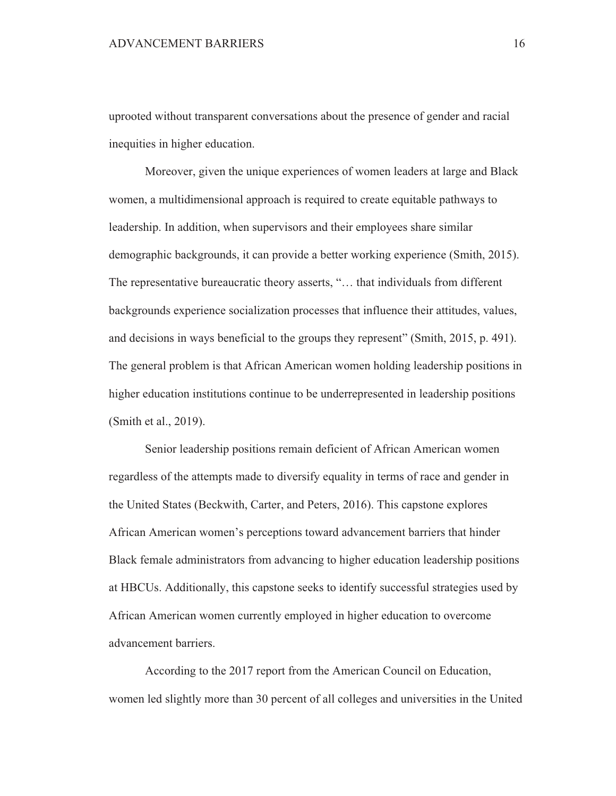uprooted without transparent conversations about the presence of gender and racial inequities in higher education.

Moreover, given the unique experiences of women leaders at large and Black women, a multidimensional approach is required to create equitable pathways to leadership. In addition, when supervisors and their employees share similar demographic backgrounds, it can provide a better working experience (Smith, 2015). The representative bureaucratic theory asserts, "... that individuals from different backgrounds experience socialization processes that influence their attitudes, values, and decisions in ways beneficial to the groups they represent" (Smith, 2015, p. 491). The general problem is that African American women holding leadership positions in higher education institutions continue to be underrepresented in leadership positions (Smith et al., 2019).

Senior leadership positions remain deficient of African American women regardless of the attempts made to diversify equality in terms of race and gender in the United States (Beckwith, Carter, and Peters, 2016). This capstone explores African American women's perceptions toward advancement barriers that hinder Black female administrators from advancing to higher education leadership positions at HBCUs. Additionally, this capstone seeks to identify successful strategies used by African American women currently employed in higher education to overcome advancement barriers.

According to the 2017 report from the American Council on Education, women led slightly more than 30 percent of all colleges and universities in the United

16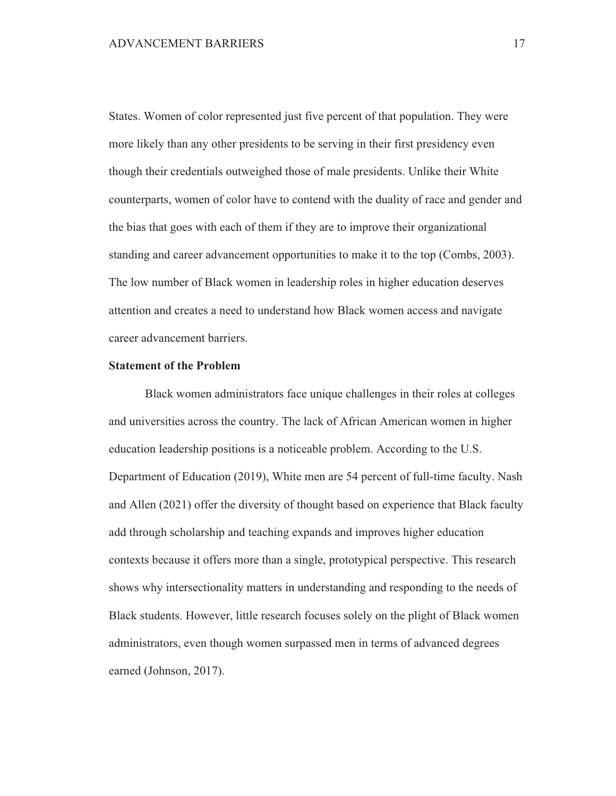States. Women of color represented just five percent of that population. They were more likely than any other presidents to be serving in their first presidency even though their credentials outweighed those of male presidents. Unlike their White counterparts, women of color have to contend with the duality of race and gender and the bias that goes with each of them if they are to improve their organizational standing and career advancement opportunities to make it to the top (Combs, 2003). The low number of Black women in leadership roles in higher education deserves attention and creates a need to understand how Black women access and navigate career advancement barriers.

### **Statement of the Problem**

Black women administrators face unique challenges in their roles at colleges and universities across the country. The lack of African American women in higher education leadership positions is a noticeable problem. According to the U.S. Department of Education (2019), White men are 54 percent of full-time faculty. Nash and Allen (2021) offer the diversity of thought based on experience that Black faculty add through scholarship and teaching expands and improves higher education contexts because it offers more than a single, prototypical perspective. This research shows why intersectionality matters in understanding and responding to the needs of Black students. However, little research focuses solely on the plight of Black women administrators, even though women surpassed men in terms of advanced degrees earned (Johnson, 2017).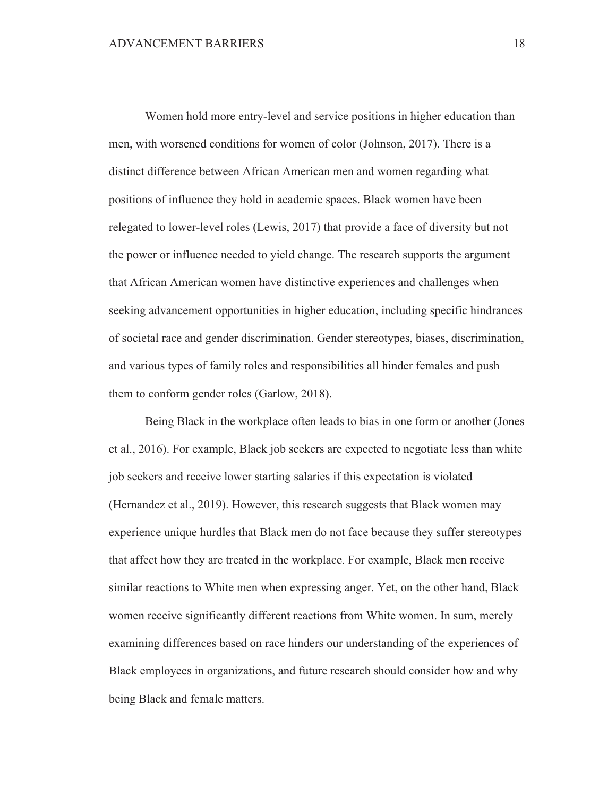Women hold more entry-level and service positions in higher education than men, with worsened conditions for women of color (Johnson, 2017). There is a distinct difference between African American men and women regarding what positions of influence they hold in academic spaces. Black women have been relegated to lower-level roles (Lewis, 2017) that provide a face of diversity but not the power or influence needed to yield change. The research supports the argument that African American women have distinctive experiences and challenges when seeking advancement opportunities in higher education, including specific hindrances of societal race and gender discrimination. Gender stereotypes, biases, discrimination, and various types of family roles and responsibilities all hinder females and push them to conform gender roles (Garlow, 2018).

Being Black in the workplace often leads to bias in one form or another (Jones et al., 2016). For example, Black job seekers are expected to negotiate less than white job seekers and receive lower starting salaries if this expectation is violated (Hernandez et al., 2019). However, this research suggests that Black women may experience unique hurdles that Black men do not face because they suffer stereotypes that affect how they are treated in the workplace. For example, Black men receive similar reactions to White men when expressing anger. Yet, on the other hand, Black women receive significantly different reactions from White women. In sum, merely examining differences based on race hinders our understanding of the experiences of Black employees in organizations, and future research should consider how and why being Black and female matters.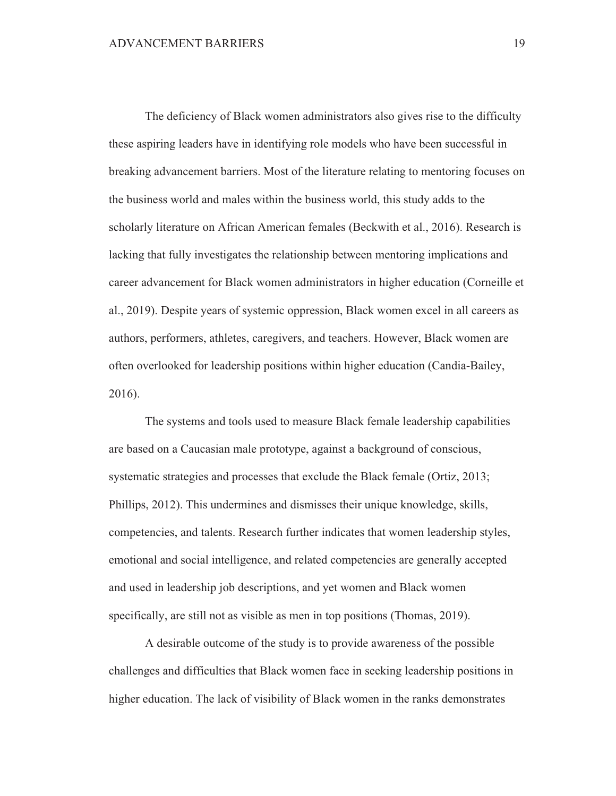The deficiency of Black women administrators also gives rise to the difficulty these aspiring leaders have in identifying role models who have been successful in breaking advancement barriers. Most of the literature relating to mentoring focuses on the business world and males within the business world, this study adds to the scholarly literature on African American females (Beckwith et al., 2016). Research is lacking that fully investigates the relationship between mentoring implications and career advancement for Black women administrators in higher education (Corneille et al., 2019). Despite years of systemic oppression, Black women excel in all careers as authors, performers, athletes, caregivers, and teachers. However, Black women are often overlooked for leadership positions within higher education (Candia-Bailey,  $2016$ ).

The systems and tools used to measure Black female leadership capabilities are based on a Caucasian male prototype, against a background of conscious, systematic strategies and processes that exclude the Black female (Ortiz, 2013; Phillips, 2012). This undermines and dismisses their unique knowledge, skills, competencies, and talents. Research further indicates that women leadership styles, emotional and social intelligence, and related competencies are generally accepted and used in leadership job descriptions, and yet women and Black women specifically, are still not as visible as men in top positions (Thomas, 2019).

A desirable outcome of the study is to provide awareness of the possible challenges and difficulties that Black women face in seeking leadership positions in higher education. The lack of visibility of Black women in the ranks demonstrates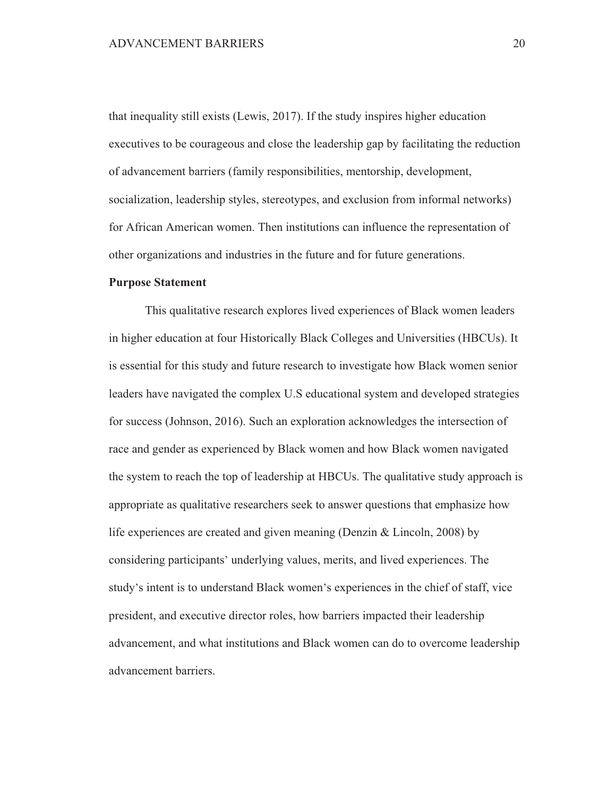that inequality still exists (Lewis, 2017). If the study inspires higher education executives to be courageous and close the leadership gap by facilitating the reduction of advancement barriers (family responsibilities, mentorship, development, socialization, leadership styles, stereotypes, and exclusion from informal networks) for African American women. Then institutions can influence the representation of other organizations and industries in the future and for future generations.

#### **Purpose Statement**

This qualitative research explores lived experiences of Black women leaders in higher education at four Historically Black Colleges and Universities (HBCUs). It is essential for this study and future research to investigate how Black women senior leaders have navigated the complex U.S educational system and developed strategies for success (Johnson, 2016). Such an exploration acknowledges the intersection of race and gender as experienced by Black women and how Black women navigated the system to reach the top of leadership at HBCUs. The qualitative study approach is appropriate as qualitative researchers seek to answer questions that emphasize how life experiences are created and given meaning (Denzin & Lincoln, 2008) by considering participants' underlying values, merits, and lived experiences. The study's intent is to understand Black women's experiences in the chief of staff, vice president, and executive director roles, how barriers impacted their leadership advancement, and what institutions and Black women can do to overcome leadership advancement barriers.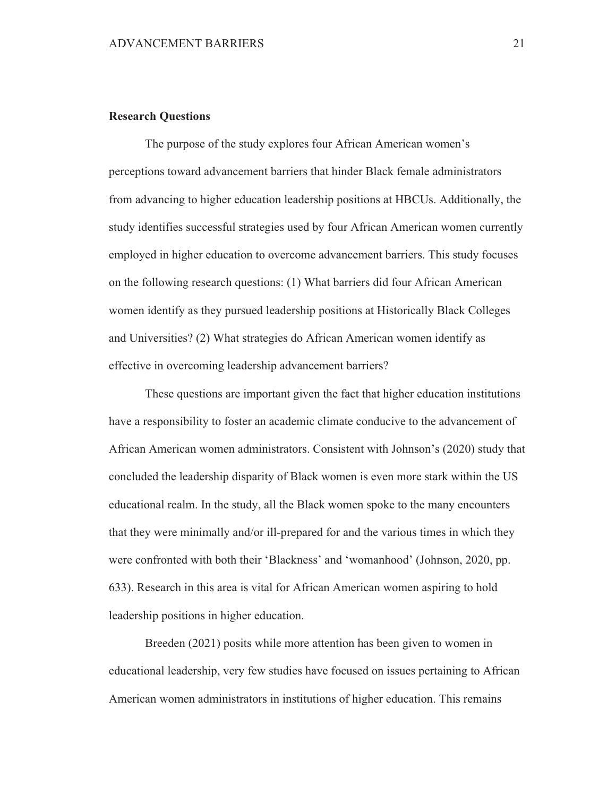#### **Research Questions**

The purpose of the study explores four African American women's perceptions toward advancement barriers that hinder Black female administrators from advancing to higher education leadership positions at HBCUs. Additionally, the study identifies successful strategies used by four African American women currently employed in higher education to overcome advancement barriers. This study focuses on the following research questions: (1) What barriers did four African American women identify as they pursued leadership positions at Historically Black Colleges and Universities? (2) What strategies do African American women identify as effective in overcoming leadership advancement barriers?

These questions are important given the fact that higher education institutions have a responsibility to foster an academic climate conducive to the advancement of African American women administrators. Consistent with Johnson's (2020) study that concluded the leadership disparity of Black women is even more stark within the US educational realm. In the study, all the Black women spoke to the many encounters that they were minimally and/or ill-prepared for and the various times in which they were confronted with both their 'Blackness' and 'womanhood' (Johnson, 2020, pp. 633). Research in this area is vital for African American women aspiring to hold leadership positions in higher education.

Breeden (2021) posits while more attention has been given to women in educational leadership, very few studies have focused on issues pertaining to African American women administrators in institutions of higher education. This remains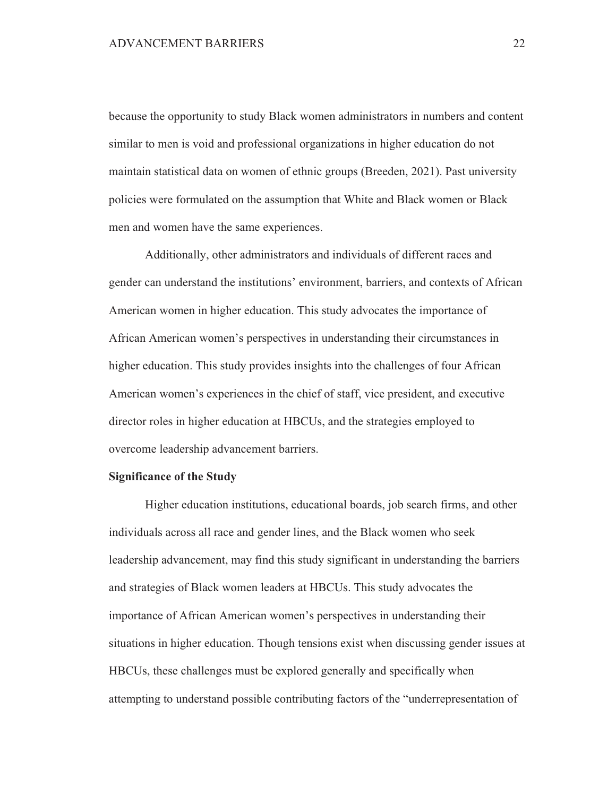because the opportunity to study Black women administrators in numbers and content similar to men is void and professional organizations in higher education do not maintain statistical data on women of ethnic groups (Breeden, 2021). Past university policies were formulated on the assumption that White and Black women or Black men and women have the same experiences.

Additionally, other administrators and individuals of different races and gender can understand the institutions' environment, barriers, and contexts of African American women in higher education. This study advocates the importance of African American women's perspectives in understanding their circumstances in higher education. This study provides insights into the challenges of four African American women's experiences in the chief of staff, vice president, and executive director roles in higher education at HBCUs, and the strategies employed to overcome leadership advancement barriers.

#### **Significance of the Study**

Higher education institutions, educational boards, job search firms, and other individuals across all race and gender lines, and the Black women who seek leadership advancement, may find this study significant in understanding the barriers and strategies of Black women leaders at HBCUs. This study advocates the importance of African American women's perspectives in understanding their situations in higher education. Though tensions exist when discussing gender issues at HBCUs, these challenges must be explored generally and specifically when attempting to understand possible contributing factors of the "underrepresentation of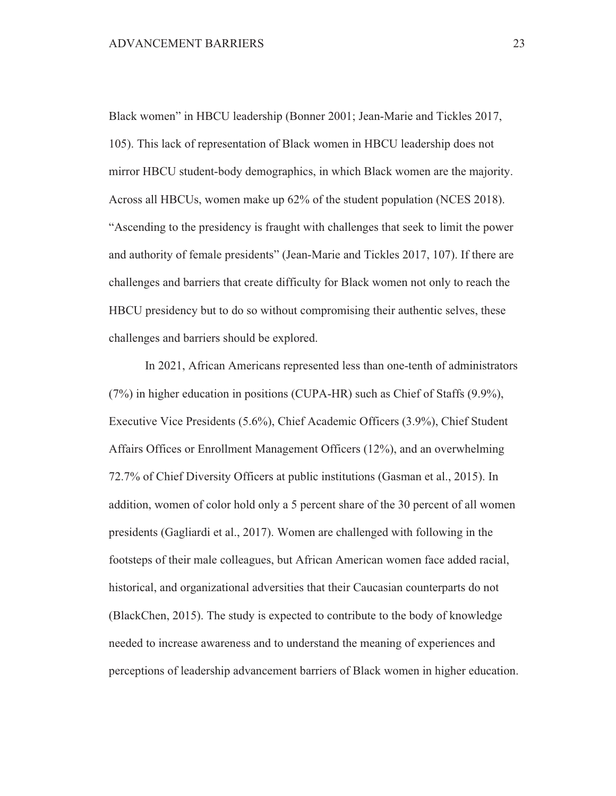Black women" in HBCU leadership (Bonner 2001; Jean-Marie and Tickles 2017, 105). This lack of representation of Black women in HBCU leadership does not mirror HBCU student-body demographics, in which Black women are the majority. Across all HBCUs, women make up 62% of the student population (NCES 2018). "Ascending to the presidency is fraught with challenges that seek to limit the power and authority of female presidents" (Jean-Marie and Tickles 2017, 107). If there are challenges and barriers that create difficulty for Black women not only to reach the HBCU presidency but to do so without compromising their authentic selves, these challenges and barriers should be explored.

In 2021, African Americans represented less than one-tenth of administrators  $(7%)$  in higher education in positions (CUPA-HR) such as Chief of Staffs  $(9.9%)$ , Executive Vice Presidents (5.6%), Chief Academic Officers (3.9%), Chief Student Affairs Offices or Enrollment Management Officers (12%), and an overwhelming 72.7% of Chief Diversity Officers at public institutions (Gasman et al., 2015). In addition, women of color hold only a 5 percent share of the 30 percent of all women presidents (Gagliardi et al., 2017). Women are challenged with following in the footsteps of their male colleagues, but African American women face added racial, historical, and organizational adversities that their Caucasian counterparts do not (BlackChen, 2015). The study is expected to contribute to the body of knowledge needed to increase awareness and to understand the meaning of experiences and perceptions of leadership advancement barriers of Black women in higher education.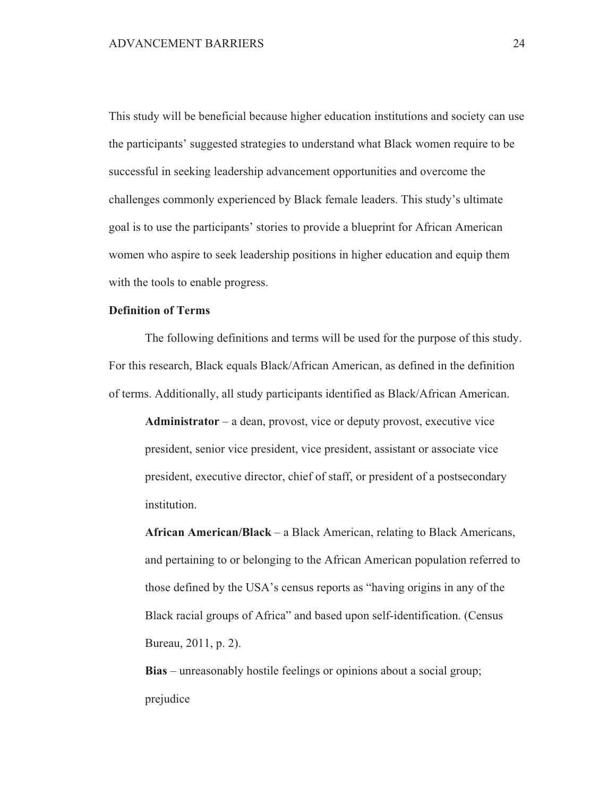This study will be beneficial because higher education institutions and society can use the participants' suggested strategies to understand what Black women require to be successful in seeking leadership advancement opportunities and overcome the challenges commonly experienced by Black female leaders. This study's ultimate goal is to use the participants' stories to provide a blueprint for African American women who aspire to seek leadership positions in higher education and equip them with the tools to enable progress.

## **Definition of Terms**

The following definitions and terms will be used for the purpose of this study. For this research, Black equals Black/African American, as defined in the definition of terms. Additionally, all study participants identified as Black/African American.

 $Administrator - a dean, provost, vice or deputy provost, executive vice$ president, senior vice president, vice president, assistant or associate vice president, executive director, chief of staff, or president of a postsecondary institution.

African American/Black – a Black American, relating to Black Americans, and pertaining to or belonging to the African American population referred to those defined by the USA's census reports as "having origins in any of the Black racial groups of Africa" and based upon self-identification. (Census Bureau, 2011, p. 2).

**Bias** – unreasonably hostile feelings or opinions about a social group; prejudice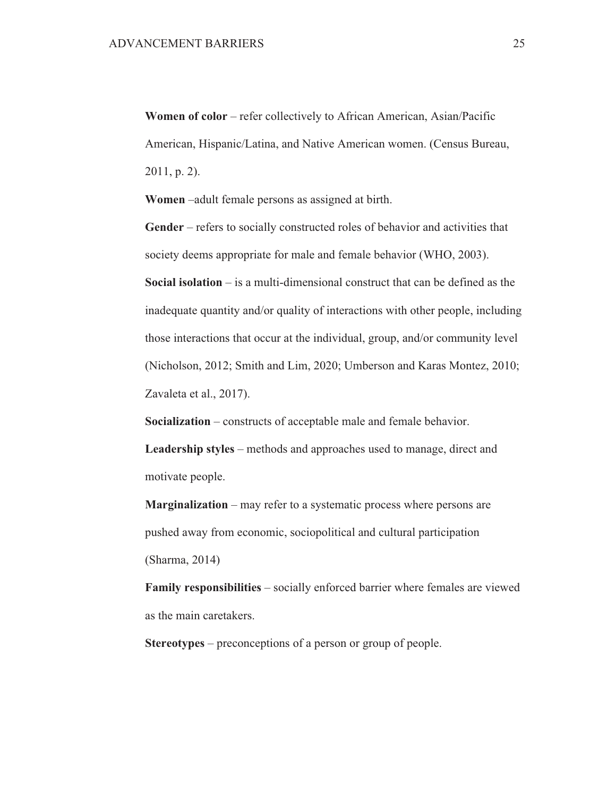Women of color – refer collectively to African American, Asian/Pacific American, Hispanic/Latina, and Native American women. (Census Bureau,  $2011$ , p. 2).

Women –adult female persons as assigned at birth.

Gender – refers to socially constructed roles of behavior and activities that society deems appropriate for male and female behavior (WHO, 2003).

Social isolation  $-$  is a multi-dimensional construct that can be defined as the inadequate quantity and/or quality of interactions with other people, including those interactions that occur at the individual, group, and/or community level (Nicholson, 2012; Smith and Lim, 2020; Umberson and Karas Montez, 2010; Zavaleta et al., 2017).

**Socialization** – constructs of acceptable male and female behavior.

**Leadership styles** – methods and approaches used to manage, direct and motivate people.

**Marginalization** – may refer to a systematic process where persons are pushed away from economic, sociopolitical and cultural participation (Sharma, 2014)

**Family responsibilities** – socially enforced barrier where females are viewed as the main caretakers.

**Stereotypes** – preconceptions of a person or group of people.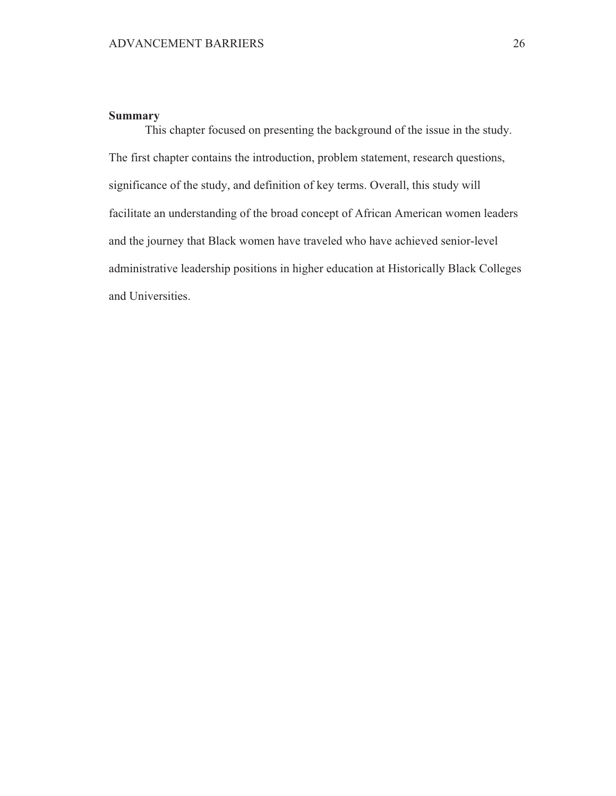## **Summary**

This chapter focused on presenting the background of the issue in the study. The first chapter contains the introduction, problem statement, research questions, significance of the study, and definition of key terms. Overall, this study will facilitate an understanding of the broad concept of African American women leaders and the journey that Black women have traveled who have achieved senior-level administrative leadership positions in higher education at Historically Black Colleges and Universities.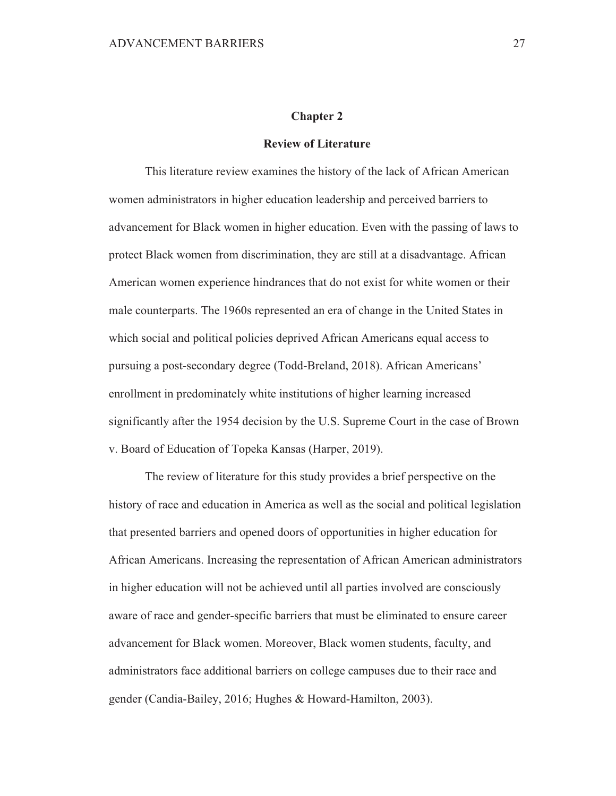#### **Chapter 2**

### **Review of Literature**

This literature review examines the history of the lack of African American women administrators in higher education leadership and perceived barriers to advancement for Black women in higher education. Even with the passing of laws to protect Black women from discrimination, they are still at a disadvantage. African American women experience hindrances that do not exist for white women or their male counterparts. The 1960s represented an era of change in the United States in which social and political policies deprived African Americans equal access to pursuing a post-secondary degree (Todd-Breland, 2018). African Americans' enrollment in predominately white institutions of higher learning increased significantly after the 1954 decision by the U.S. Supreme Court in the case of Brown v. Board of Education of Topeka Kansas (Harper, 2019).

The review of literature for this study provides a brief perspective on the history of race and education in America as well as the social and political legislation that presented barriers and opened doors of opportunities in higher education for African Americans. Increasing the representation of African American administrators in higher education will not be achieved until all parties involved are consciously aware of race and gender-specific barriers that must be eliminated to ensure career advancement for Black women. Moreover, Black women students, faculty, and administrators face additional barriers on college campuses due to their race and gender (Candia-Bailey, 2016; Hughes & Howard-Hamilton, 2003).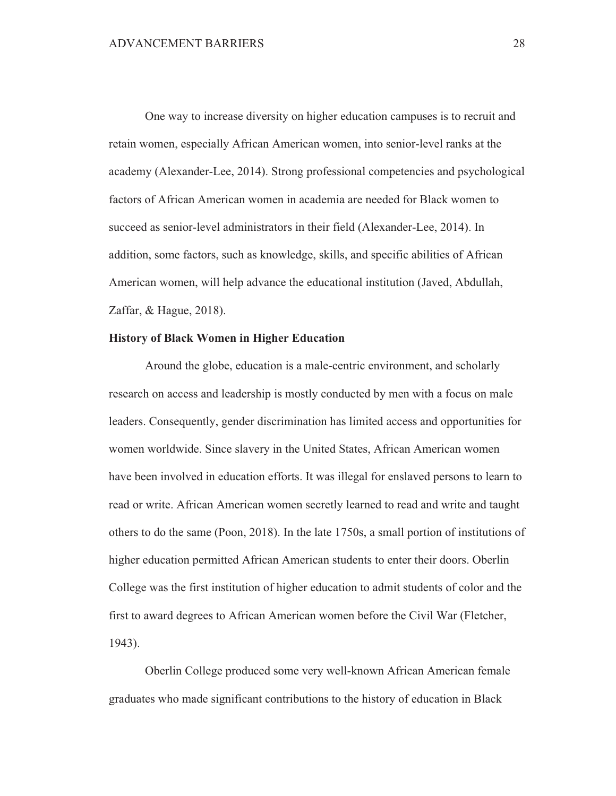One way to increase diversity on higher education campuses is to recruit and retain women, especially African American women, into senior-level ranks at the academy (Alexander-Lee, 2014). Strong professional competencies and psychological factors of African American women in academia are needed for Black women to succeed as senior-level administrators in their field (Alexander-Lee, 2014). In addition, some factors, such as knowledge, skills, and specific abilities of African American women, will help advance the educational institution (Javed, Abdullah, Zaffar, & Hague, 2018).

## **History of Black Women in Higher Education**

Around the globe, education is a male-centric environment, and scholarly research on access and leadership is mostly conducted by men with a focus on male leaders. Consequently, gender discrimination has limited access and opportunities for women worldwide. Since slavery in the United States, African American women have been involved in education efforts. It was illegal for enslaved persons to learn to read or write. African American women secretly learned to read and write and taught others to do the same (Poon, 2018). In the late 1750s, a small portion of institutions of higher education permitted African American students to enter their doors. Oberlin College was the first institution of higher education to admit students of color and the first to award degrees to African American women before the Civil War (Fletcher,  $1943$ ).

Oberlin College produced some very well-known African American female graduates who made significant contributions to the history of education in Black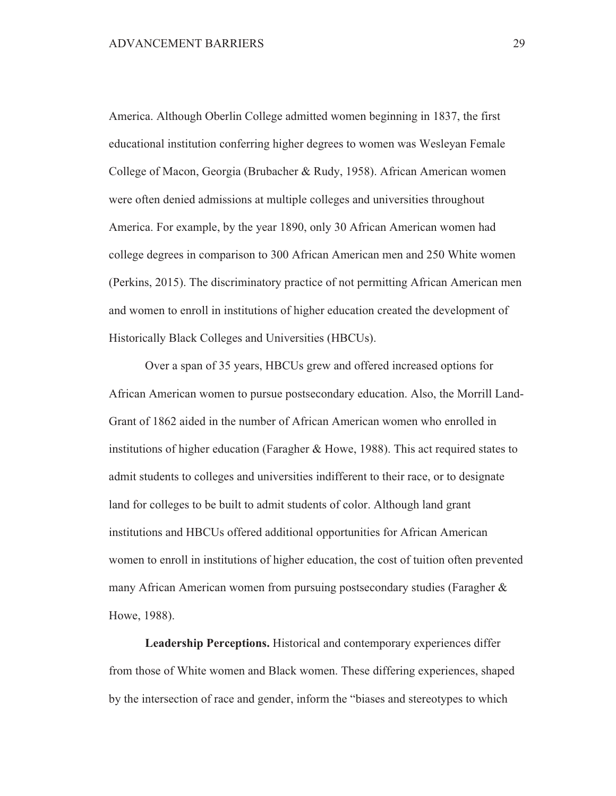America. Although Oberlin College admitted women beginning in 1837, the first educational institution conferring higher degrees to women was Wesleyan Female College of Macon, Georgia (Brubacher & Rudy, 1958). African American women were often denied admissions at multiple colleges and universities throughout America. For example, by the year 1890, only 30 African American women had college degrees in comparison to 300 African American men and 250 White women (Perkins, 2015). The discriminatory practice of not permitting African American men and women to enroll in institutions of higher education created the development of Historically Black Colleges and Universities (HBCUs).

Over a span of 35 years, HBCUs grew and offered increased options for African American women to pursue postsecondary education. Also, the Morrill Land-Grant of 1862 aided in the number of African American women who enrolled in institutions of higher education (Faragher & Howe, 1988). This act required states to admit students to colleges and universities indifferent to their race, or to designate land for colleges to be built to admit students of color. Although land grant institutions and HBCUs offered additional opportunities for African American women to enroll in institutions of higher education, the cost of tuition often prevented many African American women from pursuing postsecondary studies (Faragher  $\&$ Howe, 1988).

**Leadership Perceptions.** Historical and contemporary experiences differ from those of White women and Black women. These differing experiences, shaped by the intersection of race and gender, inform the "biases and stereotypes to which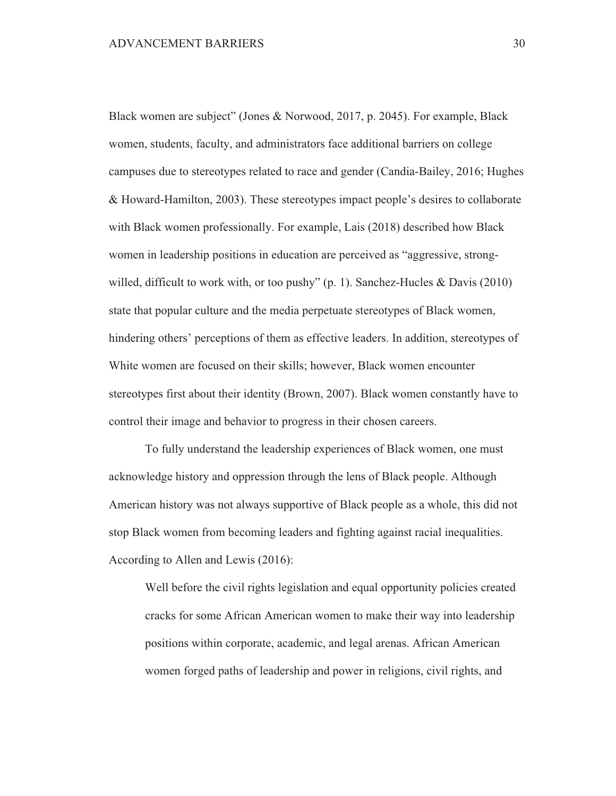Black women are subject" (Jones & Norwood, 2017, p. 2045). For example, Black women, students, faculty, and administrators face additional barriers on college campuses due to stereotypes related to race and gender (Candia-Bailey, 2016; Hughes & Howard-Hamilton, 2003). These stereotypes impact people's desires to collaborate with Black women professionally. For example, Lais (2018) described how Black women in leadership positions in education are perceived as "aggressive, strongwilled, difficult to work with, or too pushy"  $(p, 1)$ . Sanchez-Hucles & Davis (2010) state that popular culture and the media perpetuate stereotypes of Black women, hindering others' perceptions of them as effective leaders. In addition, stereotypes of White women are focused on their skills; however, Black women encounter stereotypes first about their identity (Brown, 2007). Black women constantly have to control their image and behavior to progress in their chosen careers.

To fully understand the leadership experiences of Black women, one must acknowledge history and oppression through the lens of Black people. Although American history was not always supportive of Black people as a whole, this did not stop Black women from becoming leaders and fighting against racial inequalities. According to Allen and Lewis (2016):

Well before the civil rights legislation and equal opportunity policies created cracks for some African American women to make their way into leadership positions within corporate, academic, and legal arenas. African American women forged paths of leadership and power in religions, civil rights, and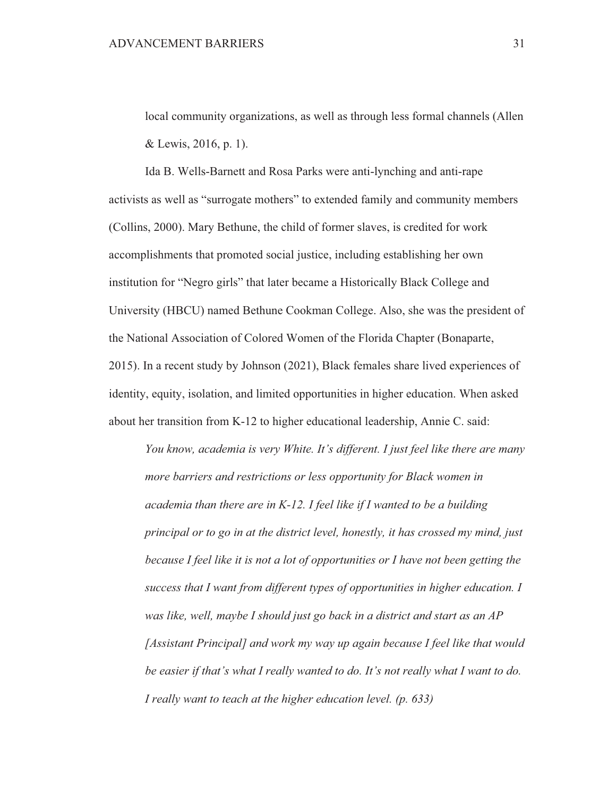local community organizations, as well as through less formal channels (Allen & Lewis, 2016, p. 1).

Ida B. Wells-Barnett and Rosa Parks were anti-lynching and anti-rape activists as well as "surrogate mothers" to extended family and community members (Collins, 2000). Mary Bethune, the child of former slaves, is credited for work accomplishments that promoted social justice, including establishing her own institution for "Negro girls" that later became a Historically Black College and University (HBCU) named Bethune Cookman College. Also, she was the president of the National Association of Colored Women of the Florida Chapter (Bonaparte, 2015). In a recent study by Johnson (2021), Black females share lived experiences of identity, equity, isolation, and limited opportunities in higher education. When asked about her transition from K-12 to higher educational leadership, Annie C. said:

You know, academia is very White. It's different. I just feel like there are many more barriers and restrictions or less opportunity for Black women in academia than there are in  $K$ -12. I feel like if I wanted to be a building principal or to go in at the district level, honestly, it has crossed my mind, just because I feel like it is not a lot of opportunities or I have not been getting the success that I want from different types of opportunities in higher education. I was like, well, maybe I should just go back in a district and start as an AP [Assistant Principal] and work my way up again because I feel like that would be easier if that's what I really wanted to do. It's not really what I want to do. I really want to teach at the higher education level. (p. 633)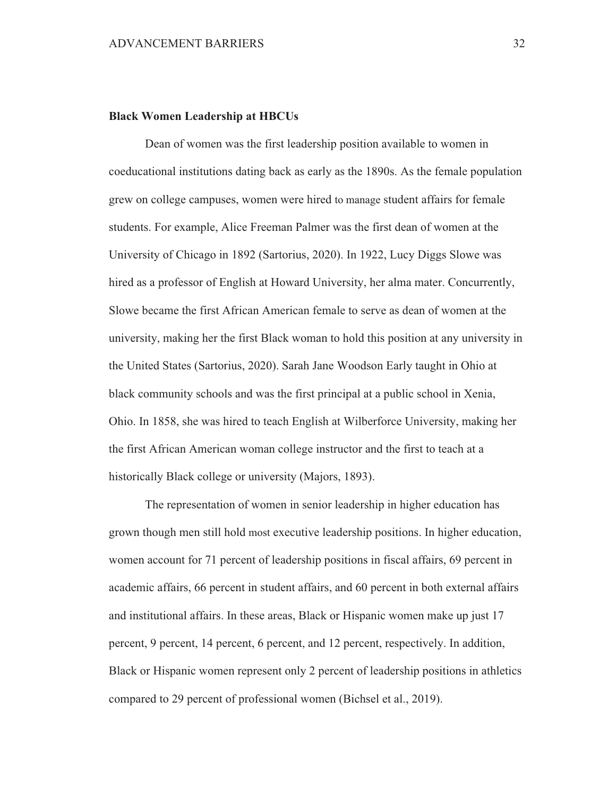#### **Black Women Leadership at HBCUs**

Dean of women was the first leadership position available to women in coeducational institutions dating back as early as the 1890s. As the female population grew on college campuses, women were hired to manage student affairs for female students. For example, Alice Freeman Palmer was the first dean of women at the University of Chicago in 1892 (Sartorius, 2020). In 1922, Lucy Diggs Slowe was hired as a professor of English at Howard University, her alma mater. Concurrently, Slowe became the first African American female to serve as dean of women at the university, making her the first Black woman to hold this position at any university in the United States (Sartorius, 2020). Sarah Jane Woodson Early taught in Ohio at black community schools and was the first principal at a public school in Xenia, Ohio. In 1858, she was hired to teach English at Wilberforce University, making her the first African American woman college instructor and the first to teach at a historically Black college or university (Majors, 1893).

The representation of women in senior leadership in higher education has grown though men still hold most executive leadership positions. In higher education, women account for 71 percent of leadership positions in fiscal affairs, 69 percent in academic affairs, 66 percent in student affairs, and 60 percent in both external affairs and institutional affairs. In these areas, Black or Hispanic women make up just 17 percent, 9 percent, 14 percent, 6 percent, and 12 percent, respectively. In addition, Black or Hispanic women represent only 2 percent of leadership positions in athletics compared to 29 percent of professional women (Bichsel et al., 2019).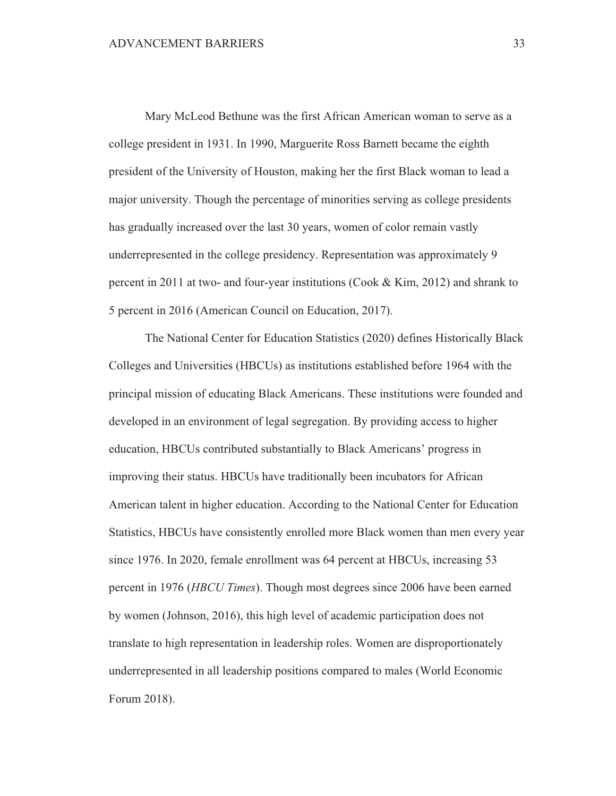Mary McLeod Bethune was the first African American woman to serve as a college president in 1931. In 1990, Marguerite Ross Barnett became the eighth president of the University of Houston, making her the first Black woman to lead a major university. Though the percentage of minorities serving as college presidents has gradually increased over the last 30 years, women of color remain vastly underrepresented in the college presidency. Representation was approximately 9 percent in 2011 at two- and four-year institutions (Cook & Kim, 2012) and shrank to 5 percent in 2016 (American Council on Education, 2017).

The National Center for Education Statistics (2020) defines Historically Black Colleges and Universities (HBCUs) as institutions established before 1964 with the principal mission of educating Black Americans. These institutions were founded and developed in an environment of legal segregation. By providing access to higher education, HBCUs contributed substantially to Black Americans' progress in improving their status. HBCUs have traditionally been incubators for African American talent in higher education. According to the National Center for Education Statistics, HBCUs have consistently enrolled more Black women than men every year since 1976. In 2020, female enrollment was 64 percent at HBCUs, increasing 53 percent in 1976 (*HBCU Times*). Though most degrees since 2006 have been earned by women (Johnson, 2016), this high level of academic participation does not translate to high representation in leadership roles. Women are disproportionately underrepresented in all leadership positions compared to males (World Economic Forum 2018).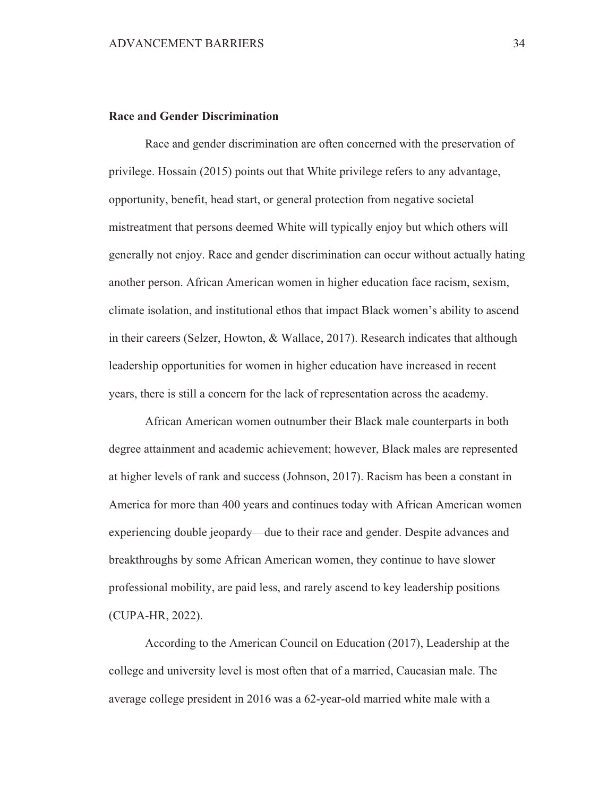## **Race and Gender Discrimination**

Race and gender discrimination are often concerned with the preservation of privilege. Hossain (2015) points out that White privilege refers to any advantage, opportunity, benefit, head start, or general protection from negative societal mistreatment that persons deemed White will typically enjoy but which others will generally not enjoy. Race and gender discrimination can occur without actually hating another person. African American women in higher education face racism, sexism, climate isolation, and institutional ethos that impact Black women's ability to ascend in their careers (Selzer, Howton, & Wallace, 2017). Research indicates that although leadership opportunities for women in higher education have increased in recent years, there is still a concern for the lack of representation across the academy.

African American women outnumber their Black male counterparts in both degree attainment and academic achievement; however, Black males are represented at higher levels of rank and success (Johnson, 2017). Racism has been a constant in America for more than 400 years and continues today with African American women experiencing double jeopardy—due to their race and gender. Despite advances and breakthroughs by some African American women, they continue to have slower professional mobility, are paid less, and rarely ascend to key leadership positions (CUPA-HR, 2022).

According to the American Council on Education (2017), Leadership at the college and university level is most often that of a married, Caucasian male. The average college president in 2016 was a 62-year-old married white male with a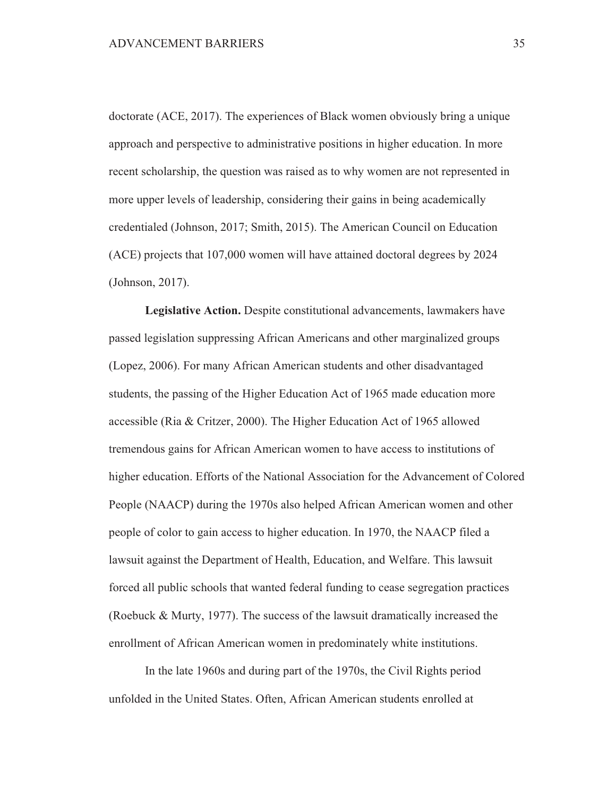doctorate (ACE, 2017). The experiences of Black women obviously bring a unique approach and perspective to administrative positions in higher education. In more recent scholarship, the question was raised as to why women are not represented in more upper levels of leadership, considering their gains in being academically credentialed (Johnson, 2017; Smith, 2015). The American Council on Education (ACE) projects that 107,000 women will have attained doctoral degrees by 2024 (Johnson, 2017).

Legislative Action. Despite constitutional advancements, lawmakers have passed legislation suppressing African Americans and other marginalized groups (Lopez, 2006). For many African American students and other disadvantaged students, the passing of the Higher Education Act of 1965 made education more accessible (Ria & Critzer, 2000). The Higher Education Act of 1965 allowed tremendous gains for African American women to have access to institutions of higher education. Efforts of the National Association for the Advancement of Colored People (NAACP) during the 1970s also helped African American women and other people of color to gain access to higher education. In 1970, the NAACP filed a lawsuit against the Department of Health, Education, and Welfare. This lawsuit forced all public schools that wanted federal funding to cease segregation practices (Roebuck & Murty, 1977). The success of the lawsuit dramatically increased the enrollment of African American women in predominately white institutions.

In the late 1960s and during part of the 1970s, the Civil Rights period unfolded in the United States. Often, African American students enrolled at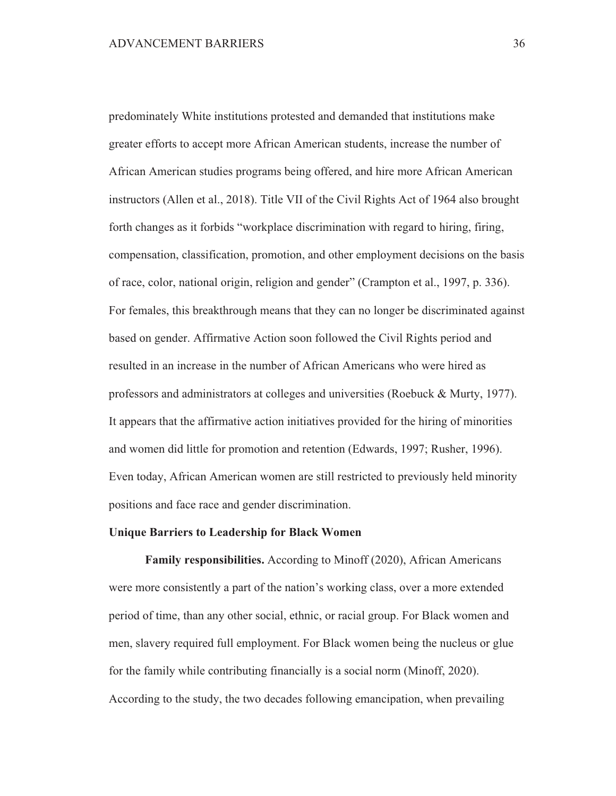predominately White institutions protested and demanded that institutions make greater efforts to accept more African American students, increase the number of African American studies programs being offered, and hire more African American instructors (Allen et al., 2018). Title VII of the Civil Rights Act of 1964 also brought forth changes as it forbids "workplace discrimination with regard to hiring, firing, compensation, classification, promotion, and other employment decisions on the basis of race, color, national origin, religion and gender" (Crampton et al., 1997, p. 336). For females, this breakthrough means that they can no longer be discriminated against based on gender. Affirmative Action soon followed the Civil Rights period and resulted in an increase in the number of African Americans who were hired as professors and administrators at colleges and universities (Roebuck & Murty, 1977). It appears that the affirmative action initiatives provided for the hiring of minorities and women did little for promotion and retention (Edwards, 1997; Rusher, 1996). Even today, African American women are still restricted to previously held minority positions and face race and gender discrimination.

#### **Unique Barriers to Leadership for Black Women**

Family responsibilities. According to Minoff (2020), African Americans were more consistently a part of the nation's working class, over a more extended period of time, than any other social, ethnic, or racial group. For Black women and men, slavery required full employment. For Black women being the nucleus or glue for the family while contributing financially is a social norm (Minoff, 2020). According to the study, the two decades following emancipation, when prevailing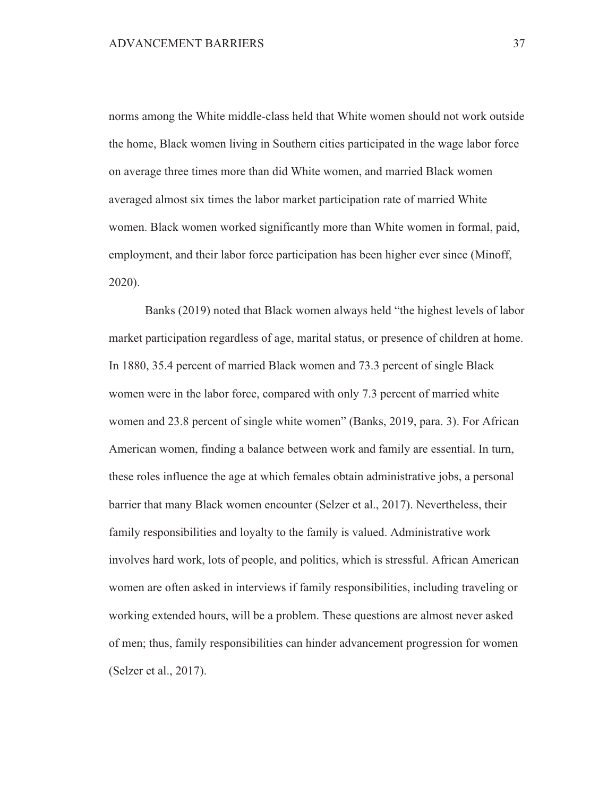norms among the White middle-class held that White women should not work outside the home, Black women living in Southern cities participated in the wage labor force on average three times more than did White women, and married Black women averaged almost six times the labor market participation rate of married White women. Black women worked significantly more than White women in formal, paid, employment, and their labor force participation has been higher ever since (Minoff,  $2020$ ).

Banks (2019) noted that Black women always held "the highest levels of labor market participation regardless of age, marital status, or presence of children at home. In 1880, 35.4 percent of married Black women and 73.3 percent of single Black women were in the labor force, compared with only 7.3 percent of married white women and 23.8 percent of single white women" (Banks, 2019, para. 3). For African American women, finding a balance between work and family are essential. In turn, these roles influence the age at which females obtain administrative jobs, a personal barrier that many Black women encounter (Selzer et al., 2017). Nevertheless, their family responsibilities and loyalty to the family is valued. Administrative work involves hard work, lots of people, and politics, which is stressful. African American women are often asked in interviews if family responsibilities, including traveling or working extended hours, will be a problem. These questions are almost never asked of men; thus, family responsibilities can hinder advancement progression for women (Selzer et al., 2017).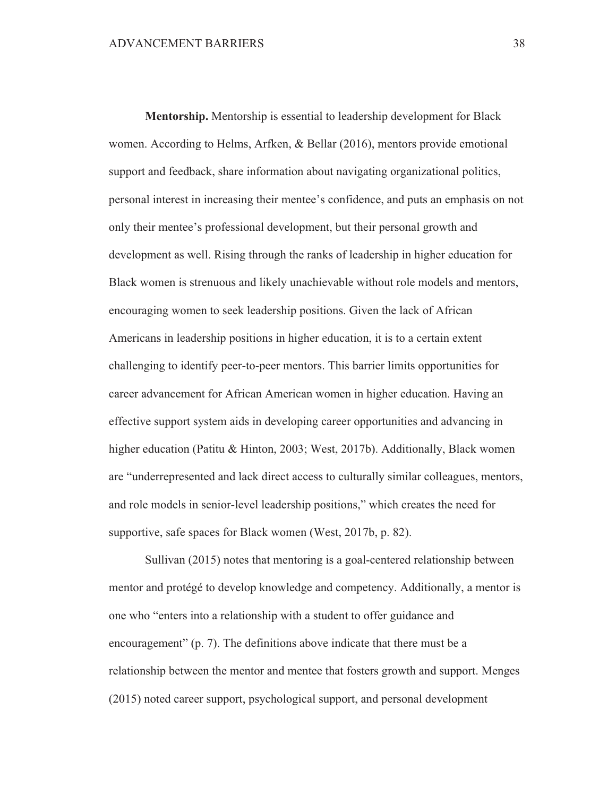Mentorship. Mentorship is essential to leadership development for Black women. According to Helms, Arfken, & Bellar (2016), mentors provide emotional support and feedback, share information about navigating organizational politics, personal interest in increasing their mentee's confidence, and puts an emphasis on not only their mentee's professional development, but their personal growth and development as well. Rising through the ranks of leadership in higher education for Black women is strenuous and likely unachievable without role models and mentors, encouraging women to seek leadership positions. Given the lack of African Americans in leadership positions in higher education, it is to a certain extent challenging to identify peer-to-peer mentors. This barrier limits opportunities for career advancement for African American women in higher education. Having an effective support system aids in developing career opportunities and advancing in higher education (Patitu & Hinton, 2003; West, 2017b). Additionally, Black women are "underrepresented and lack direct access to culturally similar colleagues, mentors, and role models in senior-level leadership positions," which creates the need for supportive, safe spaces for Black women (West, 2017b, p. 82).

Sullivan (2015) notes that mentoring is a goal-centered relationship between mentor and protégé to develop knowledge and competency. Additionally, a mentor is one who "enters into a relationship with a student to offer guidance and encouragement" (p. 7). The definitions above indicate that there must be a relationship between the mentor and mentee that fosters growth and support. Menges (2015) noted career support, psychological support, and personal development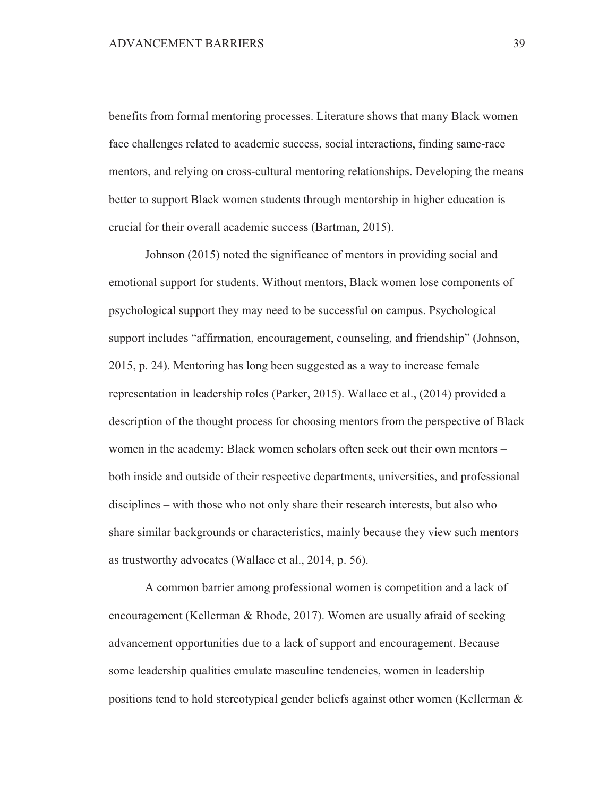benefits from formal mentoring processes. Literature shows that many Black women face challenges related to academic success, social interactions, finding same-race mentors, and relying on cross-cultural mentoring relationships. Developing the means better to support Black women students through mentorship in higher education is crucial for their overall academic success (Bartman, 2015).

Johnson (2015) noted the significance of mentors in providing social and emotional support for students. Without mentors, Black women lose components of psychological support they may need to be successful on campus. Psychological support includes "affirmation, encouragement, counseling, and friendship" (Johnson, 2015, p. 24). Mentoring has long been suggested as a way to increase female representation in leadership roles (Parker, 2015). Wallace et al., (2014) provided a description of the thought process for choosing mentors from the perspective of Black women in the academy: Black women scholars often seek out their own mentors – both inside and outside of their respective departments, universities, and professional disciplines – with those who not only share their research interests, but also who share similar backgrounds or characteristics, mainly because they view such mentors as trustworthy advocates (Wallace et al., 2014, p. 56).

A common barrier among professional women is competition and a lack of encouragement (Kellerman & Rhode, 2017). Women are usually afraid of seeking advancement opportunities due to a lack of support and encouragement. Because some leadership qualities emulate masculine tendencies, women in leadership positions tend to hold stereotypical gender beliefs against other women (Kellerman &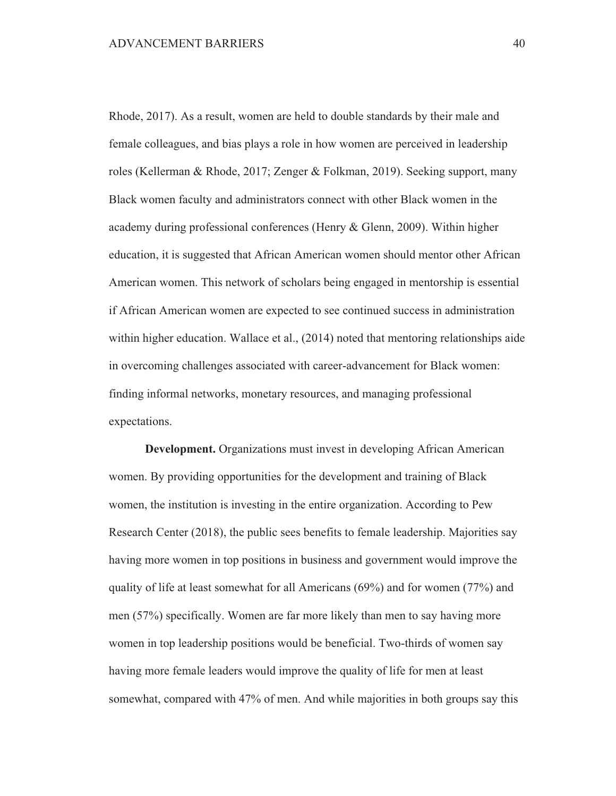Rhode, 2017). As a result, women are held to double standards by their male and female colleagues, and bias plays a role in how women are perceived in leadership roles (Kellerman & Rhode, 2017; Zenger & Folkman, 2019). Seeking support, many Black women faculty and administrators connect with other Black women in the academy during professional conferences (Henry & Glenn, 2009). Within higher education, it is suggested that African American women should mentor other African American women. This network of scholars being engaged in mentorship is essential if African American women are expected to see continued success in administration within higher education. Wallace et al., (2014) noted that mentoring relationships aide in overcoming challenges associated with career-advancement for Black women: finding informal networks, monetary resources, and managing professional expectations.

**Development.** Organizations must invest in developing African American women. By providing opportunities for the development and training of Black women, the institution is investing in the entire organization. According to Pew Research Center (2018), the public sees benefits to female leadership. Majorities say having more women in top positions in business and government would improve the quality of life at least somewhat for all Americans  $(69\%)$  and for women  $(77\%)$  and men (57%) specifically. Women are far more likely than men to say having more women in top leadership positions would be beneficial. Two-thirds of women say having more female leaders would improve the quality of life for men at least somewhat, compared with 47% of men. And while majorities in both groups say this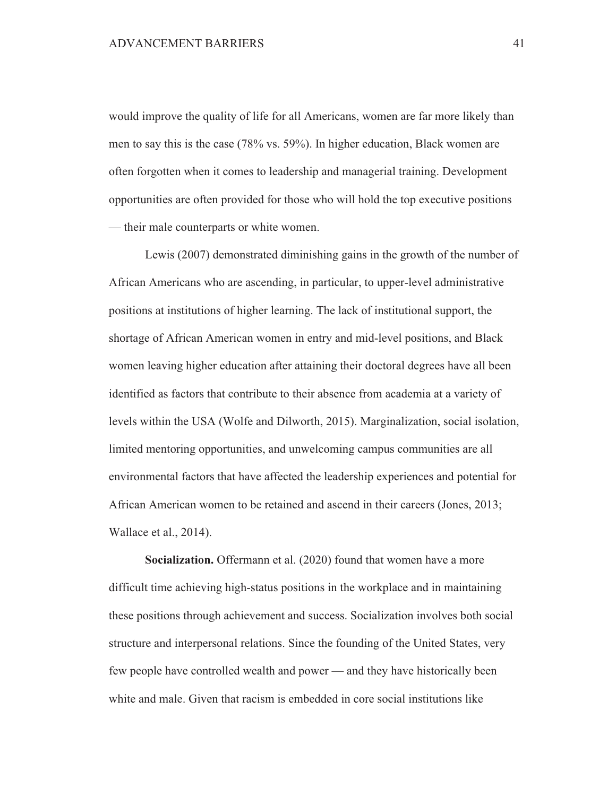would improve the quality of life for all Americans, women are far more likely than men to say this is the case (78% vs. 59%). In higher education, Black women are often forgotten when it comes to leadership and managerial training. Development opportunities are often provided for those who will hold the top executive positions — their male counterparts or white women.

Lewis (2007) demonstrated diminishing gains in the growth of the number of African Americans who are ascending, in particular, to upper-level administrative positions at institutions of higher learning. The lack of institutional support, the shortage of African American women in entry and mid-level positions, and Black women leaving higher education after attaining their doctoral degrees have all been identified as factors that contribute to their absence from academia at a variety of levels within the USA (Wolfe and Dilworth, 2015). Marginalization, social isolation, limited mentoring opportunities, and unwelcoming campus communities are all environmental factors that have affected the leadership experiences and potential for African American women to be retained and ascend in their careers (Jones, 2013; Wallace et al., 2014).

Socialization. Offermann et al. (2020) found that women have a more difficult time achieving high-status positions in the workplace and in maintaining these positions through achievement and success. Socialization involves both social structure and interpersonal relations. Since the founding of the United States, very few people have controlled wealth and power — and they have historically been white and male. Given that racism is embedded in core social institutions like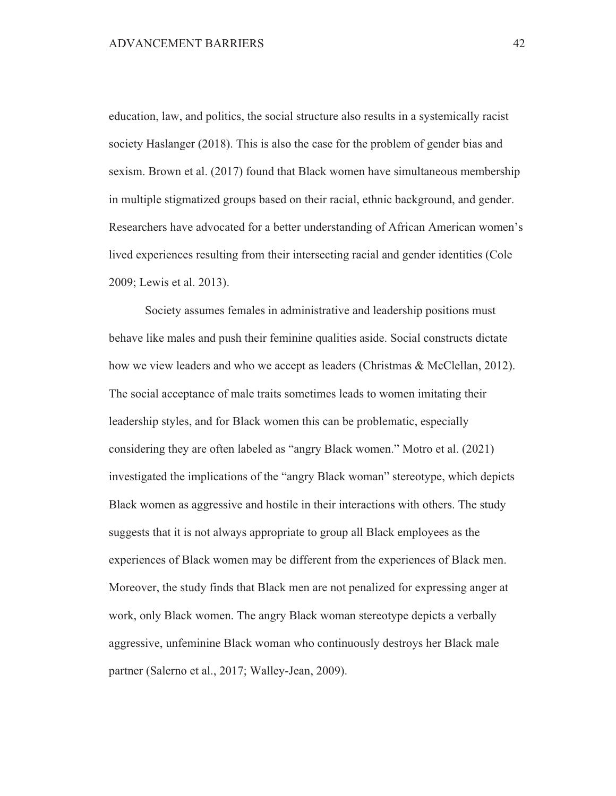education, law, and politics, the social structure also results in a systemically racist society Haslanger (2018). This is also the case for the problem of gender bias and sexism. Brown et al. (2017) found that Black women have simultaneous membership in multiple stigmatized groups based on their racial, ethnic background, and gender. Researchers have advocated for a better understanding of African American women's lived experiences resulting from their intersecting racial and gender identities (Cole 2009; Lewis et al. 2013).

Society assumes females in administrative and leadership positions must behave like males and push their feminine qualities aside. Social constructs dictate how we view leaders and who we accept as leaders (Christmas & McClellan, 2012). The social acceptance of male traits sometimes leads to women imitating their leadership styles, and for Black women this can be problematic, especially considering they are often labeled as "angry Black women." Motro et al. (2021) investigated the implications of the "angry Black woman" stereotype, which depicts Black women as aggressive and hostile in their interactions with others. The study suggests that it is not always appropriate to group all Black employees as the experiences of Black women may be different from the experiences of Black men. Moreover, the study finds that Black men are not penalized for expressing anger at work, only Black women. The angry Black woman stereotype depicts a verbally aggressive, unfeminine Black woman who continuously destroys her Black male partner (Salerno et al., 2017; Walley-Jean, 2009).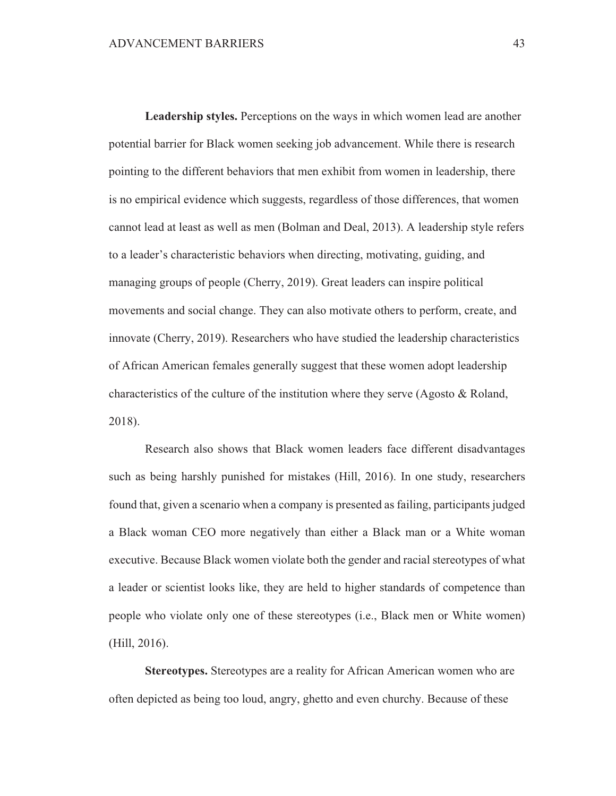Leadership styles. Perceptions on the ways in which women lead are another potential barrier for Black women seeking job advancement. While there is research pointing to the different behaviors that men exhibit from women in leadership, there is no empirical evidence which suggests, regardless of those differences, that women cannot lead at least as well as men (Bolman and Deal, 2013). A leadership style refers to a leader's characteristic behaviors when directing, motivating, guiding, and managing groups of people (Cherry, 2019). Great leaders can inspire political movements and social change. They can also motivate others to perform, create, and innovate (Cherry, 2019). Researchers who have studied the leadership characteristics of African American females generally suggest that these women adopt leadership characteristics of the culture of the institution where they serve (Agosto  $\&$  Roland, 2018).

Research also shows that Black women leaders face different disadvantages such as being harshly punished for mistakes (Hill, 2016). In one study, researchers found that, given a scenario when a company is presented as failing, participants judged a Black woman CEO more negatively than either a Black man or a White woman executive. Because Black women violate both the gender and racial stereotypes of what a leader or scientist looks like, they are held to higher standards of competence than people who violate only one of these stereotypes (i.e., Black men or White women)  $(Hill, 2016).$ 

Stereotypes. Stereotypes are a reality for African American women who are often depicted as being too loud, angry, ghetto and even churchy. Because of these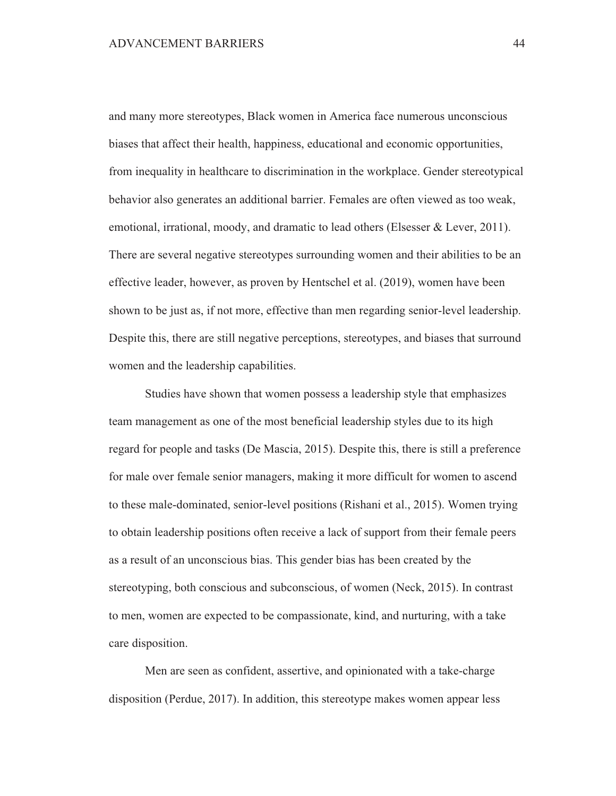and many more stereotypes, Black women in America face numerous unconscious biases that affect their health, happiness, educational and economic opportunities, from inequality in healthcare to discrimination in the workplace. Gender stereotypical behavior also generates an additional barrier. Females are often viewed as too weak, emotional, irrational, moody, and dramatic to lead others (Elsesser & Lever, 2011). There are several negative stereotypes surrounding women and their abilities to be an effective leader, however, as proven by Hentschel et al. (2019), women have been shown to be just as, if not more, effective than men regarding senior-level leadership. Despite this, there are still negative perceptions, stereotypes, and biases that surround women and the leadership capabilities.

Studies have shown that women possess a leadership style that emphasizes team management as one of the most beneficial leadership styles due to its high regard for people and tasks (De Mascia, 2015). Despite this, there is still a preference for male over female senior managers, making it more difficult for women to ascend to these male-dominated, senior-level positions (Rishani et al., 2015). Women trying to obtain leadership positions often receive a lack of support from their female peers as a result of an unconscious bias. This gender bias has been created by the stereotyping, both conscious and subconscious, of women (Neck, 2015). In contrast to men, women are expected to be compassionate, kind, and nurturing, with a take care disposition.

Men are seen as confident, assertive, and opinionated with a take-charge disposition (Perdue, 2017). In addition, this stereotype makes women appear less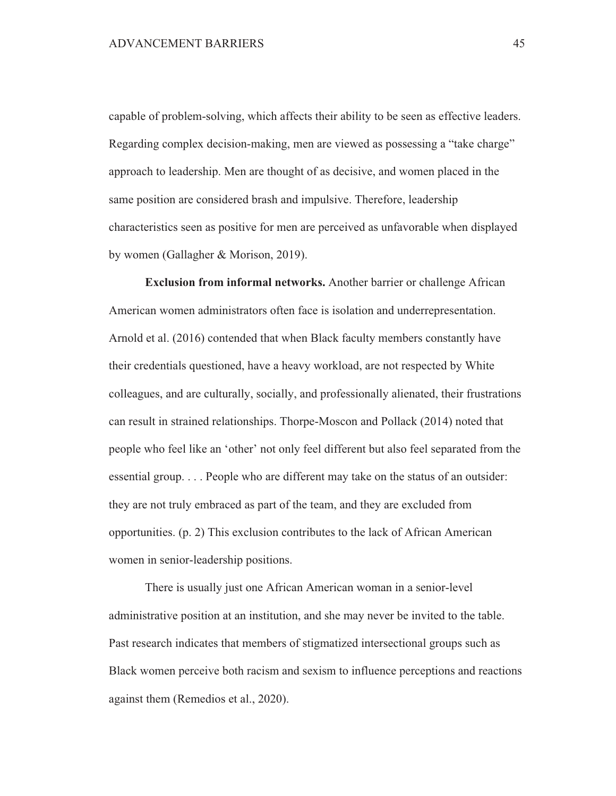capable of problem-solving, which affects their ability to be seen as effective leaders. Regarding complex decision-making, men are viewed as possessing a "take charge" approach to leadership. Men are thought of as decisive, and women placed in the same position are considered brash and impulsive. Therefore, leadership characteristics seen as positive for men are perceived as unfavorable when displayed by women (Gallagher & Morison, 2019).

**Exclusion from informal networks.** Another barrier or challenge African American women administrators often face is isolation and underrepresentation. Arnold et al. (2016) contended that when Black faculty members constantly have their credentials questioned, have a heavy workload, are not respected by White colleagues, and are culturally, socially, and professionally alienated, their frustrations can result in strained relationships. Thorpe-Moscon and Pollack (2014) noted that people who feel like an 'other' not only feel different but also feel separated from the essential group.... People who are different may take on the status of an outsider: they are not truly embraced as part of the team, and they are excluded from opportunities. (p. 2) This exclusion contributes to the lack of African American women in senior-leadership positions.

There is usually just one African American woman in a senior-level administrative position at an institution, and she may never be invited to the table. Past research indicates that members of stigmatized intersectional groups such as Black women perceive both racism and sexism to influence perceptions and reactions against them (Remedios et al., 2020).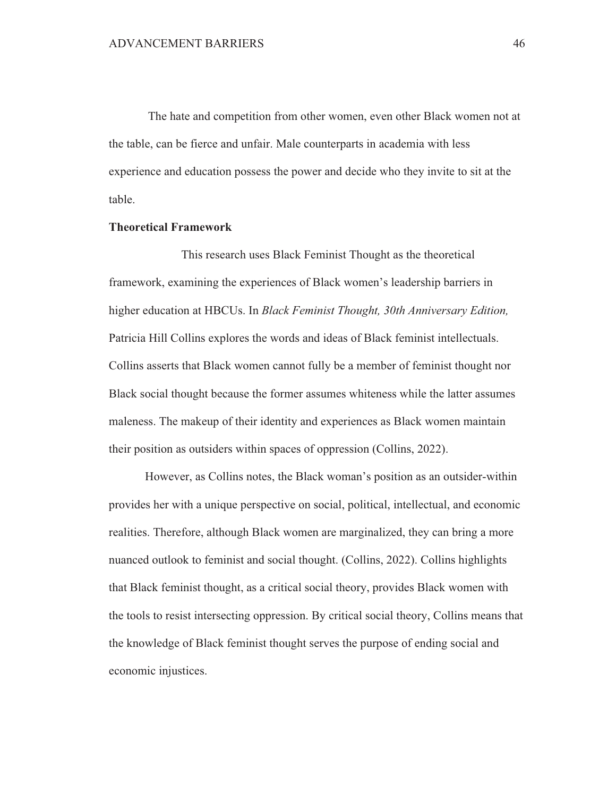The hate and competition from other women, even other Black women not at the table, can be fierce and unfair. Male counterparts in academia with less experience and education possess the power and decide who they invite to sit at the table.

### **Theoretical Framework**

This research uses Black Feminist Thought as the theoretical framework, examining the experiences of Black women's leadership barriers in higher education at HBCUs. In *Black Feminist Thought*, 30th Anniversary Edition, Patricia Hill Collins explores the words and ideas of Black feminist intellectuals. Collins asserts that Black women cannot fully be a member of feminist thought nor Black social thought because the former assumes whiteness while the latter assumes maleness. The makeup of their identity and experiences as Black women maintain their position as outsiders within spaces of oppression (Collins, 2022).

However, as Collins notes, the Black woman's position as an outsider-within provides her with a unique perspective on social, political, intellectual, and economic realities. Therefore, although Black women are marginalized, they can bring a more nuanced outlook to feminist and social thought. (Collins, 2022). Collins highlights that Black feminist thought, as a critical social theory, provides Black women with the tools to resist intersecting oppression. By critical social theory, Collins means that the knowledge of Black feminist thought serves the purpose of ending social and economic injustices.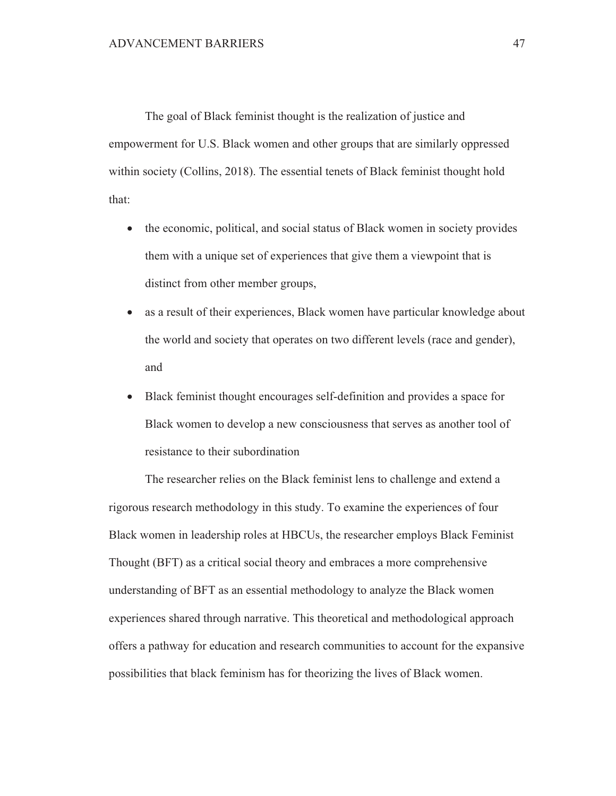The goal of Black feminist thought is the realization of justice and empowerment for U.S. Black women and other groups that are similarly oppressed within society (Collins, 2018). The essential tenets of Black feminist thought hold that:

- the economic, political, and social status of Black women in society provides  $\bullet$ them with a unique set of experiences that give them a viewpoint that is distinct from other member groups,
- $\bullet$ as a result of their experiences, Black women have particular knowledge about the world and society that operates on two different levels (race and gender), and
- Black feminist thought encourages self-definition and provides a space for  $\bullet$ Black women to develop a new consciousness that serves as another tool of resistance to their subordination

The researcher relies on the Black feminist lens to challenge and extend a rigorous research methodology in this study. To examine the experiences of four Black women in leadership roles at HBCUs, the researcher employs Black Feminist Thought (BFT) as a critical social theory and embraces a more comprehensive understanding of BFT as an essential methodology to analyze the Black women experiences shared through narrative. This theoretical and methodological approach offers a pathway for education and research communities to account for the expansive possibilities that black feminism has for theorizing the lives of Black women.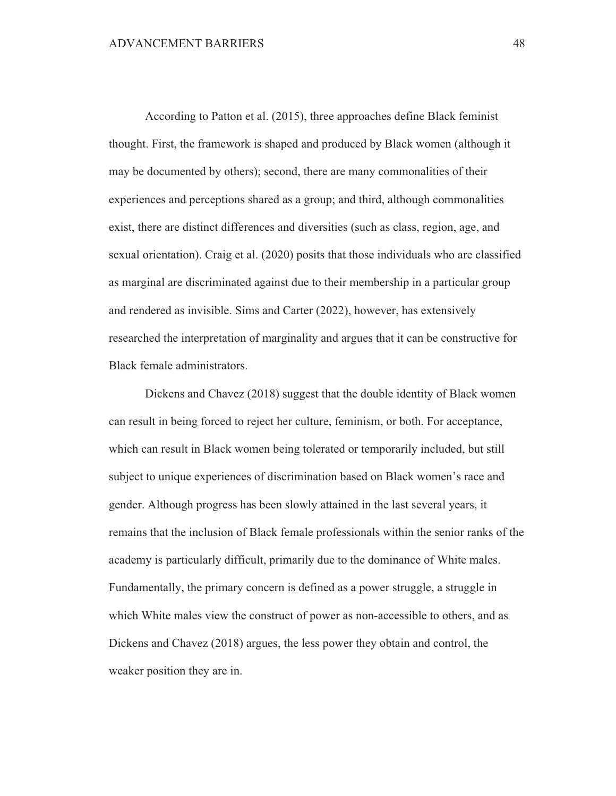According to Patton et al. (2015), three approaches define Black feminist thought. First, the framework is shaped and produced by Black women (although it may be documented by others); second, there are many commonalities of their experiences and perceptions shared as a group; and third, although commonalities exist, there are distinct differences and diversities (such as class, region, age, and sexual orientation). Craig et al. (2020) posits that those individuals who are classified as marginal are discriminated against due to their membership in a particular group and rendered as invisible. Sims and Carter (2022), however, has extensively researched the interpretation of marginality and argues that it can be constructive for Black female administrators.

Dickens and Chavez (2018) suggest that the double identity of Black women can result in being forced to reject her culture, feminism, or both. For acceptance, which can result in Black women being tolerated or temporarily included, but still subject to unique experiences of discrimination based on Black women's race and gender. Although progress has been slowly attained in the last several years, it remains that the inclusion of Black female professionals within the senior ranks of the academy is particularly difficult, primarily due to the dominance of White males. Fundamentally, the primary concern is defined as a power struggle, a struggle in which White males view the construct of power as non-accessible to others, and as Dickens and Chavez (2018) argues, the less power they obtain and control, the weaker position they are in.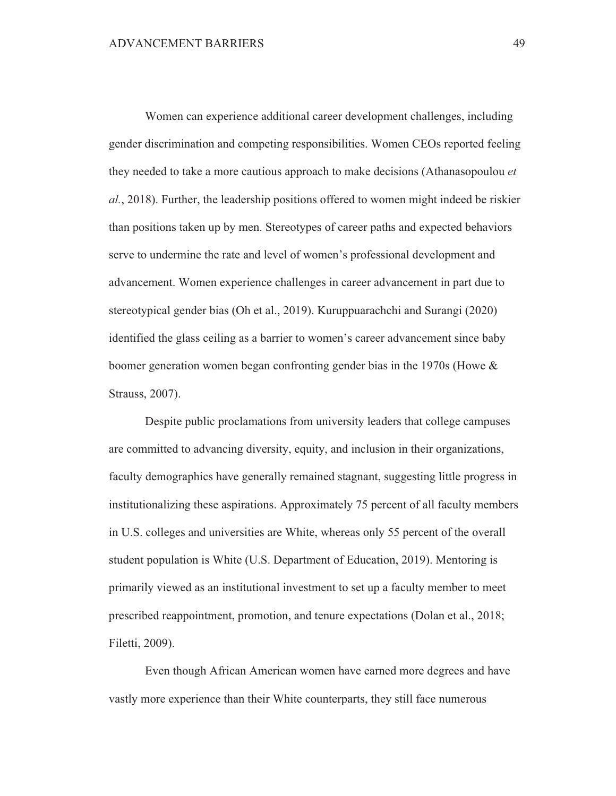Women can experience additional career development challenges, including gender discrimination and competing responsibilities. Women CEOs reported feeling they needed to take a more cautious approach to make decisions (Athanasopoulou et al., 2018). Further, the leadership positions offered to women might indeed be riskier than positions taken up by men. Stereotypes of career paths and expected behaviors serve to undermine the rate and level of women's professional development and advancement. Women experience challenges in career advancement in part due to stereotypical gender bias (Oh et al., 2019). Kuruppuarachchi and Surangi (2020) identified the glass ceiling as a barrier to women's career advancement since baby boomer generation women began confronting gender bias in the 1970s (Howe  $\&$ Strauss, 2007).

Despite public proclamations from university leaders that college campuses are committed to advancing diversity, equity, and inclusion in their organizations, faculty demographics have generally remained stagnant, suggesting little progress in institutionalizing these aspirations. Approximately 75 percent of all faculty members in U.S. colleges and universities are White, whereas only 55 percent of the overall student population is White (U.S. Department of Education, 2019). Mentoring is primarily viewed as an institutional investment to set up a faculty member to meet prescribed reappointment, promotion, and tenure expectations (Dolan et al., 2018; Filetti, 2009).

Even though African American women have earned more degrees and have vastly more experience than their White counterparts, they still face numerous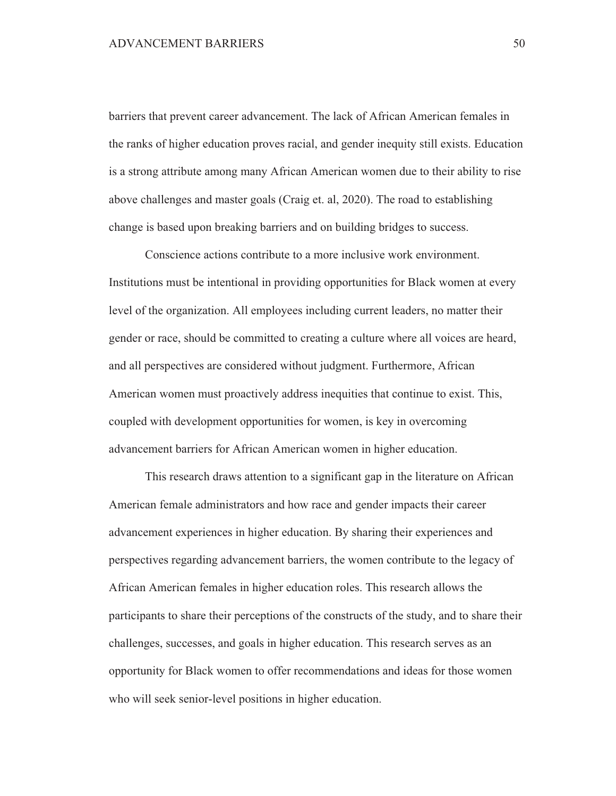barriers that prevent career advancement. The lack of African American females in the ranks of higher education proves racial, and gender inequity still exists. Education is a strong attribute among many African American women due to their ability to rise above challenges and master goals (Craig et. al, 2020). The road to establishing change is based upon breaking barriers and on building bridges to success.

Conscience actions contribute to a more inclusive work environment. Institutions must be intentional in providing opportunities for Black women at every level of the organization. All employees including current leaders, no matter their gender or race, should be committed to creating a culture where all voices are heard, and all perspectives are considered without judgment. Furthermore, African American women must proactively address inequities that continue to exist. This, coupled with development opportunities for women, is key in overcoming advancement barriers for African American women in higher education.

This research draws attention to a significant gap in the literature on African American female administrators and how race and gender impacts their career advancement experiences in higher education. By sharing their experiences and perspectives regarding advancement barriers, the women contribute to the legacy of African American females in higher education roles. This research allows the participants to share their perceptions of the constructs of the study, and to share their challenges, successes, and goals in higher education. This research serves as an opportunity for Black women to offer recommendations and ideas for those women who will seek senior-level positions in higher education.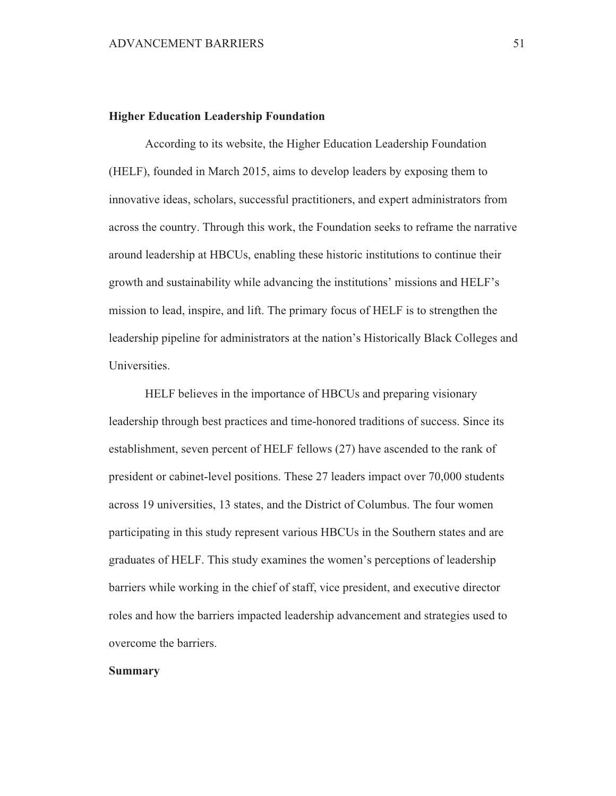#### **Higher Education Leadership Foundation**

According to its website, the Higher Education Leadership Foundation (HELF), founded in March 2015, aims to develop leaders by exposing them to innovative ideas, scholars, successful practitioners, and expert administrators from across the country. Through this work, the Foundation seeks to reframe the narrative around leadership at HBCUs, enabling these historic institutions to continue their growth and sustainability while advancing the institutions' missions and HELF's mission to lead, inspire, and lift. The primary focus of HELF is to strengthen the leadership pipeline for administrators at the nation's Historically Black Colleges and Universities.

HELF believes in the importance of HBCUs and preparing visionary leadership through best practices and time-honored traditions of success. Since its establishment, seven percent of HELF fellows (27) have ascended to the rank of president or cabinet-level positions. These 27 leaders impact over 70,000 students across 19 universities, 13 states, and the District of Columbus. The four women participating in this study represent various HBCUs in the Southern states and are graduates of HELF. This study examines the women's perceptions of leadership barriers while working in the chief of staff, vice president, and executive director roles and how the barriers impacted leadership advancement and strategies used to overcome the barriers.

#### **Summary**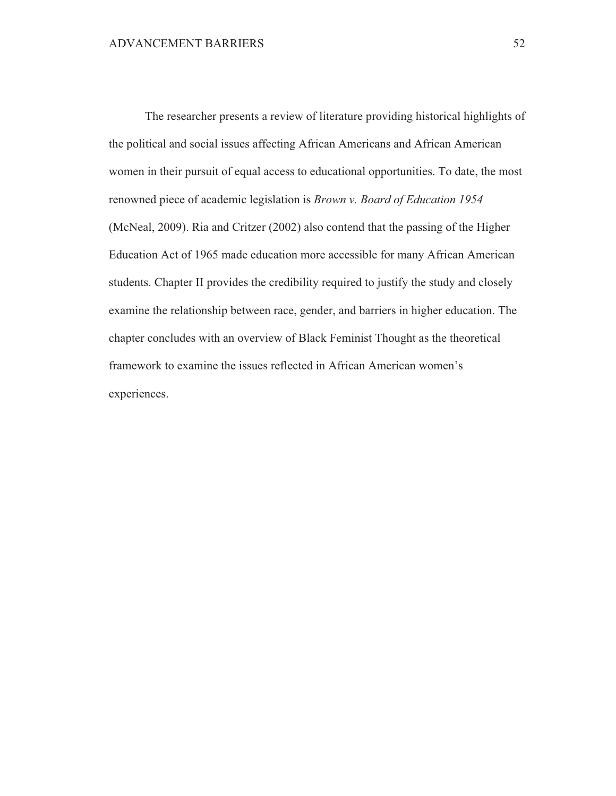The researcher presents a review of literature providing historical highlights of the political and social issues affecting African Americans and African American women in their pursuit of equal access to educational opportunities. To date, the most renowned piece of academic legislation is *Brown v. Board of Education 1954* (McNeal, 2009). Ria and Critzer (2002) also contend that the passing of the Higher Education Act of 1965 made education more accessible for many African American students. Chapter II provides the credibility required to justify the study and closely examine the relationship between race, gender, and barriers in higher education. The chapter concludes with an overview of Black Feminist Thought as the theoretical framework to examine the issues reflected in African American women's experiences.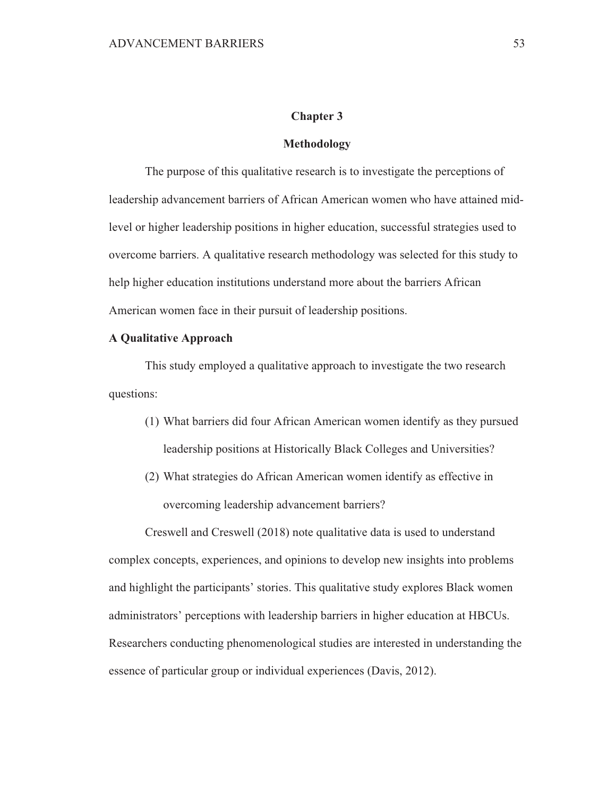# **Chapter 3**

### **Methodology**

The purpose of this qualitative research is to investigate the perceptions of leadership advancement barriers of African American women who have attained midlevel or higher leadership positions in higher education, successful strategies used to overcome barriers. A qualitative research methodology was selected for this study to help higher education institutions understand more about the barriers African American women face in their pursuit of leadership positions.

# **A Qualitative Approach**

This study employed a qualitative approach to investigate the two research questions:

- (1) What barriers did four African American women identify as they pursued leadership positions at Historically Black Colleges and Universities?
- (2) What strategies do African American women identify as effective in overcoming leadership advancement barriers?

Creswell and Creswell (2018) note qualitative data is used to understand complex concepts, experiences, and opinions to develop new insights into problems and highlight the participants' stories. This qualitative study explores Black women administrators' perceptions with leadership barriers in higher education at HBCUs. Researchers conducting phenomenological studies are interested in understanding the essence of particular group or individual experiences (Davis, 2012).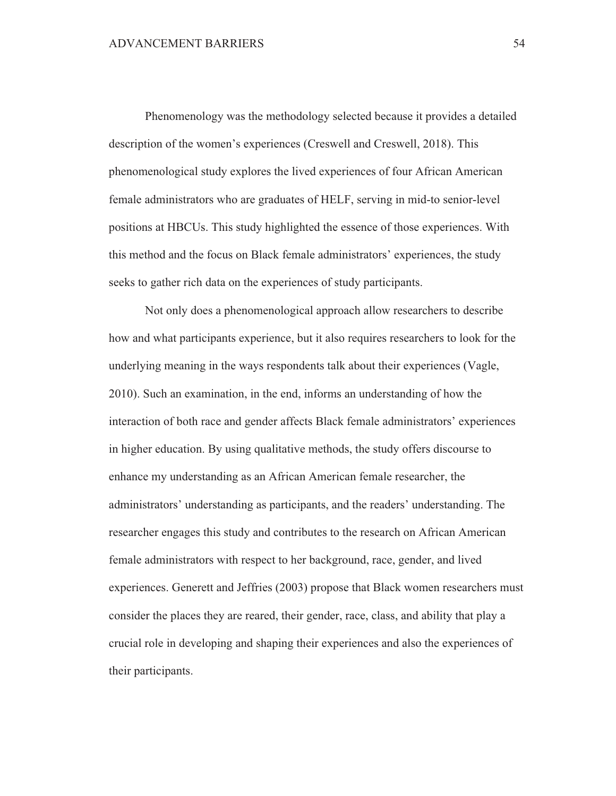Phenomenology was the methodology selected because it provides a detailed description of the women's experiences (Creswell and Creswell, 2018). This phenomenological study explores the lived experiences of four African American female administrators who are graduates of HELF, serving in mid-to senior-level positions at HBCUs. This study highlighted the essence of those experiences. With this method and the focus on Black female administrators' experiences, the study seeks to gather rich data on the experiences of study participants.

Not only does a phenomenological approach allow researchers to describe how and what participants experience, but it also requires researchers to look for the underlying meaning in the ways respondents talk about their experiences (Vagle, 2010). Such an examination, in the end, informs an understanding of how the interaction of both race and gender affects Black female administrators' experiences in higher education. By using qualitative methods, the study offers discourse to enhance my understanding as an African American female researcher, the administrators' understanding as participants, and the readers' understanding. The researcher engages this study and contributes to the research on African American female administrators with respect to her background, race, gender, and lived experiences. Generett and Jeffries (2003) propose that Black women researchers must consider the places they are reared, their gender, race, class, and ability that play a crucial role in developing and shaping their experiences and also the experiences of their participants.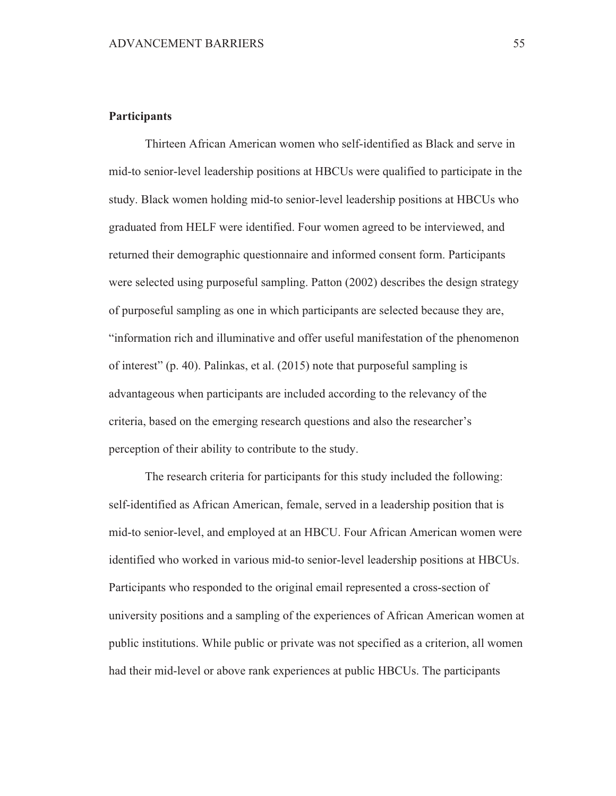# **Participants**

Thirteen African American women who self-identified as Black and serve in mid-to senior-level leadership positions at HBCUs were qualified to participate in the study. Black women holding mid-to senior-level leadership positions at HBCUs who graduated from HELF were identified. Four women agreed to be interviewed, and returned their demographic questionnaire and informed consent form. Participants were selected using purposeful sampling. Patton (2002) describes the design strategy of purposeful sampling as one in which participants are selected because they are, "information rich and illuminative and offer useful manifestation of the phenomenon of interest" (p. 40). Palinkas, et al. (2015) note that purposeful sampling is advantageous when participants are included according to the relevancy of the criteria, based on the emerging research questions and also the researcher's perception of their ability to contribute to the study.

The research criteria for participants for this study included the following: self-identified as African American, female, served in a leadership position that is mid-to senior-level, and employed at an HBCU. Four African American women were identified who worked in various mid-to senior-level leadership positions at HBCUs. Participants who responded to the original email represented a cross-section of university positions and a sampling of the experiences of African American women at public institutions. While public or private was not specified as a criterion, all women had their mid-level or above rank experiences at public HBCUs. The participants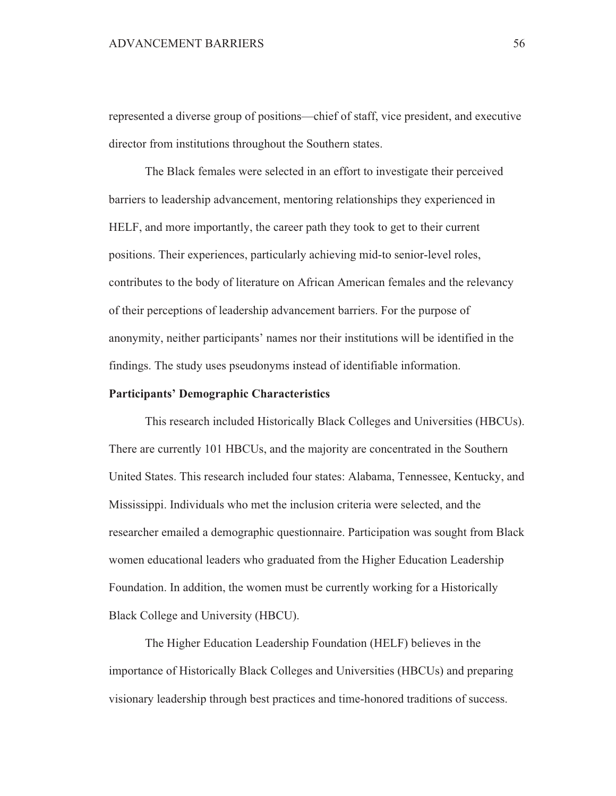represented a diverse group of positions—chief of staff, vice president, and executive director from institutions throughout the Southern states.

The Black females were selected in an effort to investigate their perceived barriers to leadership advancement, mentoring relationships they experienced in HELF, and more importantly, the career path they took to get to their current positions. Their experiences, particularly achieving mid-to senior-level roles, contributes to the body of literature on African American females and the relevancy of their perceptions of leadership advancement barriers. For the purpose of anonymity, neither participants' names nor their institutions will be identified in the findings. The study uses pseudonyms instead of identifiable information.

### **Participants' Demographic Characteristics**

This research included Historically Black Colleges and Universities (HBCUs). There are currently 101 HBCUs, and the majority are concentrated in the Southern United States. This research included four states: Alabama, Tennessee, Kentucky, and Mississippi. Individuals who met the inclusion criteria were selected, and the researcher emailed a demographic questionnaire. Participation was sought from Black women educational leaders who graduated from the Higher Education Leadership Foundation. In addition, the women must be currently working for a Historically Black College and University (HBCU).

The Higher Education Leadership Foundation (HELF) believes in the importance of Historically Black Colleges and Universities (HBCUs) and preparing visionary leadership through best practices and time-honored traditions of success.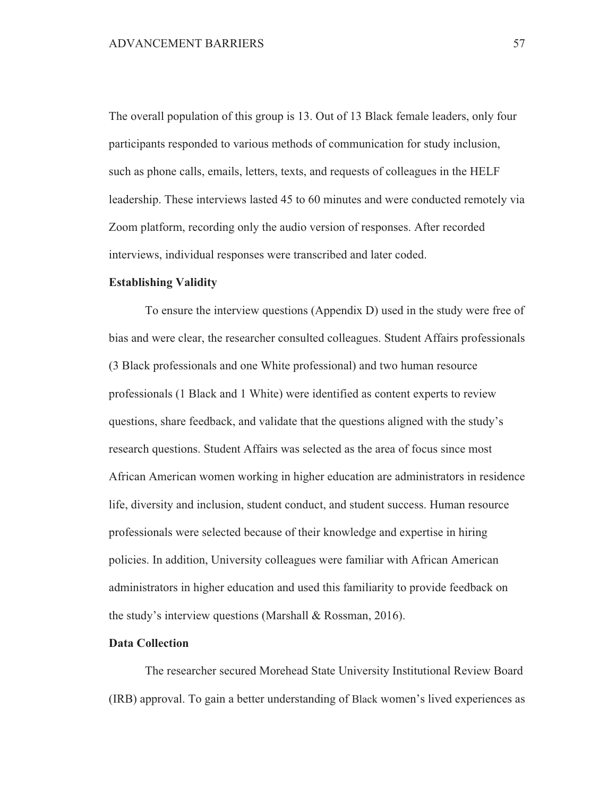The overall population of this group is 13. Out of 13 Black female leaders, only four participants responded to various methods of communication for study inclusion, such as phone calls, emails, letters, texts, and requests of colleagues in the HELF leadership. These interviews lasted 45 to 60 minutes and were conducted remotely via Zoom platform, recording only the audio version of responses. After recorded interviews, individual responses were transcribed and later coded.

#### **Establishing Validity**

To ensure the interview questions (Appendix D) used in the study were free of bias and were clear, the researcher consulted colleagues. Student Affairs professionals (3 Black professionals and one White professional) and two human resource professionals (1 Black and 1 White) were identified as content experts to review questions, share feedback, and validate that the questions aligned with the study's research questions. Student Affairs was selected as the area of focus since most African American women working in higher education are administrators in residence life, diversity and inclusion, student conduct, and student success. Human resource professionals were selected because of their knowledge and expertise in hiring policies. In addition, University colleagues were familiar with African American administrators in higher education and used this familiarity to provide feedback on the study's interview questions (Marshall & Rossman, 2016).

# **Data Collection**

The researcher secured Morehead State University Institutional Review Board (IRB) approval. To gain a better understanding of Black women's lived experiences as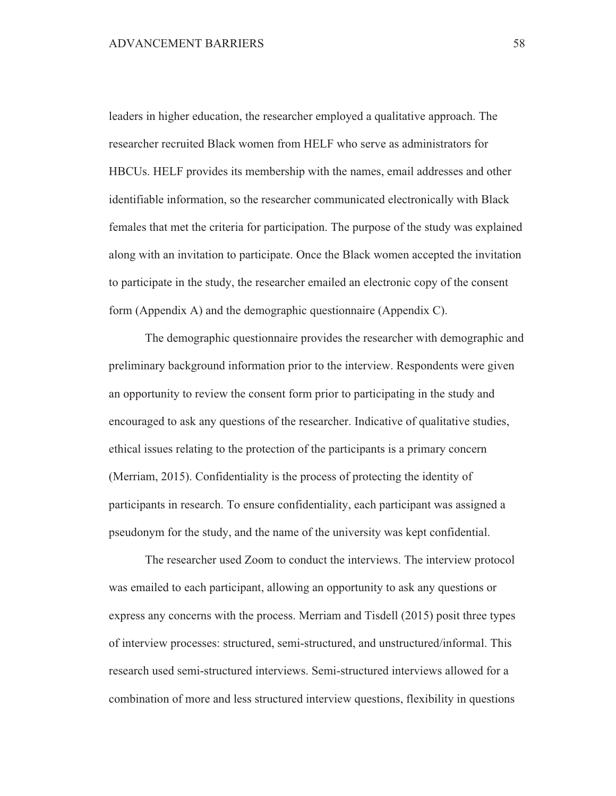leaders in higher education, the researcher employed a qualitative approach. The researcher recruited Black women from HELF who serve as administrators for HBCUs. HELF provides its membership with the names, email addresses and other identifiable information, so the researcher communicated electronically with Black females that met the criteria for participation. The purpose of the study was explained along with an invitation to participate. Once the Black women accepted the invitation to participate in the study, the researcher emailed an electronic copy of the consent form (Appendix A) and the demographic questionnaire (Appendix C).

The demographic questionnaire provides the researcher with demographic and preliminary background information prior to the interview. Respondents were given an opportunity to review the consent form prior to participating in the study and encouraged to ask any questions of the researcher. Indicative of qualitative studies, ethical issues relating to the protection of the participants is a primary concern (Merriam, 2015). Confidentiality is the process of protecting the identity of participants in research. To ensure confidentiality, each participant was assigned a pseudonym for the study, and the name of the university was kept confidential.

The researcher used Zoom to conduct the interviews. The interview protocol was emailed to each participant, allowing an opportunity to ask any questions or express any concerns with the process. Merriam and Tisdell (2015) posit three types of interview processes: structured, semi-structured, and unstructured/informal. This research used semi-structured interviews. Semi-structured interviews allowed for a combination of more and less structured interview questions, flexibility in questions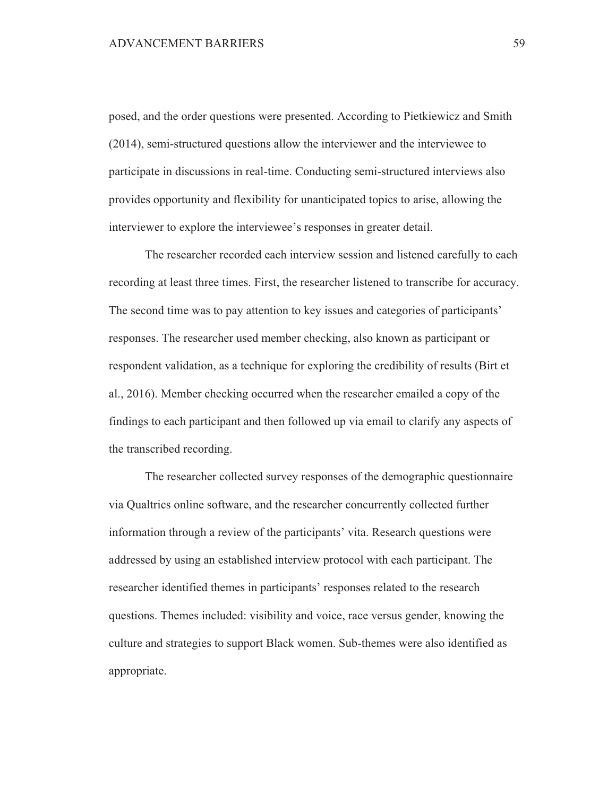posed, and the order questions were presented. According to Pietkiewicz and Smith (2014), semi-structured questions allow the interviewer and the interviewee to participate in discussions in real-time. Conducting semi-structured interviews also provides opportunity and flexibility for unanticipated topics to arise, allowing the interviewer to explore the interviewee's responses in greater detail.

The researcher recorded each interview session and listened carefully to each recording at least three times. First, the researcher listened to transcribe for accuracy. The second time was to pay attention to key issues and categories of participants' responses. The researcher used member checking, also known as participant or respondent validation, as a technique for exploring the credibility of results (Birt et al., 2016). Member checking occurred when the researcher emailed a copy of the findings to each participant and then followed up via email to clarify any aspects of the transcribed recording.

The researcher collected survey responses of the demographic questionnaire via Qualtrics online software, and the researcher concurrently collected further information through a review of the participants' vita. Research questions were addressed by using an established interview protocol with each participant. The researcher identified themes in participants' responses related to the research questions. Themes included: visibility and voice, race versus gender, knowing the culture and strategies to support Black women. Sub-themes were also identified as appropriate.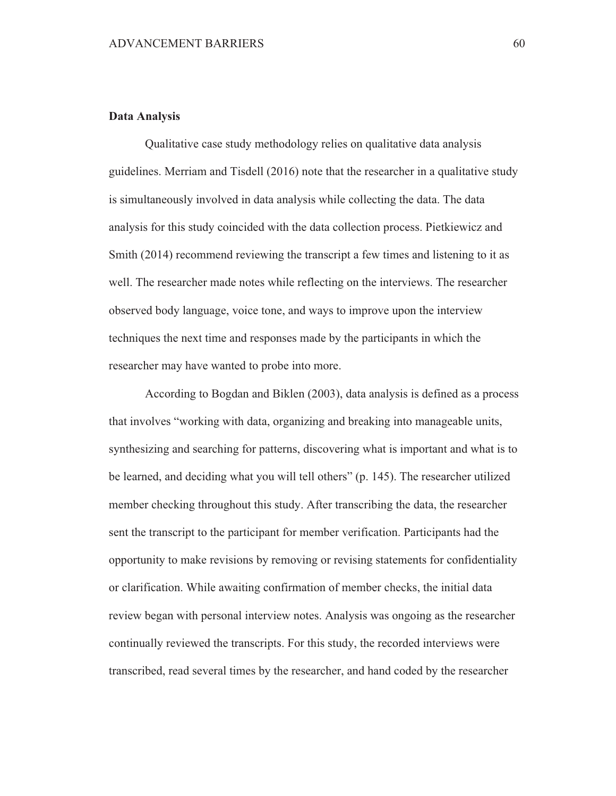# **Data Analysis**

Qualitative case study methodology relies on qualitative data analysis guidelines. Merriam and Tisdell (2016) note that the researcher in a qualitative study is simultaneously involved in data analysis while collecting the data. The data analysis for this study coincided with the data collection process. Pietkiewicz and Smith (2014) recommend reviewing the transcript a few times and listening to it as well. The researcher made notes while reflecting on the interviews. The researcher observed body language, voice tone, and ways to improve upon the interview techniques the next time and responses made by the participants in which the researcher may have wanted to probe into more.

According to Bogdan and Biklen (2003), data analysis is defined as a process that involves "working with data, organizing and breaking into manageable units, synthesizing and searching for patterns, discovering what is important and what is to be learned, and deciding what you will tell others" (p. 145). The researcher utilized member checking throughout this study. After transcribing the data, the researcher sent the transcript to the participant for member verification. Participants had the opportunity to make revisions by removing or revising statements for confidentiality or clarification. While awaiting confirmation of member checks, the initial data review began with personal interview notes. Analysis was ongoing as the researcher continually reviewed the transcripts. For this study, the recorded interviews were transcribed, read several times by the researcher, and hand coded by the researcher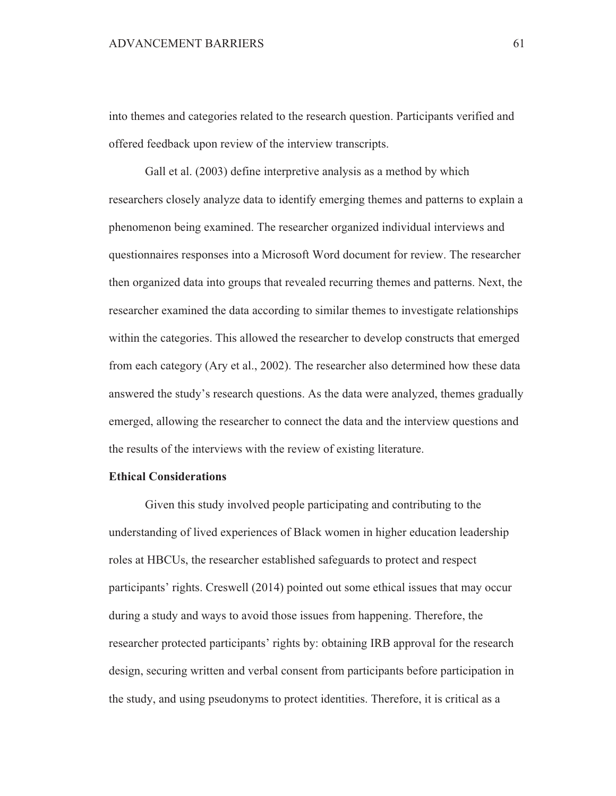into themes and categories related to the research question. Participants verified and offered feedback upon review of the interview transcripts.

Gall et al. (2003) define interpretive analysis as a method by which researchers closely analyze data to identify emerging themes and patterns to explain a phenomenon being examined. The researcher organized individual interviews and questionnaires responses into a Microsoft Word document for review. The researcher then organized data into groups that revealed recurring themes and patterns. Next, the researcher examined the data according to similar themes to investigate relationships within the categories. This allowed the researcher to develop constructs that emerged from each category (Ary et al., 2002). The researcher also determined how these data answered the study's research questions. As the data were analyzed, themes gradually emerged, allowing the researcher to connect the data and the interview questions and the results of the interviews with the review of existing literature.

# **Ethical Considerations**

Given this study involved people participating and contributing to the understanding of lived experiences of Black women in higher education leadership roles at HBCUs, the researcher established safeguards to protect and respect participants' rights. Creswell (2014) pointed out some ethical issues that may occur during a study and ways to avoid those issues from happening. Therefore, the researcher protected participants' rights by: obtaining IRB approval for the research design, securing written and verbal consent from participants before participation in the study, and using pseudonyms to protect identities. Therefore, it is critical as a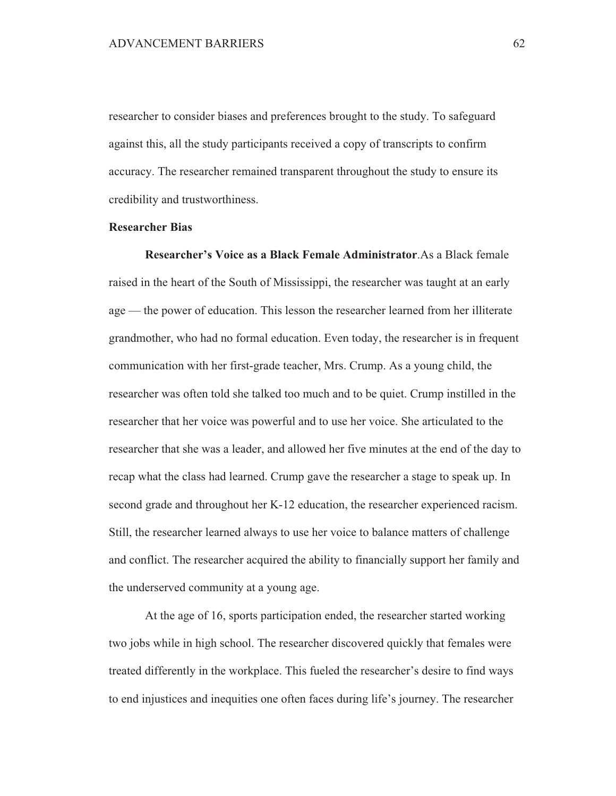researcher to consider biases and preferences brought to the study. To safeguard against this, all the study participants received a copy of transcripts to confirm accuracy. The researcher remained transparent throughout the study to ensure its credibility and trustworthiness.

### **Researcher Bias**

Researcher's Voice as a Black Female Administrator. As a Black female raised in the heart of the South of Mississippi, the researcher was taught at an early age — the power of education. This lesson the researcher learned from her illiterate grandmother, who had no formal education. Even today, the researcher is in frequent communication with her first-grade teacher, Mrs. Crump. As a young child, the researcher was often told she talked too much and to be quiet. Crump instilled in the researcher that her voice was powerful and to use her voice. She articulated to the researcher that she was a leader, and allowed her five minutes at the end of the day to recap what the class had learned. Crump gave the researcher a stage to speak up. In second grade and throughout her K-12 education, the researcher experienced racism. Still, the researcher learned always to use her voice to balance matters of challenge and conflict. The researcher acquired the ability to financially support her family and the underserved community at a young age.

At the age of 16, sports participation ended, the researcher started working two jobs while in high school. The researcher discovered quickly that females were treated differently in the workplace. This fueled the researcher's desire to find ways to end injustices and inequities one often faces during life's journey. The researcher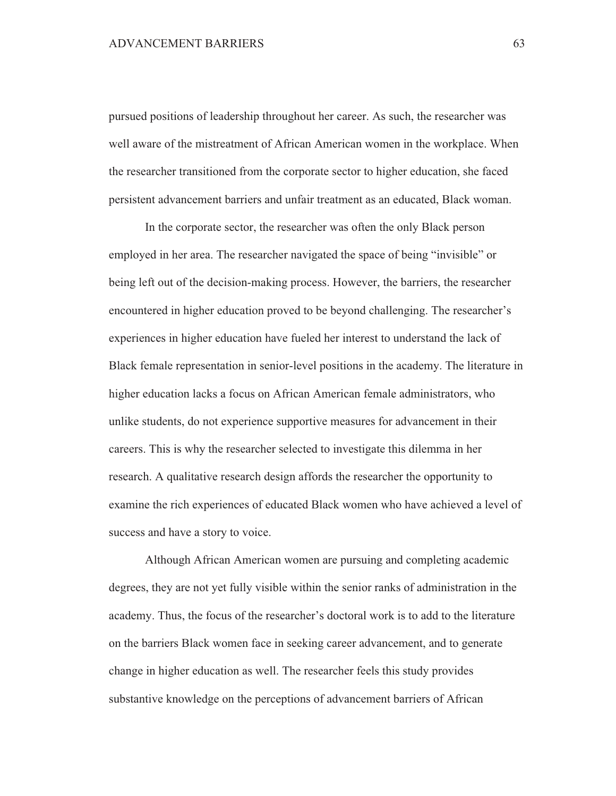pursued positions of leadership throughout her career. As such, the researcher was well aware of the mistreatment of African American women in the workplace. When the researcher transitioned from the corporate sector to higher education, she faced persistent advancement barriers and unfair treatment as an educated, Black woman.

In the corporate sector, the researcher was often the only Black person employed in her area. The researcher navigated the space of being "invisible" or being left out of the decision-making process. However, the barriers, the researcher encountered in higher education proved to be beyond challenging. The researcher's experiences in higher education have fueled her interest to understand the lack of Black female representation in senior-level positions in the academy. The literature in higher education lacks a focus on African American female administrators, who unlike students, do not experience supportive measures for advancement in their careers. This is why the researcher selected to investigate this dilemma in her research. A qualitative research design affords the researcher the opportunity to examine the rich experiences of educated Black women who have achieved a level of success and have a story to voice.

Although African American women are pursuing and completing academic degrees, they are not yet fully visible within the senior ranks of administration in the academy. Thus, the focus of the researcher's doctoral work is to add to the literature on the barriers Black women face in seeking career advancement, and to generate change in higher education as well. The researcher feels this study provides substantive knowledge on the perceptions of advancement barriers of African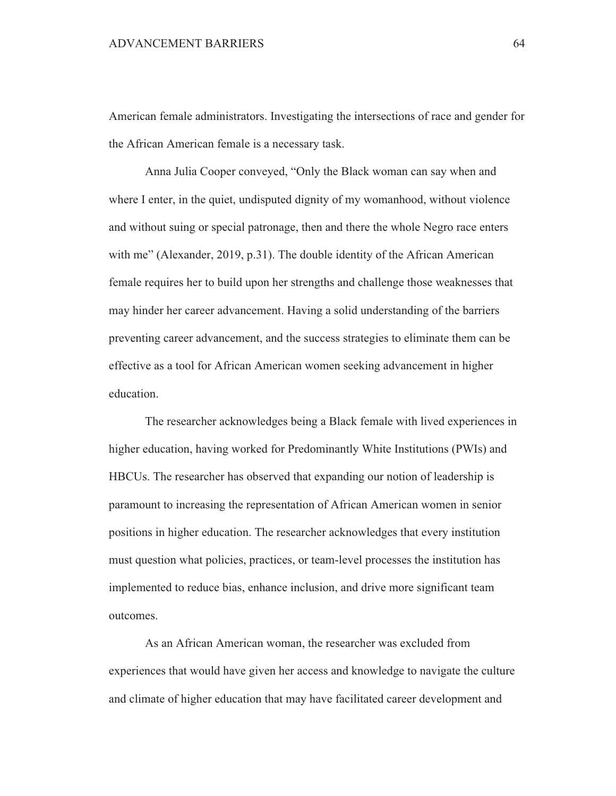American female administrators. Investigating the intersections of race and gender for the African American female is a necessary task.

Anna Julia Cooper conveyed, "Only the Black woman can say when and where I enter, in the quiet, undisputed dignity of my womanhood, without violence and without suing or special patronage, then and there the whole Negro race enters with me" (Alexander, 2019, p.31). The double identity of the African American female requires her to build upon her strengths and challenge those weaknesses that may hinder her career advancement. Having a solid understanding of the barriers preventing career advancement, and the success strategies to eliminate them can be effective as a tool for African American women seeking advancement in higher education.

The researcher acknowledges being a Black female with lived experiences in higher education, having worked for Predominantly White Institutions (PWIs) and HBCUs. The researcher has observed that expanding our notion of leadership is paramount to increasing the representation of African American women in senior positions in higher education. The researcher acknowledges that every institution must question what policies, practices, or team-level processes the institution has implemented to reduce bias, enhance inclusion, and drive more significant team outcomes.

As an African American woman, the researcher was excluded from experiences that would have given her access and knowledge to navigate the culture and climate of higher education that may have facilitated career development and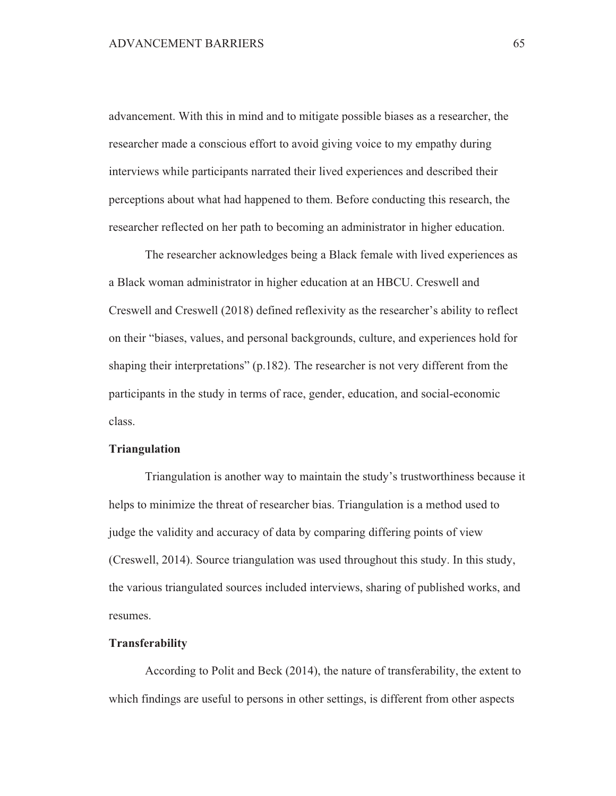advancement. With this in mind and to mitigate possible biases as a researcher, the researcher made a conscious effort to avoid giving voice to my empathy during interviews while participants narrated their lived experiences and described their perceptions about what had happened to them. Before conducting this research, the researcher reflected on her path to becoming an administrator in higher education.

The researcher acknowledges being a Black female with lived experiences as a Black woman administrator in higher education at an HBCU. Creswell and Creswell and Creswell (2018) defined reflexivity as the researcher's ability to reflect on their "biases, values, and personal backgrounds, culture, and experiences hold for shaping their interpretations"  $(p.182)$ . The researcher is not very different from the participants in the study in terms of race, gender, education, and social-economic class.

### **Triangulation**

Triangulation is another way to maintain the study's trustworthiness because it helps to minimize the threat of researcher bias. Triangulation is a method used to judge the validity and accuracy of data by comparing differing points of view (Creswell, 2014). Source triangulation was used throughout this study. In this study, the various triangulated sources included interviews, sharing of published works, and resumes.

# **Transferability**

According to Polit and Beck (2014), the nature of transferability, the extent to which findings are useful to persons in other settings, is different from other aspects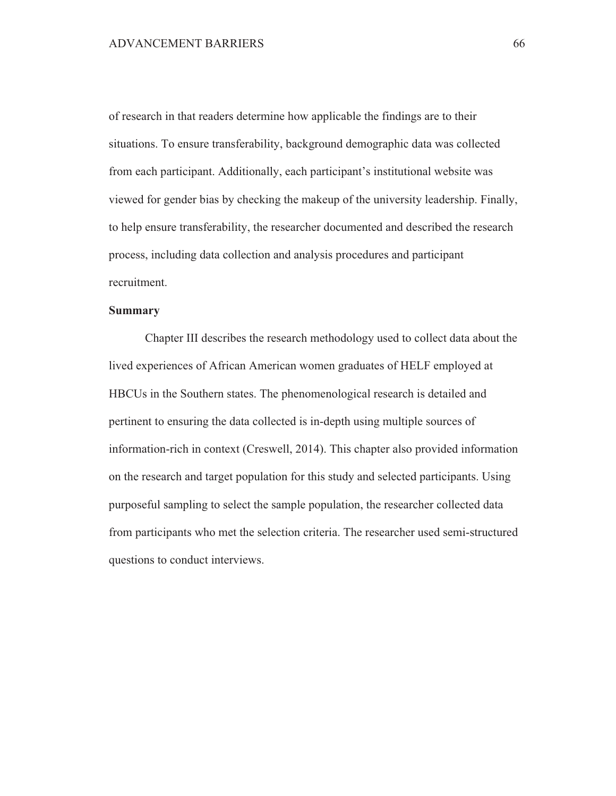of research in that readers determine how applicable the findings are to their situations. To ensure transferability, background demographic data was collected from each participant. Additionally, each participant's institutional website was viewed for gender bias by checking the makeup of the university leadership. Finally, to help ensure transferability, the researcher documented and described the research process, including data collection and analysis procedures and participant recruitment.

#### **Summary**

Chapter III describes the research methodology used to collect data about the lived experiences of African American women graduates of HELF employed at HBCUs in the Southern states. The phenomenological research is detailed and pertinent to ensuring the data collected is in-depth using multiple sources of information-rich in context (Creswell, 2014). This chapter also provided information on the research and target population for this study and selected participants. Using purposeful sampling to select the sample population, the researcher collected data from participants who met the selection criteria. The researcher used semi-structured questions to conduct interviews.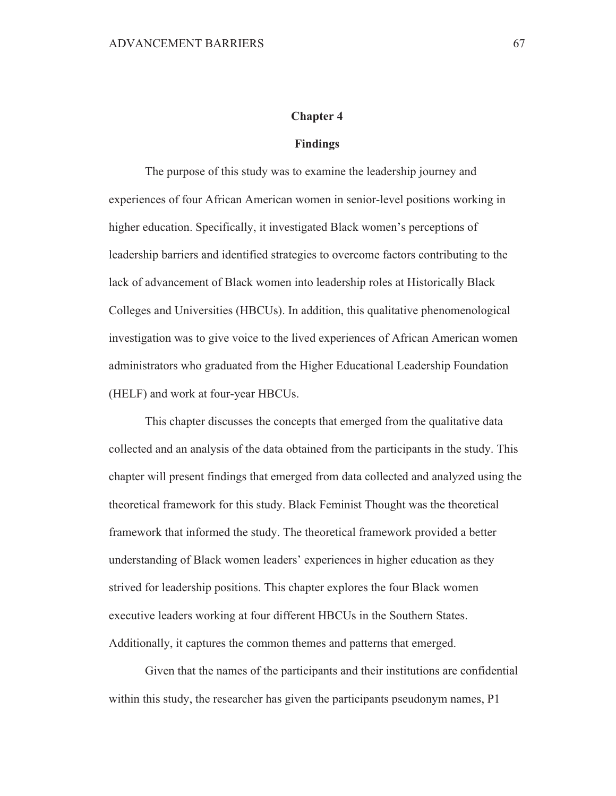### **Chapter 4**

#### **Findings**

The purpose of this study was to examine the leadership journey and experiences of four African American women in senior-level positions working in higher education. Specifically, it investigated Black women's perceptions of leadership barriers and identified strategies to overcome factors contributing to the lack of advancement of Black women into leadership roles at Historically Black Colleges and Universities (HBCUs). In addition, this qualitative phenomenological investigation was to give voice to the lived experiences of African American women administrators who graduated from the Higher Educational Leadership Foundation (HELF) and work at four-year HBCUs.

This chapter discusses the concepts that emerged from the qualitative data collected and an analysis of the data obtained from the participants in the study. This chapter will present findings that emerged from data collected and analyzed using the theoretical framework for this study. Black Feminist Thought was the theoretical framework that informed the study. The theoretical framework provided a better understanding of Black women leaders' experiences in higher education as they strived for leadership positions. This chapter explores the four Black women executive leaders working at four different HBCUs in the Southern States. Additionally, it captures the common themes and patterns that emerged.

Given that the names of the participants and their institutions are confidential within this study, the researcher has given the participants pseudonym names, P1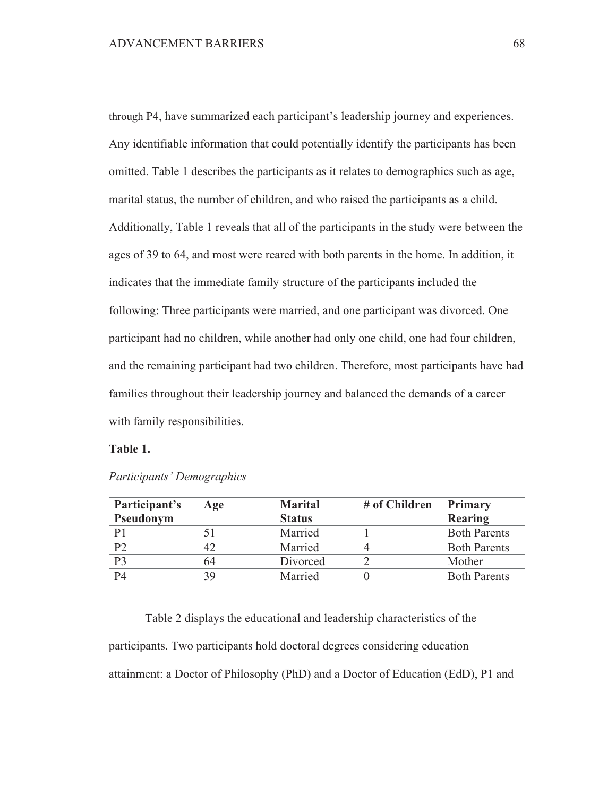through P4, have summarized each participant's leadership journey and experiences. Any identifiable information that could potentially identify the participants has been omitted. Table 1 describes the participants as it relates to demographics such as age, marital status, the number of children, and who raised the participants as a child. Additionally, Table 1 reveals that all of the participants in the study were between the ages of 39 to 64, and most were reared with both parents in the home. In addition, it indicates that the immediate family structure of the participants included the following: Three participants were married, and one participant was divorced. One participant had no children, while another had only one child, one had four children, and the remaining participant had two children. Therefore, most participants have had families throughout their leadership journey and balanced the demands of a career with family responsibilities.

# Table 1.

| Participant's<br>Pseudonym | Age | <b>Marital</b><br><b>Status</b> | # of Children | <b>Primary</b><br>Rearing |
|----------------------------|-----|---------------------------------|---------------|---------------------------|
| P1                         |     | Married                         |               | <b>Both Parents</b>       |
| P2                         |     | Married                         |               | <b>Both Parents</b>       |
| P3                         | 64  | Divorced                        |               | Mother                    |
| P4                         | 39  | Married                         |               | <b>Both Parents</b>       |

| Participants' Demographics |  |  |
|----------------------------|--|--|
|----------------------------|--|--|

Table 2 displays the educational and leadership characteristics of the participants. Two participants hold doctoral degrees considering education attainment: a Doctor of Philosophy (PhD) and a Doctor of Education (EdD), P1 and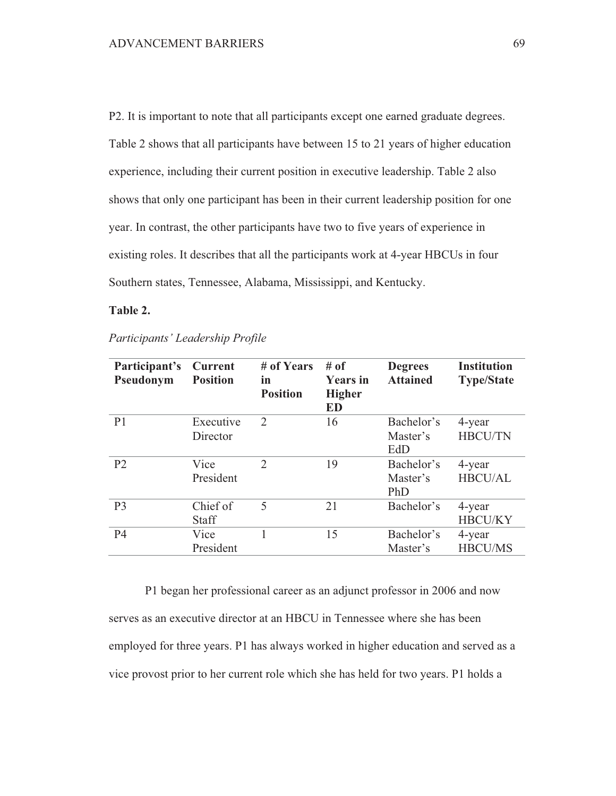P2. It is important to note that all participants except one earned graduate degrees. Table 2 shows that all participants have between 15 to 21 years of higher education experience, including their current position in executive leadership. Table 2 also shows that only one participant has been in their current leadership position for one year. In contrast, the other participants have two to five years of experience in existing roles. It describes that all the participants work at 4-year HBCUs in four Southern states, Tennessee, Alabama, Mississippi, and Kentucky.

# Table 2.

| Participant's<br>Pseudonym | <b>Current</b><br><b>Position</b> | # of Years<br>in<br><b>Position</b> | # of<br><b>Years</b> in<br><b>Higher</b><br><b>ED</b> | <b>Degrees</b><br><b>Attained</b> | <b>Institution</b><br><b>Type/State</b> |
|----------------------------|-----------------------------------|-------------------------------------|-------------------------------------------------------|-----------------------------------|-----------------------------------------|
| P <sub>1</sub>             | Executive                         | 2                                   | 16                                                    | Bachelor's                        | 4-year                                  |
|                            | Director                          |                                     |                                                       | Master's                          | <b>HBCU/TN</b>                          |
|                            |                                   |                                     |                                                       | EdD                               |                                         |
| P <sub>2</sub>             | Vice                              | $\overline{2}$                      | 19                                                    | Bachelor's                        | 4-year                                  |
|                            | President                         |                                     |                                                       | Master's                          | HBCU/AL                                 |
|                            |                                   |                                     |                                                       | PhD                               |                                         |
| P <sub>3</sub>             | Chief of                          | 5                                   | 21                                                    | Bachelor's                        | 4-year                                  |
|                            | <b>Staff</b>                      |                                     |                                                       |                                   | <b>HBCU/KY</b>                          |
| <b>P4</b>                  | Vice                              |                                     | 15                                                    | Bachelor's                        | 4-year                                  |
|                            | President                         |                                     |                                                       | Master's                          | <b>HBCU/MS</b>                          |

Participants' Leadership Profile

P1 began her professional career as an adjunct professor in 2006 and now serves as an executive director at an HBCU in Tennessee where she has been employed for three years. P1 has always worked in higher education and served as a vice provost prior to her current role which she has held for two years. P1 holds a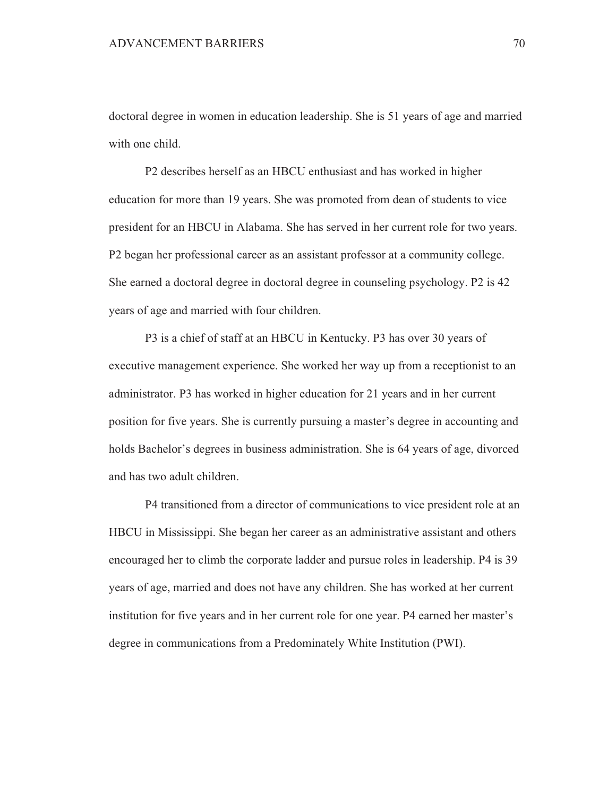doctoral degree in women in education leadership. She is 51 years of age and married with one child.

P2 describes herself as an HBCU enthusiast and has worked in higher education for more than 19 years. She was promoted from dean of students to vice president for an HBCU in Alabama. She has served in her current role for two years. P2 began her professional career as an assistant professor at a community college. She earned a doctoral degree in doctoral degree in counseling psychology. P2 is 42 years of age and married with four children.

P3 is a chief of staff at an HBCU in Kentucky. P3 has over 30 years of executive management experience. She worked her way up from a receptionist to an administrator. P3 has worked in higher education for 21 years and in her current position for five years. She is currently pursuing a master's degree in accounting and holds Bachelor's degrees in business administration. She is 64 years of age, divorced and has two adult children.

P4 transitioned from a director of communications to vice president role at an HBCU in Mississippi. She began her career as an administrative assistant and others encouraged her to climb the corporate ladder and pursue roles in leadership. P4 is 39 years of age, married and does not have any children. She has worked at her current institution for five years and in her current role for one year. P4 earned her master's degree in communications from a Predominately White Institution (PWI).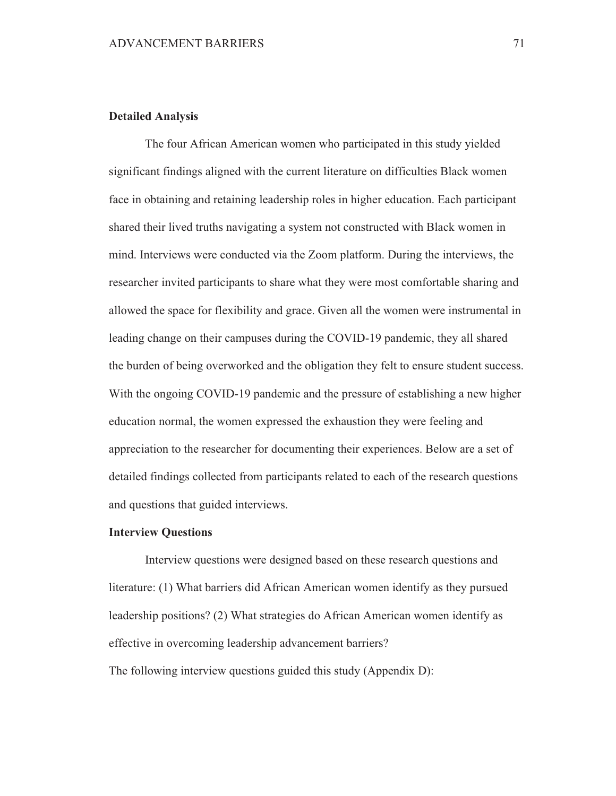# **Detailed Analysis**

The four African American women who participated in this study yielded significant findings aligned with the current literature on difficulties Black women face in obtaining and retaining leadership roles in higher education. Each participant shared their lived truths navigating a system not constructed with Black women in mind. Interviews were conducted via the Zoom platform. During the interviews, the researcher invited participants to share what they were most comfortable sharing and allowed the space for flexibility and grace. Given all the women were instrumental in leading change on their campuses during the COVID-19 pandemic, they all shared the burden of being overworked and the obligation they felt to ensure student success. With the ongoing COVID-19 pandemic and the pressure of establishing a new higher education normal, the women expressed the exhaustion they were feeling and appreciation to the researcher for documenting their experiences. Below are a set of detailed findings collected from participants related to each of the research questions and questions that guided interviews.

### **Interview Ouestions**

Interview questions were designed based on these research questions and literature: (1) What barriers did African American women identify as they pursued leadership positions? (2) What strategies do African American women identify as effective in overcoming leadership advancement barriers? The following interview questions guided this study (Appendix D):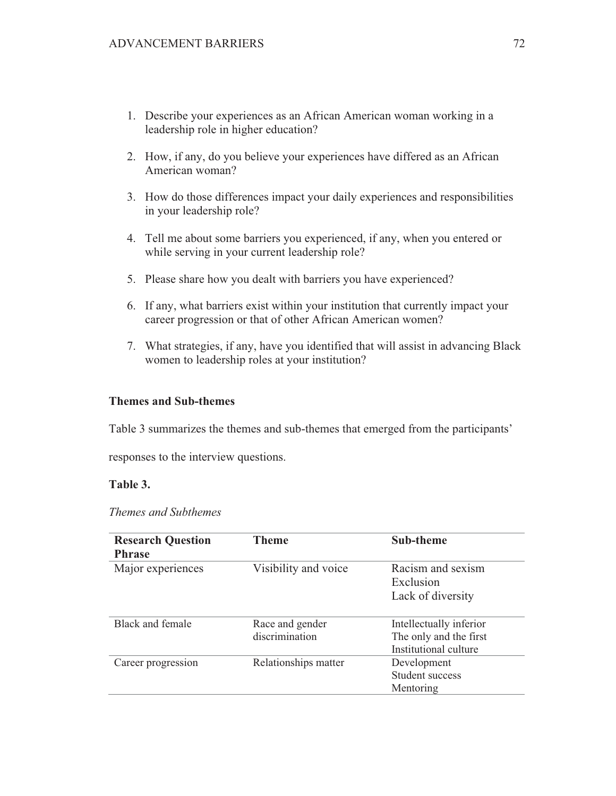- 1. Describe your experiences as an African American woman working in a leadership role in higher education?
- 2. How, if any, do you believe your experiences have differed as an African American woman?
- 3. How do those differences impact your daily experiences and responsibilities in your leadership role?
- 4. Tell me about some barriers you experienced, if any, when you entered or while serving in your current leadership role?
- 5. Please share how you dealt with barriers you have experienced?
- 6. If any, what barriers exist within your institution that currently impact your career progression or that of other African American women?
- 7. What strategies, if any, have you identified that will assist in advancing Black women to leadership roles at your institution?

## **Themes and Sub-themes**

Table 3 summarizes the themes and sub-themes that emerged from the participants'

responses to the interview questions.

## Table 3.

| Themes and Subthemes |  |
|----------------------|--|
|----------------------|--|

| <b>Research Question</b><br><b>Phrase</b> | <b>Theme</b>                      | Sub-theme                                                                  |
|-------------------------------------------|-----------------------------------|----------------------------------------------------------------------------|
| Major experiences                         | Visibility and voice              | Racism and sexism<br>Exclusion<br>Lack of diversity                        |
| Black and female                          | Race and gender<br>discrimination | Intellectually inferior<br>The only and the first<br>Institutional culture |
| Career progression                        | Relationships matter              | Development<br>Student success<br>Mentoring                                |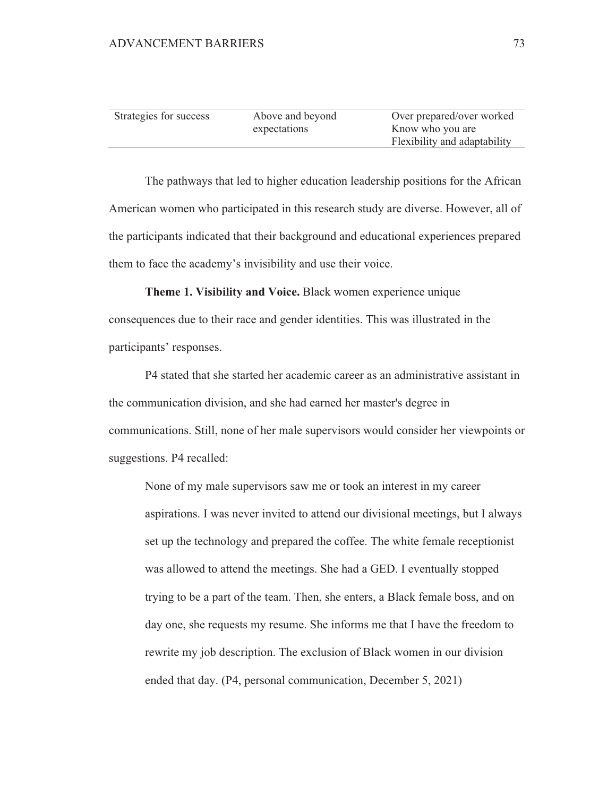| Strategies for success | Above and beyond | Over prepared/over worked    |
|------------------------|------------------|------------------------------|
|                        | expectations     | Know who you are             |
|                        |                  | Flexibility and adaptability |

The pathways that led to higher education leadership positions for the African American women who participated in this research study are diverse. However, all of the participants indicated that their background and educational experiences prepared them to face the academy's invisibility and use their voice.

Theme 1. Visibility and Voice. Black women experience unique consequences due to their race and gender identities. This was illustrated in the participants' responses.

P4 stated that she started her academic career as an administrative assistant in the communication division, and she had earned her master's degree in communications. Still, none of her male supervisors would consider her viewpoints or suggestions. P4 recalled:

None of my male supervisors saw me or took an interest in my career aspirations. I was never invited to attend our divisional meetings, but I always set up the technology and prepared the coffee. The white female receptionist was allowed to attend the meetings. She had a GED. I eventually stopped trying to be a part of the team. Then, she enters, a Black female boss, and on day one, she requests my resume. She informs me that I have the freedom to rewrite my job description. The exclusion of Black women in our division ended that day. (P4, personal communication, December 5, 2021)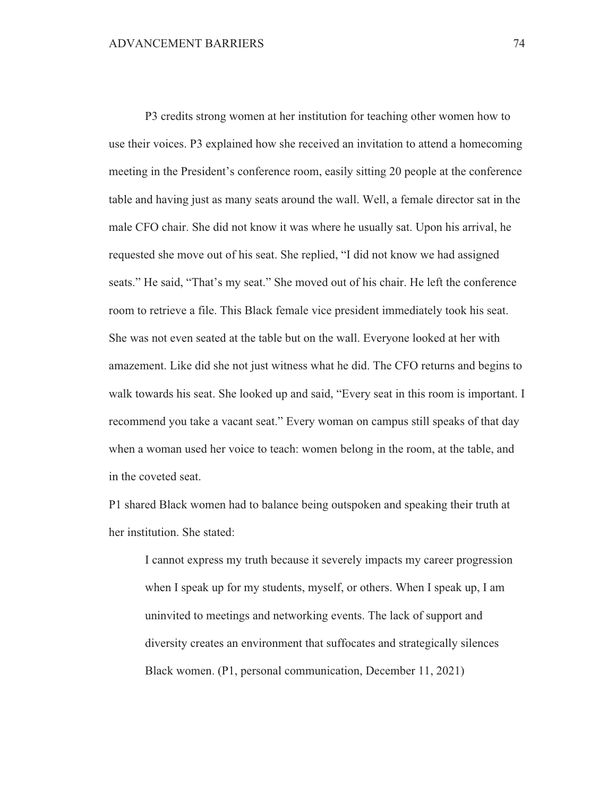P3 credits strong women at her institution for teaching other women how to use their voices. P3 explained how she received an invitation to attend a homecoming meeting in the President's conference room, easily sitting 20 people at the conference table and having just as many seats around the wall. Well, a female director sat in the male CFO chair. She did not know it was where he usually sat. Upon his arrival, he requested she move out of his seat. She replied, "I did not know we had assigned seats." He said, "That's my seat." She moved out of his chair. He left the conference room to retrieve a file. This Black female vice president immediately took his seat. She was not even seated at the table but on the wall. Everyone looked at her with amazement. Like did she not just witness what he did. The CFO returns and begins to walk towards his seat. She looked up and said, "Every seat in this room is important. I recommend you take a vacant seat." Every woman on campus still speaks of that day when a woman used her voice to teach: women belong in the room, at the table, and in the coveted seat.

P1 shared Black women had to balance being outspoken and speaking their truth at her institution. She stated:

I cannot express my truth because it severely impacts my career progression when I speak up for my students, myself, or others. When I speak up, I am uninvited to meetings and networking events. The lack of support and diversity creates an environment that suffocates and strategically silences Black women. (P1, personal communication, December 11, 2021)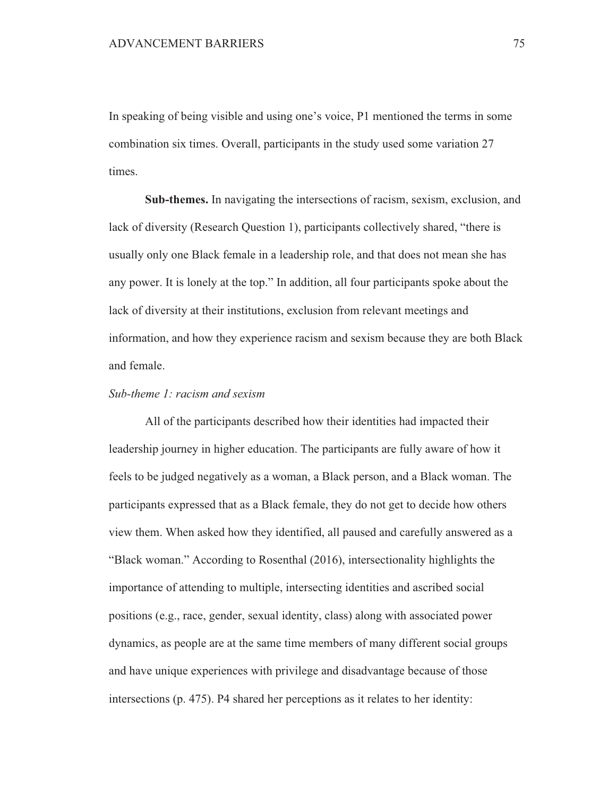In speaking of being visible and using one's voice, P1 mentioned the terms in some combination six times. Overall, participants in the study used some variation 27 times.

**Sub-themes.** In navigating the intersections of racism, sexism, exclusion, and lack of diversity (Research Question 1), participants collectively shared, "there is usually only one Black female in a leadership role, and that does not mean she has any power. It is lonely at the top." In addition, all four participants spoke about the lack of diversity at their institutions, exclusion from relevant meetings and information, and how they experience racism and sexism because they are both Black and female.

# Sub-theme 1: racism and sexism

All of the participants described how their identities had impacted their leadership journey in higher education. The participants are fully aware of how it feels to be judged negatively as a woman, a Black person, and a Black woman. The participants expressed that as a Black female, they do not get to decide how others view them. When asked how they identified, all paused and carefully answered as a "Black woman." According to Rosenthal (2016), intersectionality highlights the importance of attending to multiple, intersecting identities and ascribed social positions (e.g., race, gender, sexual identity, class) along with associated power dynamics, as people are at the same time members of many different social groups and have unique experiences with privilege and disadvantage because of those intersections (p. 475). P4 shared her perceptions as it relates to her identity: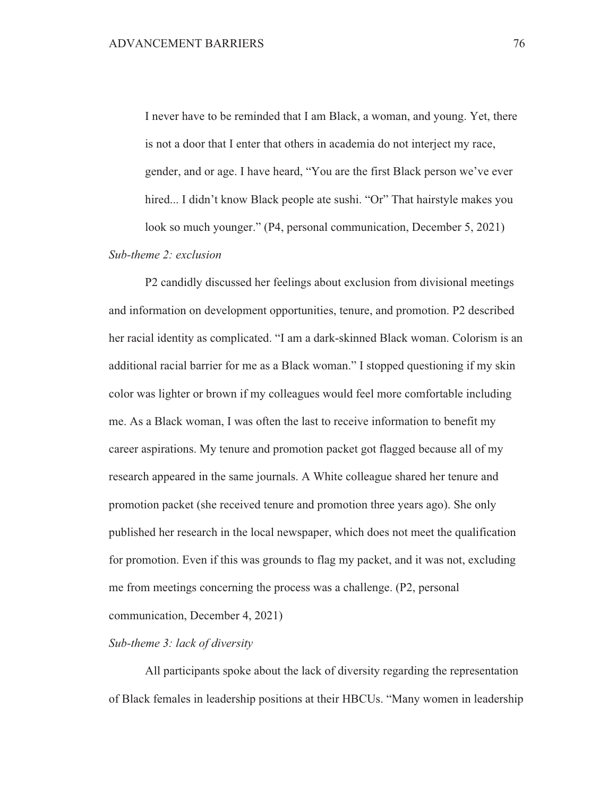I never have to be reminded that I am Black, a woman, and young. Yet, there is not a door that I enter that others in academia do not interject my race, gender, and or age. I have heard, "You are the first Black person we've ever hired... I didn't know Black people ate sushi. "Or" That hairstyle makes you look so much younger." (P4, personal communication, December 5, 2021)

# $Sub$ -theme 2: exclusion

P2 candidly discussed her feelings about exclusion from divisional meetings and information on development opportunities, tenure, and promotion. P2 described her racial identity as complicated. "I am a dark-skinned Black woman. Colorism is an additional racial barrier for me as a Black woman." I stopped questioning if my skin color was lighter or brown if my colleagues would feel more comfortable including me. As a Black woman, I was often the last to receive information to benefit my career aspirations. My tenure and promotion packet got flagged because all of my research appeared in the same journals. A White colleague shared her tenure and promotion packet (she received tenure and promotion three years ago). She only published her research in the local newspaper, which does not meet the qualification for promotion. Even if this was grounds to flag my packet, and it was not, excluding me from meetings concerning the process was a challenge. (P2, personal communication, December 4, 2021)

# Sub-theme 3: lack of diversity

All participants spoke about the lack of diversity regarding the representation of Black females in leadership positions at their HBCUs. "Many women in leadership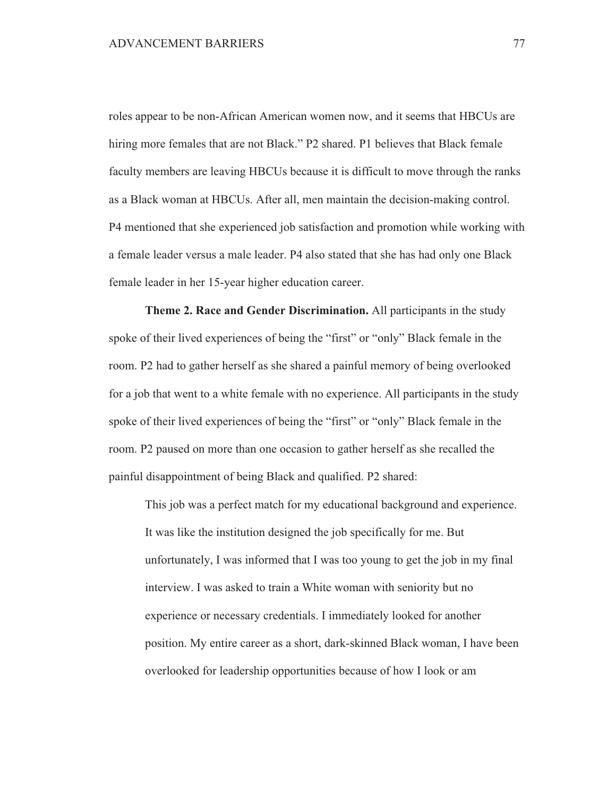roles appear to be non-African American women now, and it seems that HBCUs are hiring more females that are not Black." P2 shared. P1 believes that Black female faculty members are leaving HBCUs because it is difficult to move through the ranks as a Black woman at HBCUs. After all, men maintain the decision-making control. P4 mentioned that she experienced job satisfaction and promotion while working with a female leader versus a male leader. P4 also stated that she has had only one Black female leader in her 15-year higher education career.

Theme 2. Race and Gender Discrimination. All participants in the study spoke of their lived experiences of being the "first" or "only" Black female in the room. P2 had to gather herself as she shared a painful memory of being overlooked for a job that went to a white female with no experience. All participants in the study spoke of their lived experiences of being the "first" or "only" Black female in the room. P2 paused on more than one occasion to gather herself as she recalled the painful disappointment of being Black and qualified. P2 shared:

This job was a perfect match for my educational background and experience. It was like the institution designed the job specifically for me. But unfortunately, I was informed that I was too young to get the job in my final interview. I was asked to train a White woman with seniority but no experience or necessary credentials. I immediately looked for another position. My entire career as a short, dark-skinned Black woman, I have been overlooked for leadership opportunities because of how I look or am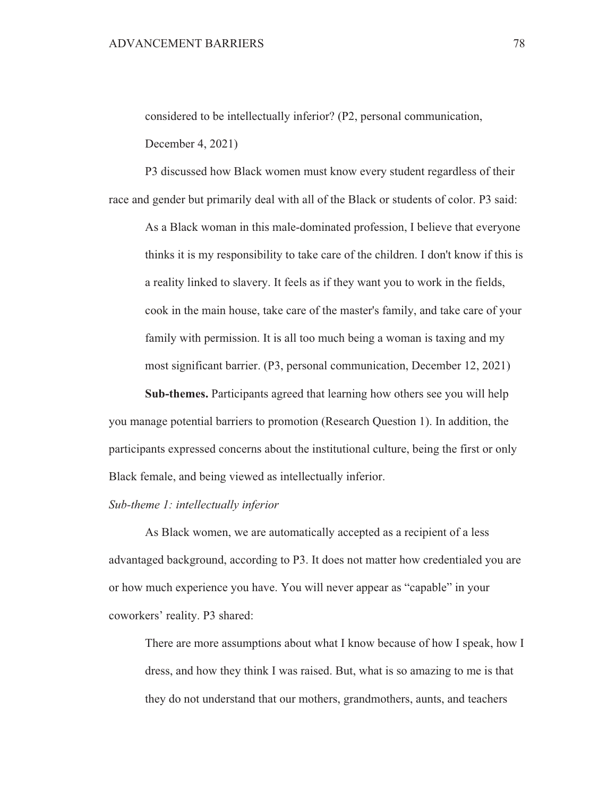considered to be intellectually inferior? (P2, personal communication,

December 4, 2021)

P3 discussed how Black women must know every student regardless of their race and gender but primarily deal with all of the Black or students of color. P3 said:

As a Black woman in this male-dominated profession, I believe that everyone thinks it is my responsibility to take care of the children. I don't know if this is a reality linked to slavery. It feels as if they want you to work in the fields, cook in the main house, take care of the master's family, and take care of your family with permission. It is all too much being a woman is taxing and my most significant barrier. (P3, personal communication, December 12, 2021)

Sub-themes. Participants agreed that learning how others see you will help you manage potential barriers to promotion (Research Question 1). In addition, the participants expressed concerns about the institutional culture, being the first or only Black female, and being viewed as intellectually inferior.

## Sub-theme 1: intellectually inferior

As Black women, we are automatically accepted as a recipient of a less advantaged background, according to P3. It does not matter how credentialed you are or how much experience you have. You will never appear as "capable" in your coworkers' reality. P3 shared:

There are more assumptions about what I know because of how I speak, how I dress, and how they think I was raised. But, what is so amazing to me is that they do not understand that our mothers, grandmothers, aunts, and teachers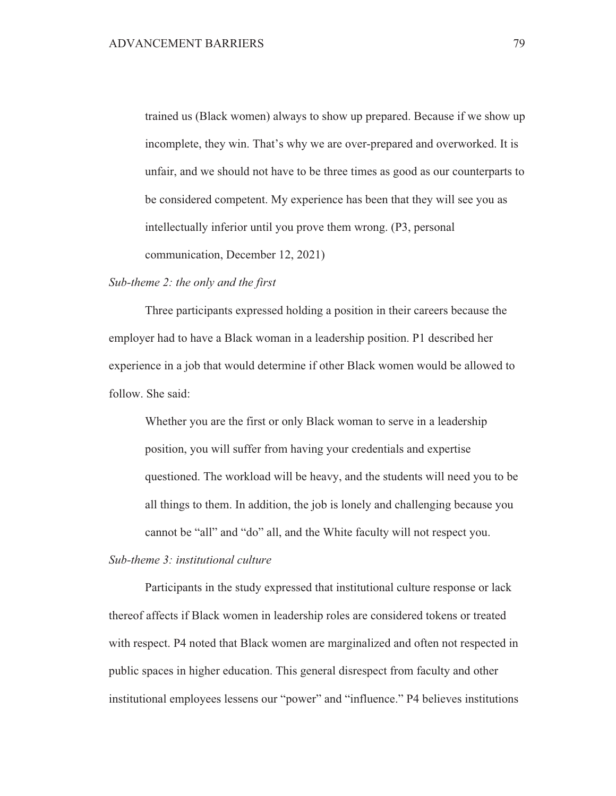trained us (Black women) always to show up prepared. Because if we show up incomplete, they win. That's why we are over-prepared and overworked. It is unfair, and we should not have to be three times as good as our counterparts to be considered competent. My experience has been that they will see you as intellectually inferior until you prove them wrong. (P3, personal communication, December 12, 2021)

### Sub-theme  $2$ : the only and the first

Three participants expressed holding a position in their careers because the employer had to have a Black woman in a leadership position. P1 described her experience in a job that would determine if other Black women would be allowed to follow. She said:

Whether you are the first or only Black woman to serve in a leadership position, you will suffer from having your credentials and expertise questioned. The workload will be heavy, and the students will need you to be all things to them. In addition, the job is lonely and challenging because you cannot be "all" and "do" all, and the White faculty will not respect you.

# Sub-theme 3: institutional culture

Participants in the study expressed that institutional culture response or lack thereof affects if Black women in leadership roles are considered tokens or treated with respect. P4 noted that Black women are marginalized and often not respected in public spaces in higher education. This general disrespect from faculty and other institutional employees lessens our "power" and "influence." P4 believes institutions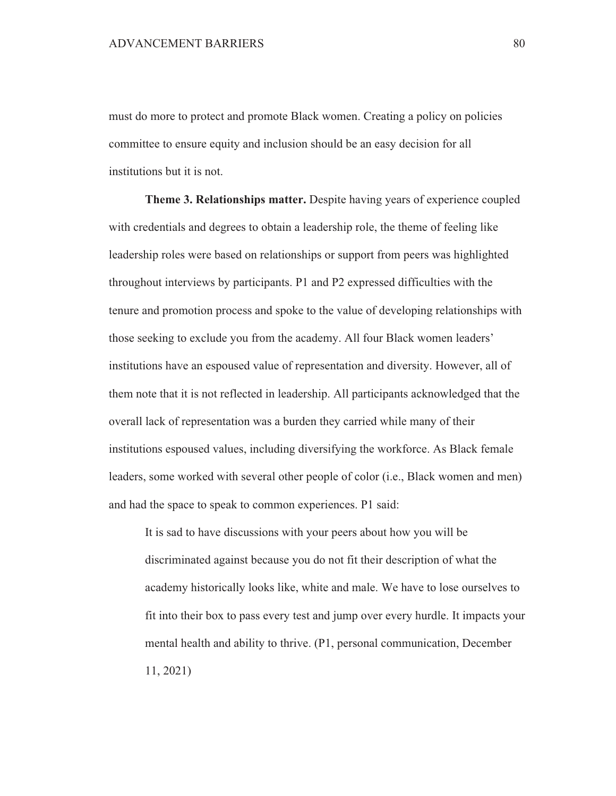must do more to protect and promote Black women. Creating a policy on policies committee to ensure equity and inclusion should be an easy decision for all institutions but it is not.

Theme 3. Relationships matter. Despite having years of experience coupled with credentials and degrees to obtain a leadership role, the theme of feeling like leadership roles were based on relationships or support from peers was highlighted throughout interviews by participants. P1 and P2 expressed difficulties with the tenure and promotion process and spoke to the value of developing relationships with those seeking to exclude you from the academy. All four Black women leaders' institutions have an espoused value of representation and diversity. However, all of them note that it is not reflected in leadership. All participants acknowledged that the overall lack of representation was a burden they carried while many of their institutions espoused values, including diversifying the workforce. As Black female leaders, some worked with several other people of color (i.e., Black women and men) and had the space to speak to common experiences. P1 said:

It is sad to have discussions with your peers about how you will be discriminated against because you do not fit their description of what the academy historically looks like, white and male. We have to lose ourselves to fit into their box to pass every test and jump over every hurdle. It impacts your mental health and ability to thrive. (P1, personal communication, December  $11, 2021$ 

80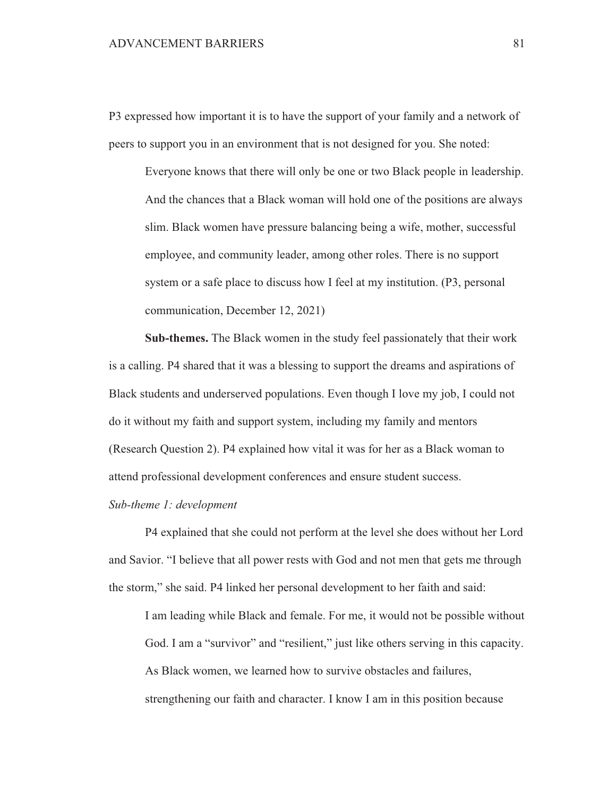P3 expressed how important it is to have the support of your family and a network of peers to support you in an environment that is not designed for you. She noted:

Everyone knows that there will only be one or two Black people in leadership. And the chances that a Black woman will hold one of the positions are always slim. Black women have pressure balancing being a wife, mother, successful employee, and community leader, among other roles. There is no support system or a safe place to discuss how I feel at my institution. (P3, personal communication, December 12, 2021)

Sub-themes. The Black women in the study feel passionately that their work is a calling. P4 shared that it was a blessing to support the dreams and aspirations of Black students and underserved populations. Even though I love my job, I could not do it without my faith and support system, including my family and mentors (Research Question 2). P4 explained how vital it was for her as a Black woman to attend professional development conferences and ensure student success.

Sub-theme 1: development

P4 explained that she could not perform at the level she does without her Lord and Savior. "I believe that all power rests with God and not men that gets me through the storm," she said. P4 linked her personal development to her faith and said:

I am leading while Black and female. For me, it would not be possible without God. I am a "survivor" and "resilient," just like others serving in this capacity. As Black women, we learned how to survive obstacles and failures, strengthening our faith and character. I know I am in this position because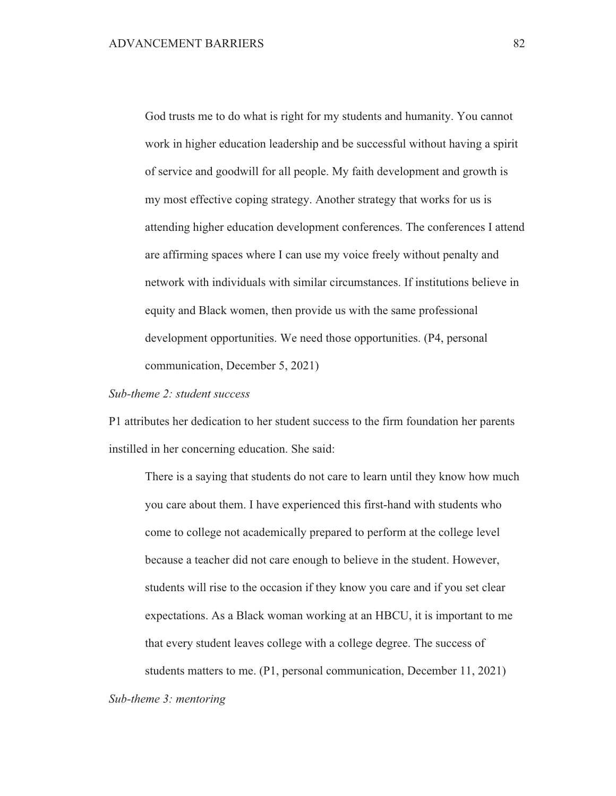God trusts me to do what is right for my students and humanity. You cannot work in higher education leadership and be successful without having a spirit of service and goodwill for all people. My faith development and growth is my most effective coping strategy. Another strategy that works for us is attending higher education development conferences. The conferences I attend are affirming spaces where I can use my voice freely without penalty and network with individuals with similar circumstances. If institutions believe in equity and Black women, then provide us with the same professional development opportunities. We need those opportunities. (P4, personal communication, December 5, 2021)

# Sub-theme 2: student success

P1 attributes her dedication to her student success to the firm foundation her parents instilled in her concerning education. She said:

There is a saying that students do not care to learn until they know how much you care about them. I have experienced this first-hand with students who come to college not academically prepared to perform at the college level because a teacher did not care enough to believe in the student. However, students will rise to the occasion if they know you care and if you set clear expectations. As a Black woman working at an HBCU, it is important to me that every student leaves college with a college degree. The success of students matters to me. (P1, personal communication, December 11, 2021)

Sub-theme  $3$ : mentoring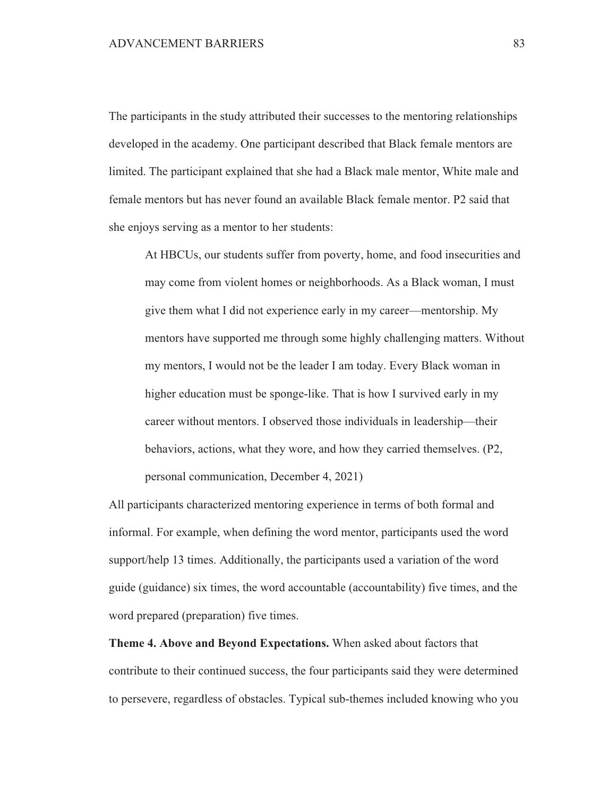The participants in the study attributed their successes to the mentoring relationships developed in the academy. One participant described that Black female mentors are limited. The participant explained that she had a Black male mentor, White male and female mentors but has never found an available Black female mentor. P2 said that she enjoys serving as a mentor to her students:

At HBCUs, our students suffer from poverty, home, and food insecurities and may come from violent homes or neighborhoods. As a Black woman, I must give them what I did not experience early in my career—mentorship. My mentors have supported me through some highly challenging matters. Without my mentors, I would not be the leader I am today. Every Black woman in higher education must be sponge-like. That is how I survived early in my career without mentors. I observed those individuals in leadership—their behaviors, actions, what they wore, and how they carried themselves. (P2, personal communication, December 4, 2021)

All participants characterized mentoring experience in terms of both formal and informal. For example, when defining the word mentor, participants used the word support/help 13 times. Additionally, the participants used a variation of the word guide (guidance) six times, the word accountable (accountability) five times, and the word prepared (preparation) five times.

Theme 4. Above and Beyond Expectations. When asked about factors that contribute to their continued success, the four participants said they were determined to persevere, regardless of obstacles. Typical sub-themes included knowing who you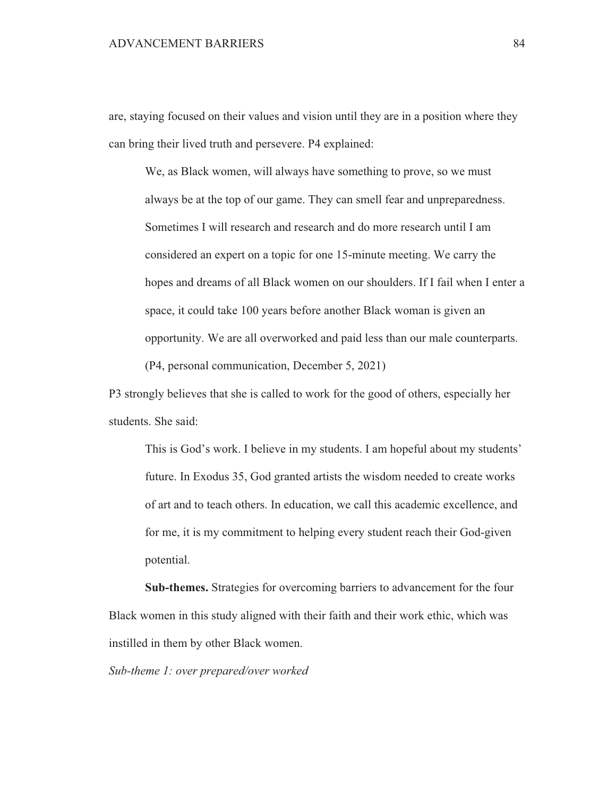#### **ADVANCEMENT BARRIERS**

are, staying focused on their values and vision until they are in a position where they can bring their lived truth and persevere. P4 explained:

We, as Black women, will always have something to prove, so we must always be at the top of our game. They can smell fear and unpreparedness. Sometimes I will research and research and do more research until I am considered an expert on a topic for one 15-minute meeting. We carry the hopes and dreams of all Black women on our shoulders. If I fail when I enter a space, it could take 100 years before another Black woman is given an opportunity. We are all overworked and paid less than our male counterparts. (P4, personal communication, December 5, 2021)

P3 strongly believes that she is called to work for the good of others, especially her students. She said:

This is God's work. I believe in my students. I am hopeful about my students' future. In Exodus 35, God granted artists the wisdom needed to create works of art and to teach others. In education, we call this academic excellence, and for me, it is my commitment to helping every student reach their God-given potential.

Sub-themes. Strategies for overcoming barriers to advancement for the four Black women in this study aligned with their faith and their work ethic, which was instilled in them by other Black women.

Sub-theme 1: over prepared/over worked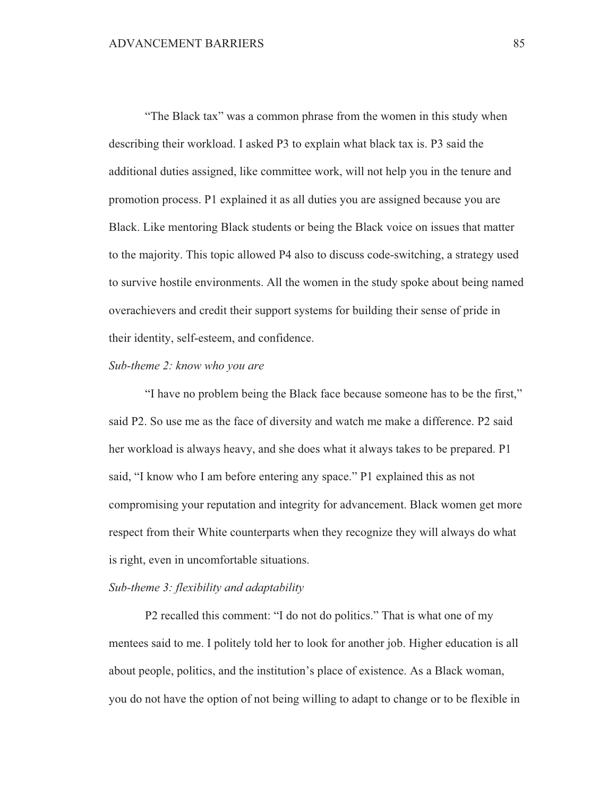"The Black tax" was a common phrase from the women in this study when describing their workload. I asked P3 to explain what black tax is. P3 said the additional duties assigned, like committee work, will not help you in the tenure and promotion process. P1 explained it as all duties you are assigned because you are Black. Like mentoring Black students or being the Black voice on issues that matter to the majority. This topic allowed P4 also to discuss code-switching, a strategy used to survive hostile environments. All the women in the study spoke about being named overachievers and credit their support systems for building their sense of pride in their identity, self-esteem, and confidence.

# Sub-theme 2: know who you are

"I have no problem being the Black face because someone has to be the first," said P2. So use me as the face of diversity and watch me make a difference. P2 said her workload is always heavy, and she does what it always takes to be prepared. P1 said, "I know who I am before entering any space." P1 explained this as not compromising your reputation and integrity for advancement. Black women get more respect from their White counterparts when they recognize they will always do what is right, even in uncomfortable situations.

#### Sub-theme 3: flexibility and adaptability

P2 recalled this comment: "I do not do politics." That is what one of my mentees said to me. I politely told her to look for another job. Higher education is all about people, politics, and the institution's place of existence. As a Black woman, you do not have the option of not being willing to adapt to change or to be flexible in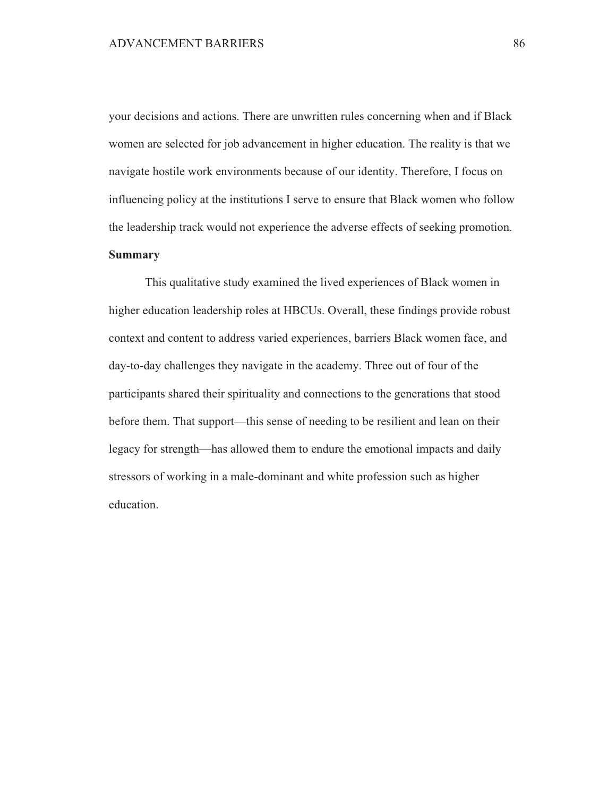your decisions and actions. There are unwritten rules concerning when and if Black women are selected for job advancement in higher education. The reality is that we navigate hostile work environments because of our identity. Therefore, I focus on influencing policy at the institutions I serve to ensure that Black women who follow the leadership track would not experience the adverse effects of seeking promotion. **Summary** 

This qualitative study examined the lived experiences of Black women in higher education leadership roles at HBCUs. Overall, these findings provide robust context and content to address varied experiences, barriers Black women face, and day-to-day challenges they navigate in the academy. Three out of four of the participants shared their spirituality and connections to the generations that stood before them. That support—this sense of needing to be resilient and lean on their legacy for strength—has allowed them to endure the emotional impacts and daily stressors of working in a male-dominant and white profession such as higher education.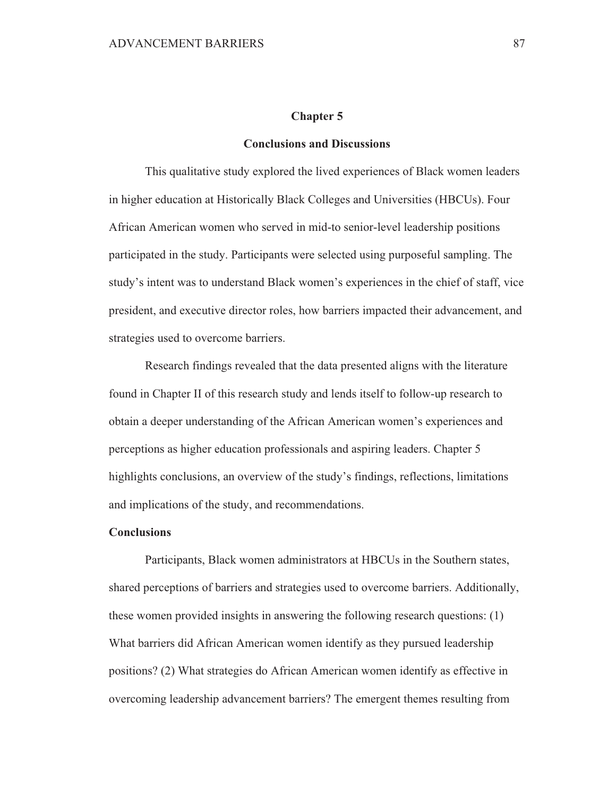#### **Chapter 5**

#### **Conclusions and Discussions**

This qualitative study explored the lived experiences of Black women leaders in higher education at Historically Black Colleges and Universities (HBCUs). Four African American women who served in mid-to senior-level leadership positions participated in the study. Participants were selected using purposeful sampling. The study's intent was to understand Black women's experiences in the chief of staff, vice president, and executive director roles, how barriers impacted their advancement, and strategies used to overcome barriers.

Research findings revealed that the data presented aligns with the literature found in Chapter II of this research study and lends itself to follow-up research to obtain a deeper understanding of the African American women's experiences and perceptions as higher education professionals and aspiring leaders. Chapter 5 highlights conclusions, an overview of the study's findings, reflections, limitations and implications of the study, and recommendations.

# **Conclusions**

Participants, Black women administrators at HBCUs in the Southern states, shared perceptions of barriers and strategies used to overcome barriers. Additionally, these women provided insights in answering the following research questions: (1) What barriers did African American women identify as they pursued leadership positions? (2) What strategies do African American women identify as effective in overcoming leadership advancement barriers? The emergent themes resulting from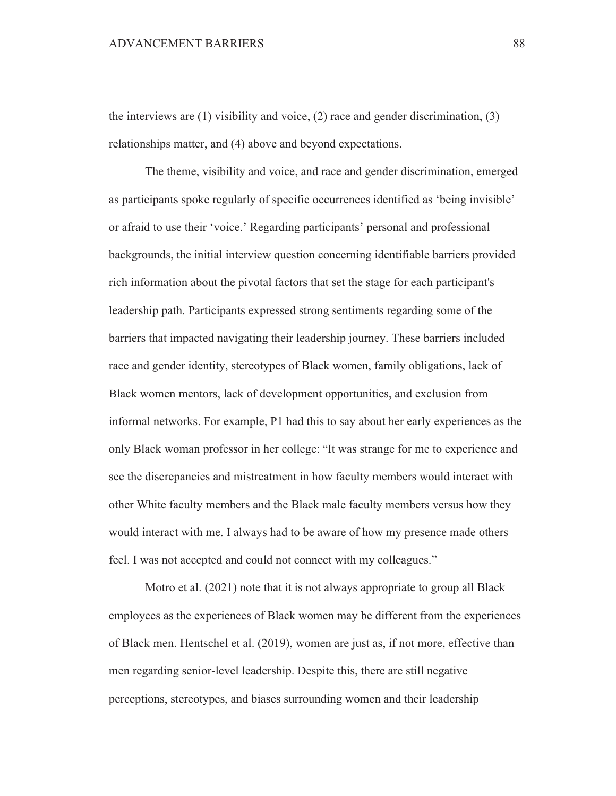the interviews are  $(1)$  visibility and voice,  $(2)$  race and gender discrimination,  $(3)$ relationships matter, and (4) above and beyond expectations.

The theme, visibility and voice, and race and gender discrimination, emerged as participants spoke regularly of specific occurrences identified as 'being invisible' or afraid to use their 'voice.' Regarding participants' personal and professional backgrounds, the initial interview question concerning identifiable barriers provided rich information about the pivotal factors that set the stage for each participant's leadership path. Participants expressed strong sentiments regarding some of the barriers that impacted navigating their leadership journey. These barriers included race and gender identity, stereotypes of Black women, family obligations, lack of Black women mentors, lack of development opportunities, and exclusion from informal networks. For example, P1 had this to say about her early experiences as the only Black woman professor in her college: "It was strange for me to experience and see the discrepancies and mistreatment in how faculty members would interact with other White faculty members and the Black male faculty members versus how they would interact with me. I always had to be aware of how my presence made others feel. I was not accepted and could not connect with my colleagues."

Motro et al. (2021) note that it is not always appropriate to group all Black employees as the experiences of Black women may be different from the experiences of Black men. Hentschel et al. (2019), women are just as, if not more, effective than men regarding senior-level leadership. Despite this, there are still negative perceptions, stereotypes, and biases surrounding women and their leadership

88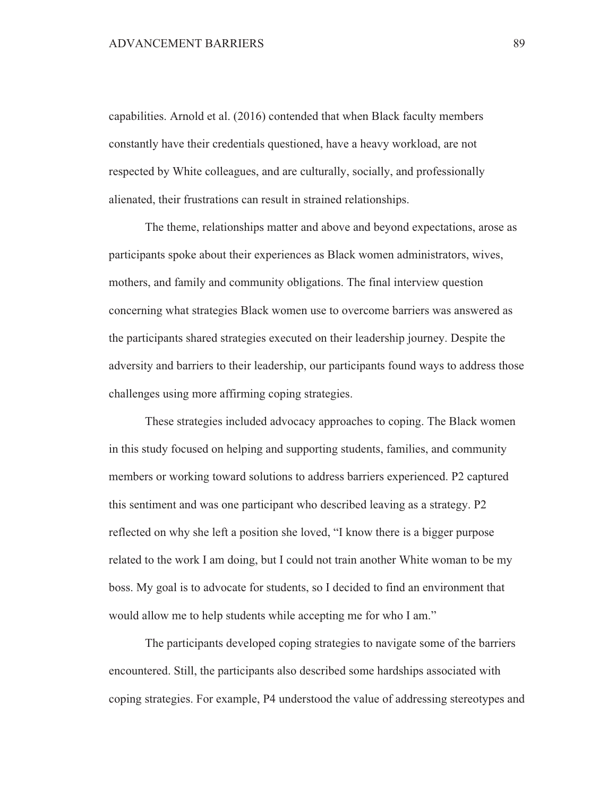capabilities. Arnold et al. (2016) contended that when Black faculty members constantly have their credentials questioned, have a heavy workload, are not respected by White colleagues, and are culturally, socially, and professionally alienated, their frustrations can result in strained relationships.

The theme, relationships matter and above and beyond expectations, arose as participants spoke about their experiences as Black women administrators, wives, mothers, and family and community obligations. The final interview question concerning what strategies Black women use to overcome barriers was answered as the participants shared strategies executed on their leadership journey. Despite the adversity and barriers to their leadership, our participants found ways to address those challenges using more affirming coping strategies.

These strategies included advocacy approaches to coping. The Black women in this study focused on helping and supporting students, families, and community members or working toward solutions to address barriers experienced. P2 captured this sentiment and was one participant who described leaving as a strategy. P2 reflected on why she left a position she loved, "I know there is a bigger purpose related to the work I am doing, but I could not train another White woman to be my boss. My goal is to advocate for students, so I decided to find an environment that would allow me to help students while accepting me for who I am."

The participants developed coping strategies to navigate some of the barriers encountered. Still, the participants also described some hardships associated with coping strategies. For example, P4 understood the value of addressing stereotypes and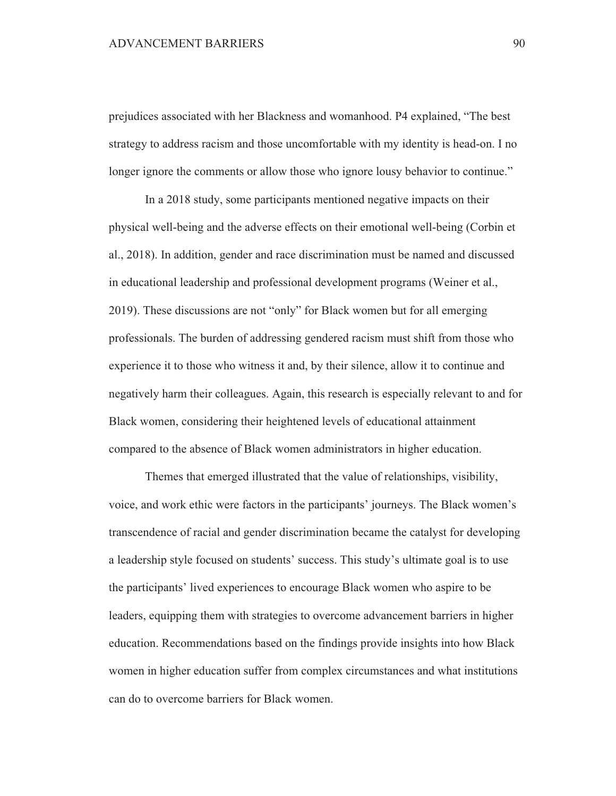prejudices associated with her Blackness and womanhood. P4 explained, "The best strategy to address racism and those uncomfortable with my identity is head-on. I no longer ignore the comments or allow those who ignore lousy behavior to continue."

In a 2018 study, some participants mentioned negative impacts on their physical well-being and the adverse effects on their emotional well-being (Corbin et al., 2018). In addition, gender and race discrimination must be named and discussed in educational leadership and professional development programs (Weiner et al., 2019). These discussions are not "only" for Black women but for all emerging professionals. The burden of addressing gendered racism must shift from those who experience it to those who witness it and, by their silence, allow it to continue and negatively harm their colleagues. Again, this research is especially relevant to and for Black women, considering their heightened levels of educational attainment compared to the absence of Black women administrators in higher education.

Themes that emerged illustrated that the value of relationships, visibility, voice, and work ethic were factors in the participants' journeys. The Black women's transcendence of racial and gender discrimination became the catalyst for developing a leadership style focused on students' success. This study's ultimate goal is to use the participants' lived experiences to encourage Black women who aspire to be leaders, equipping them with strategies to overcome advancement barriers in higher education. Recommendations based on the findings provide insights into how Black women in higher education suffer from complex circumstances and what institutions can do to overcome barriers for Black women.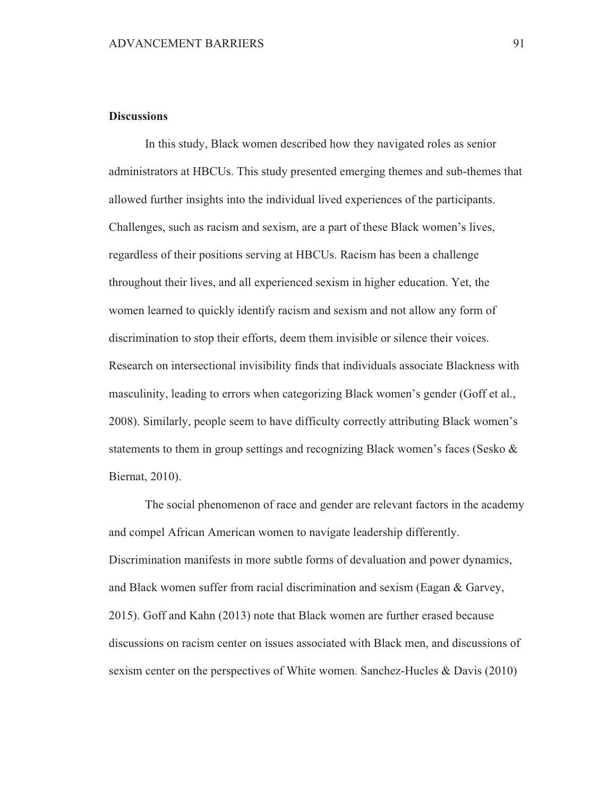# **Discussions**

In this study, Black women described how they navigated roles as senior administrators at HBCUs. This study presented emerging themes and sub-themes that allowed further insights into the individual lived experiences of the participants. Challenges, such as racism and sexism, are a part of these Black women's lives, regardless of their positions serving at HBCUs. Racism has been a challenge throughout their lives, and all experienced sexism in higher education. Yet, the women learned to quickly identify racism and sexism and not allow any form of discrimination to stop their efforts, deem them invisible or silence their voices. Research on intersectional invisibility finds that individuals associate Blackness with masculinity, leading to errors when categorizing Black women's gender (Goff et al., 2008). Similarly, people seem to have difficulty correctly attributing Black women's statements to them in group settings and recognizing Black women's faces (Sesko  $\&$ Biernat, 2010).

The social phenomenon of race and gender are relevant factors in the academy and compel African American women to navigate leadership differently. Discrimination manifests in more subtle forms of devaluation and power dynamics, and Black women suffer from racial discrimination and sexism (Eagan & Garvey, 2015). Goff and Kahn (2013) note that Black women are further erased because discussions on racism center on issues associated with Black men, and discussions of sexism center on the perspectives of White women. Sanchez-Hucles & Davis (2010)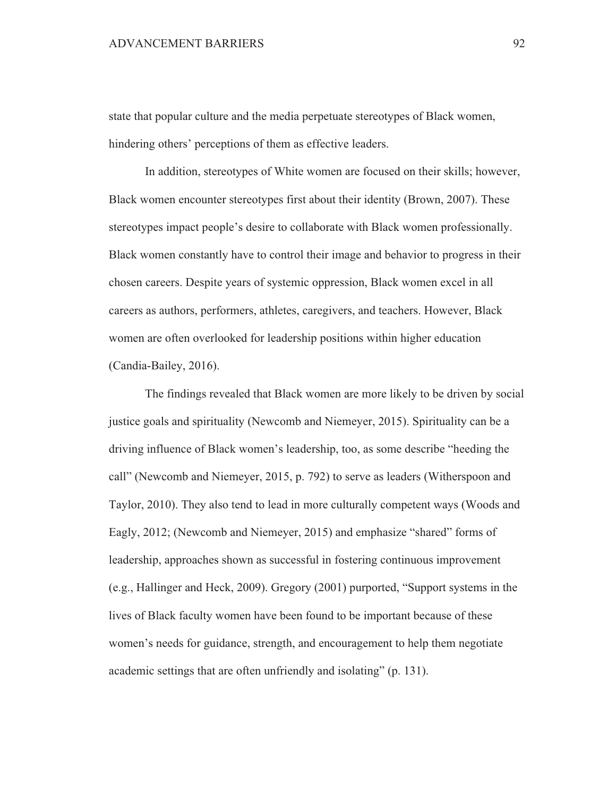state that popular culture and the media perpetuate stereotypes of Black women, hindering others' perceptions of them as effective leaders.

In addition, stereotypes of White women are focused on their skills; however, Black women encounter stereotypes first about their identity (Brown, 2007). These stereotypes impact people's desire to collaborate with Black women professionally. Black women constantly have to control their image and behavior to progress in their chosen careers. Despite years of systemic oppression, Black women excel in all careers as authors, performers, athletes, caregivers, and teachers. However, Black women are often overlooked for leadership positions within higher education (Candia-Bailey, 2016).

The findings revealed that Black women are more likely to be driven by social justice goals and spirituality (Newcomb and Niemeyer, 2015). Spirituality can be a driving influence of Black women's leadership, too, as some describe "heeding the call" (Newcomb and Niemeyer, 2015, p. 792) to serve as leaders (Witherspoon and Taylor, 2010). They also tend to lead in more culturally competent ways (Woods and Eagly, 2012; (Newcomb and Niemeyer, 2015) and emphasize "shared" forms of leadership, approaches shown as successful in fostering continuous improvement (e.g., Hallinger and Heck, 2009). Gregory  $(2001)$  purported, "Support systems in the lives of Black faculty women have been found to be important because of these women's needs for guidance, strength, and encouragement to help them negotiate academic settings that are often unfriendly and isolating" (p. 131).

92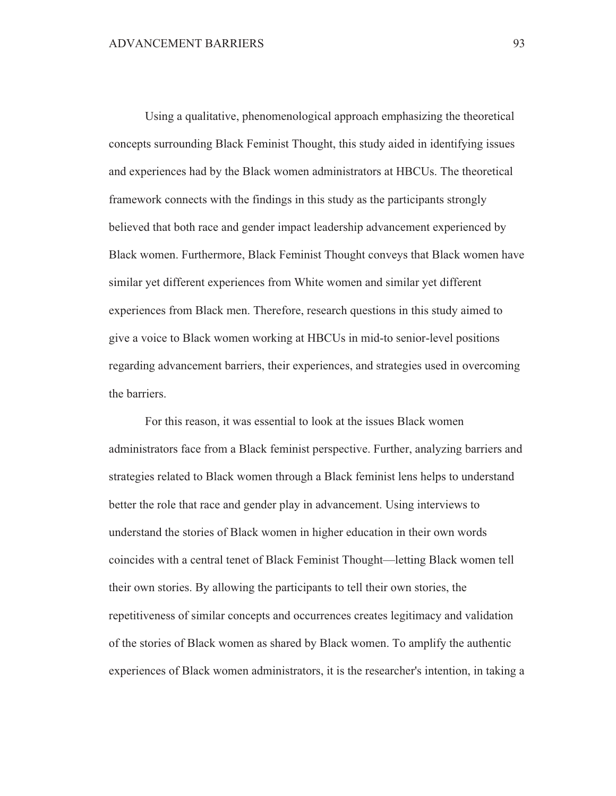Using a qualitative, phenomenological approach emphasizing the theoretical concepts surrounding Black Feminist Thought, this study aided in identifying issues and experiences had by the Black women administrators at HBCUs. The theoretical framework connects with the findings in this study as the participants strongly believed that both race and gender impact leadership advancement experienced by Black women. Furthermore, Black Feminist Thought conveys that Black women have similar yet different experiences from White women and similar yet different experiences from Black men. Therefore, research questions in this study aimed to give a voice to Black women working at HBCUs in mid-to senior-level positions regarding advancement barriers, their experiences, and strategies used in overcoming the barriers.

For this reason, it was essential to look at the issues Black women administrators face from a Black feminist perspective. Further, analyzing barriers and strategies related to Black women through a Black feminist lens helps to understand better the role that race and gender play in advancement. Using interviews to understand the stories of Black women in higher education in their own words coincides with a central tenet of Black Feminist Thought-letting Black women tell their own stories. By allowing the participants to tell their own stories, the repetitiveness of similar concepts and occurrences creates legitimacy and validation of the stories of Black women as shared by Black women. To amplify the authentic experiences of Black women administrators, it is the researcher's intention, in taking a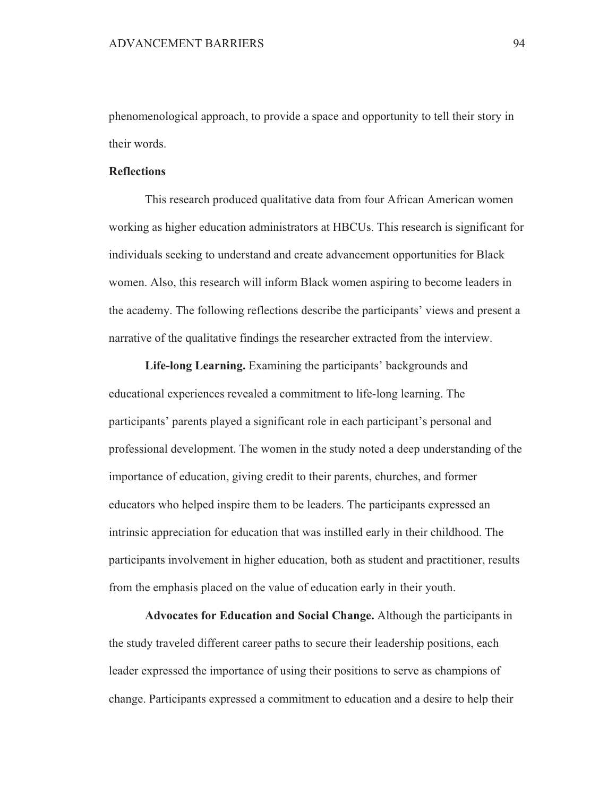phenomenological approach, to provide a space and opportunity to tell their story in their words.

# **Reflections**

This research produced qualitative data from four African American women working as higher education administrators at HBCUs. This research is significant for individuals seeking to understand and create advancement opportunities for Black women. Also, this research will inform Black women aspiring to become leaders in the academy. The following reflections describe the participants' views and present a narrative of the qualitative findings the researcher extracted from the interview.

Life-long Learning. Examining the participants' backgrounds and educational experiences revealed a commitment to life-long learning. The participants' parents played a significant role in each participant's personal and professional development. The women in the study noted a deep understanding of the importance of education, giving credit to their parents, churches, and former educators who helped inspire them to be leaders. The participants expressed an intrinsic appreciation for education that was instilled early in their childhood. The participants involvement in higher education, both as student and practitioner, results from the emphasis placed on the value of education early in their youth.

Advocates for Education and Social Change. Although the participants in the study traveled different career paths to secure their leadership positions, each leader expressed the importance of using their positions to serve as champions of change. Participants expressed a commitment to education and a desire to help their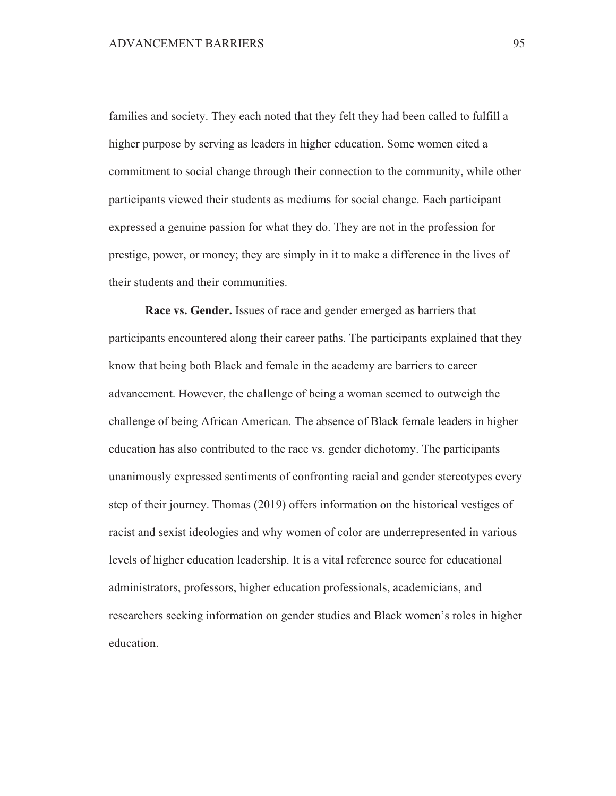families and society. They each noted that they felt they had been called to fulfill a higher purpose by serving as leaders in higher education. Some women cited a commitment to social change through their connection to the community, while other participants viewed their students as mediums for social change. Each participant expressed a genuine passion for what they do. They are not in the profession for prestige, power, or money; they are simply in it to make a difference in the lives of their students and their communities.

Race vs. Gender. Issues of race and gender emerged as barriers that participants encountered along their career paths. The participants explained that they know that being both Black and female in the academy are barriers to career advancement. However, the challenge of being a woman seemed to outweigh the challenge of being African American. The absence of Black female leaders in higher education has also contributed to the race vs. gender dichotomy. The participants unanimously expressed sentiments of confronting racial and gender stereotypes every step of their journey. Thomas (2019) offers information on the historical vestiges of racist and sexist ideologies and why women of color are underrepresented in various levels of higher education leadership. It is a vital reference source for educational administrators, professors, higher education professionals, academicians, and researchers seeking information on gender studies and Black women's roles in higher education.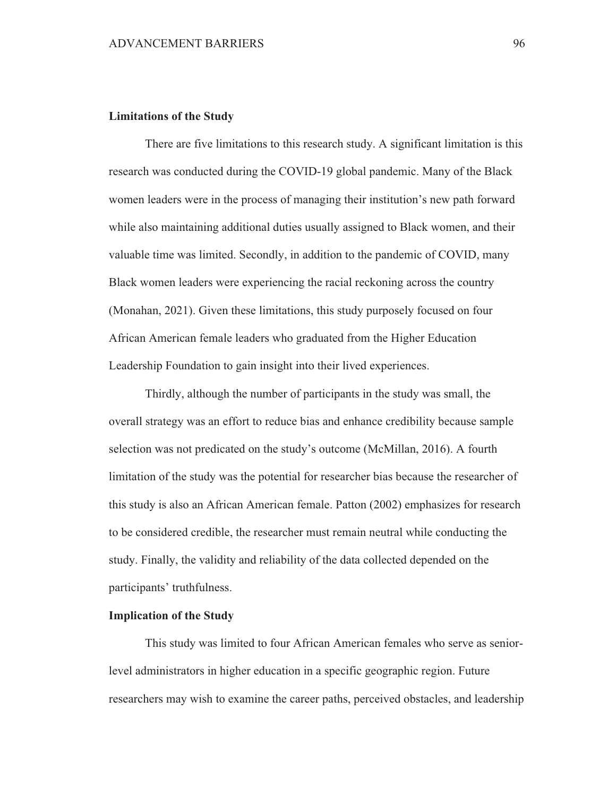### **Limitations of the Study**

There are five limitations to this research study. A significant limitation is this research was conducted during the COVID-19 global pandemic. Many of the Black women leaders were in the process of managing their institution's new path forward while also maintaining additional duties usually assigned to Black women, and their valuable time was limited. Secondly, in addition to the pandemic of COVID, many Black women leaders were experiencing the racial reckoning across the country (Monahan, 2021). Given these limitations, this study purposely focused on four African American female leaders who graduated from the Higher Education Leadership Foundation to gain insight into their lived experiences.

Thirdly, although the number of participants in the study was small, the overall strategy was an effort to reduce bias and enhance credibility because sample selection was not predicated on the study's outcome (McMillan, 2016). A fourth limitation of the study was the potential for researcher bias because the researcher of this study is also an African American female. Patton (2002) emphasizes for research to be considered credible, the researcher must remain neutral while conducting the study. Finally, the validity and reliability of the data collected depended on the participants' truthfulness.

# **Implication of the Study**

This study was limited to four African American females who serve as seniorlevel administrators in higher education in a specific geographic region. Future researchers may wish to examine the career paths, perceived obstacles, and leadership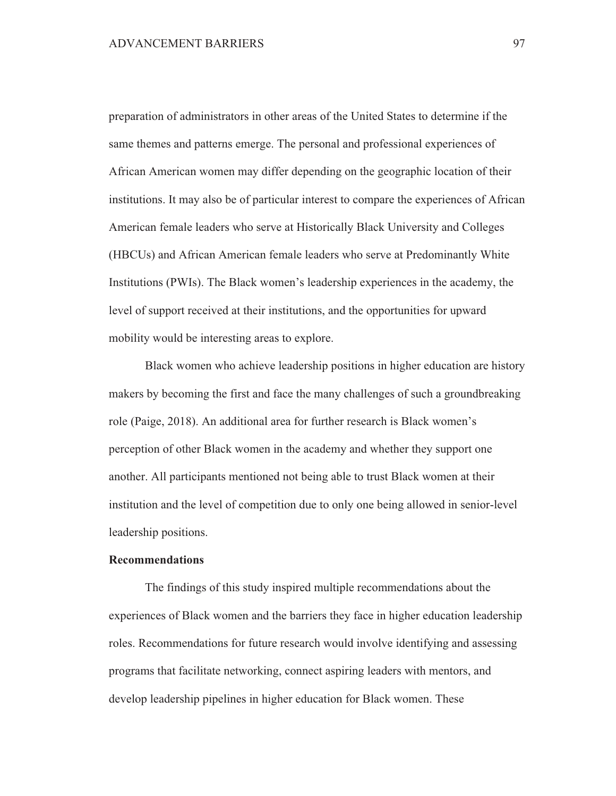preparation of administrators in other areas of the United States to determine if the same themes and patterns emerge. The personal and professional experiences of African American women may differ depending on the geographic location of their institutions. It may also be of particular interest to compare the experiences of African American female leaders who serve at Historically Black University and Colleges (HBCUs) and African American female leaders who serve at Predominantly White Institutions (PWIs). The Black women's leadership experiences in the academy, the level of support received at their institutions, and the opportunities for upward mobility would be interesting areas to explore.

Black women who achieve leadership positions in higher education are history makers by becoming the first and face the many challenges of such a groundbreaking role (Paige, 2018). An additional area for further research is Black women's perception of other Black women in the academy and whether they support one another. All participants mentioned not being able to trust Black women at their institution and the level of competition due to only one being allowed in senior-level leadership positions.

#### **Recommendations**

The findings of this study inspired multiple recommendations about the experiences of Black women and the barriers they face in higher education leadership roles. Recommendations for future research would involve identifying and assessing programs that facilitate networking, connect aspiring leaders with mentors, and develop leadership pipelines in higher education for Black women. These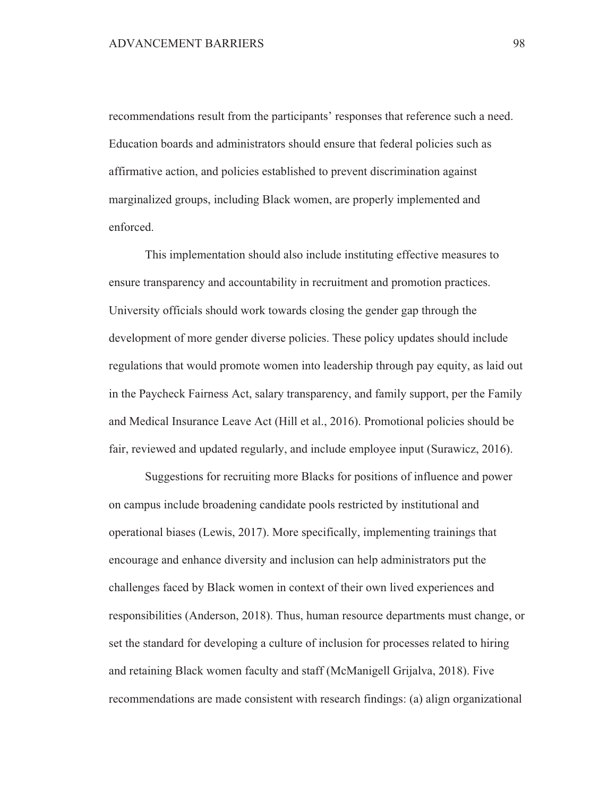recommendations result from the participants' responses that reference such a need. Education boards and administrators should ensure that federal policies such as affirmative action, and policies established to prevent discrimination against marginalized groups, including Black women, are properly implemented and enforced.

This implementation should also include instituting effective measures to ensure transparency and accountability in recruitment and promotion practices. University officials should work towards closing the gender gap through the development of more gender diverse policies. These policy updates should include regulations that would promote women into leadership through pay equity, as laid out in the Paycheck Fairness Act, salary transparency, and family support, per the Family and Medical Insurance Leave Act (Hill et al., 2016). Promotional policies should be fair, reviewed and updated regularly, and include employee input (Surawicz, 2016).

Suggestions for recruiting more Blacks for positions of influence and power on campus include broadening candidate pools restricted by institutional and operational biases (Lewis, 2017). More specifically, implementing trainings that encourage and enhance diversity and inclusion can help administrators put the challenges faced by Black women in context of their own lived experiences and responsibilities (Anderson, 2018). Thus, human resource departments must change, or set the standard for developing a culture of inclusion for processes related to hiring and retaining Black women faculty and staff (McManigell Grijalya, 2018). Five recommendations are made consistent with research findings: (a) align organizational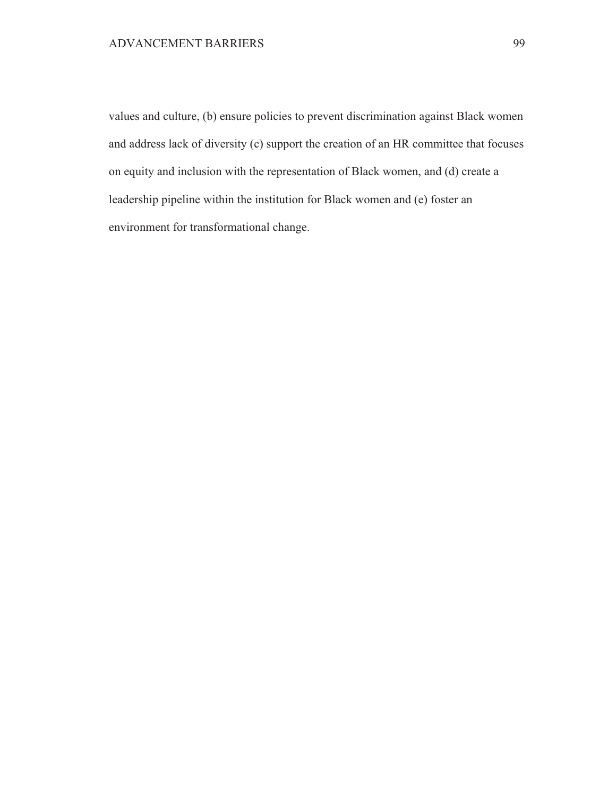values and culture, (b) ensure policies to prevent discrimination against Black women and address lack of diversity (c) support the creation of an HR committee that focuses on equity and inclusion with the representation of Black women, and (d) create a leadership pipeline within the institution for Black women and (e) foster an environment for transformational change.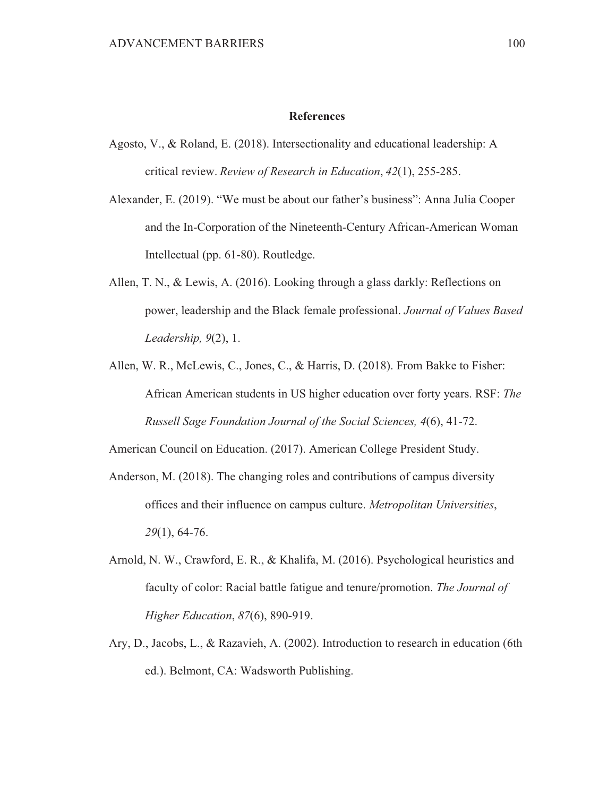### **References**

- Agosto, V., & Roland, E. (2018). Intersectionality and educational leadership: A critical review. Review of Research in Education, 42(1), 255-285.
- Alexander, E. (2019). "We must be about our father's business": Anna Julia Cooper and the In-Corporation of the Nineteenth-Century African-American Woman Intellectual (pp. 61-80). Routledge.
- Allen, T. N., & Lewis, A. (2016). Looking through a glass darkly: Reflections on power, leadership and the Black female professional. Journal of Values Based Leadership,  $9(2)$ , 1.
- Allen, W. R., McLewis, C., Jones, C., & Harris, D. (2018). From Bakke to Fisher: African American students in US higher education over forty years. RSF: The Russell Sage Foundation Journal of the Social Sciences, 4(6), 41-72.

American Council on Education. (2017). American College President Study.

- Anderson, M. (2018). The changing roles and contributions of campus diversity offices and their influence on campus culture. Metropolitan Universities,  $29(1)$ , 64-76.
- Arnold, N. W., Crawford, E. R., & Khalifa, M. (2016). Psychological heuristics and faculty of color: Racial battle fatigue and tenure/promotion. The Journal of Higher Education, 87(6), 890-919.
- Ary, D., Jacobs, L., & Razavieh, A. (2002). Introduction to research in education (6th ed.). Belmont, CA: Wadsworth Publishing.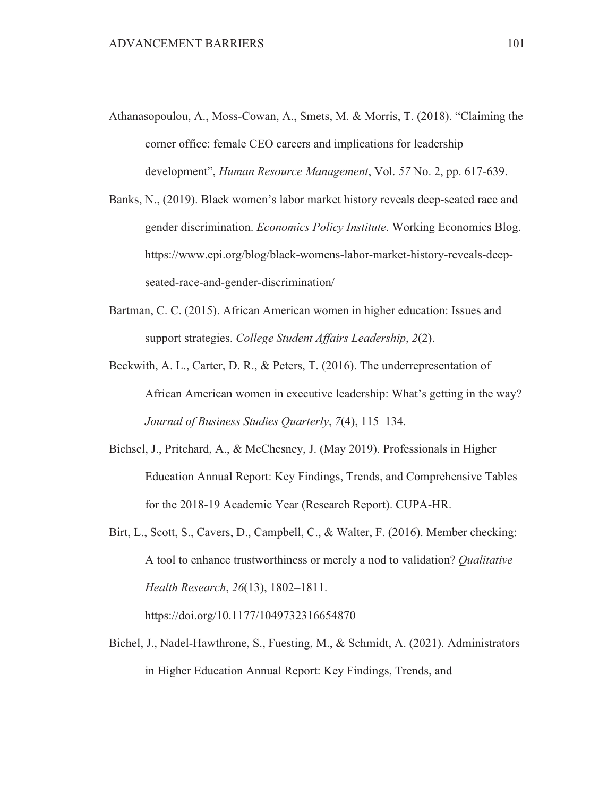- Athanasopoulou, A., Moss-Cowan, A., Smets, M. & Morris, T. (2018). "Claiming the corner office: female CEO careers and implications for leadership development", *Human Resource Management*, Vol. 57 No. 2, pp. 617-639.
- Banks, N., (2019). Black women's labor market history reveals deep-seated race and gender discrimination. Economics Policy Institute. Working Economics Blog. https://www.epi.org/blog/black-womens-labor-market-history-reveals-deepseated-race-and-gender-discrimination/
- Bartman, C. C. (2015). African American women in higher education: Issues and support strategies. College Student Affairs Leadership, 2(2).
- Beckwith, A. L., Carter, D. R., & Peters, T. (2016). The underrepresentation of African American women in executive leadership: What's getting in the way? Journal of Business Studies Quarterly, 7(4), 115–134.
- Bichsel, J., Pritchard, A., & McChesney, J. (May 2019). Professionals in Higher Education Annual Report: Key Findings, Trends, and Comprehensive Tables for the 2018-19 Academic Year (Research Report). CUPA-HR.
- Birt, L., Scott, S., Cavers, D., Campbell, C., & Walter, F. (2016). Member checking: A tool to enhance trustworthiness or merely a nod to validation? Qualitative Health Research, 26(13), 1802-1811.

https://doi.org/10.1177/1049732316654870

Bichel, J., Nadel-Hawthrone, S., Fuesting, M., & Schmidt, A. (2021). Administrators in Higher Education Annual Report: Key Findings, Trends, and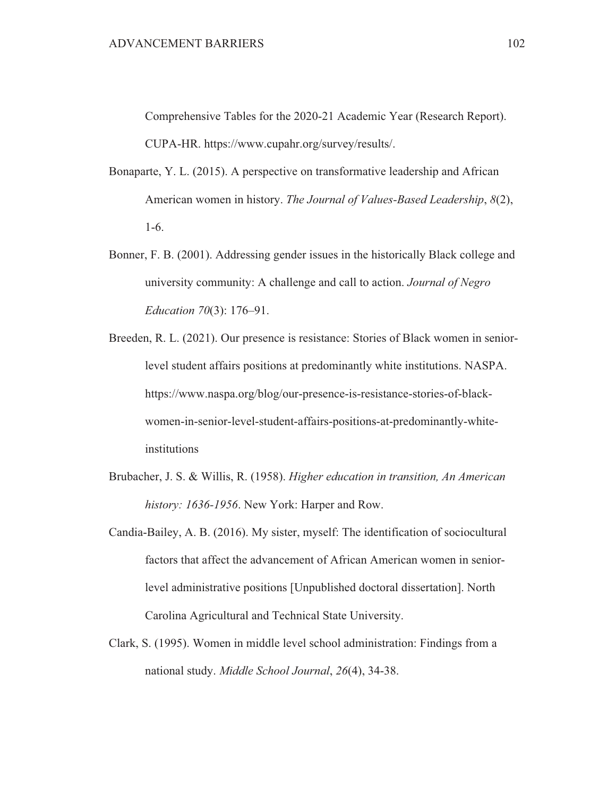Comprehensive Tables for the 2020-21 Academic Year (Research Report). CUPA-HR. https://www.cupahr.org/survey/results/.

- Bonaparte, Y. L. (2015). A perspective on transformative leadership and African American women in history. The Journal of Values-Based Leadership, 8(2),  $1-6.$
- Bonner, F. B. (2001). Addressing gender issues in the historically Black college and university community: A challenge and call to action. Journal of Negro *Education 70(3): 176-91.*
- Breeden, R. L. (2021). Our presence is resistance: Stories of Black women in seniorlevel student affairs positions at predominantly white institutions. NASPA. https://www.naspa.org/blog/our-presence-is-resistance-stories-of-blackwomen-in-senior-level-student-affairs-positions-at-predominantly-whiteinstitutions
- Brubacher, J. S. & Willis, R. (1958). Higher education in transition, An American history: 1636-1956. New York: Harper and Row.
- Candia-Bailey, A. B. (2016). My sister, myself: The identification of sociocultural factors that affect the advancement of African American women in seniorlevel administrative positions [Unpublished doctoral dissertation]. North Carolina Agricultural and Technical State University.
- Clark, S. (1995). Women in middle level school administration: Findings from a national study. Middle School Journal, 26(4), 34-38.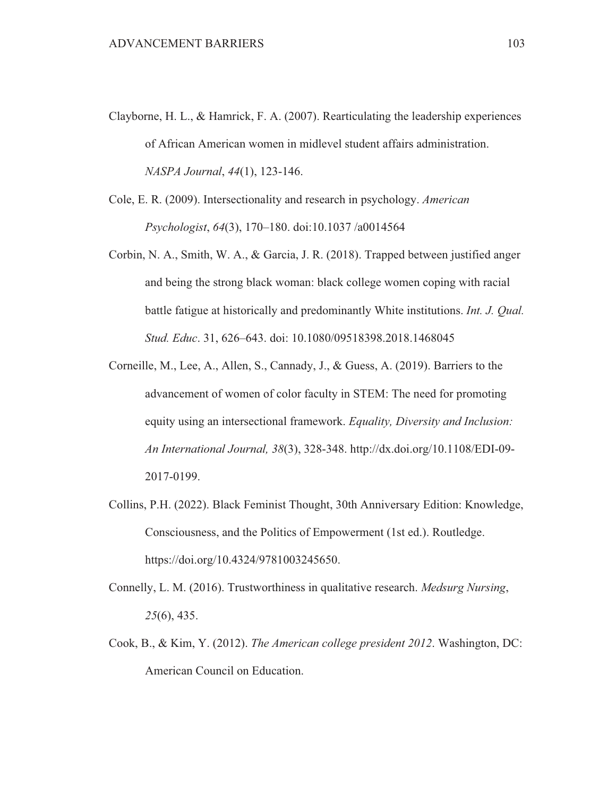- Clayborne, H. L., & Hamrick, F. A. (2007). Rearticulating the leadership experiences of African American women in midlevel student affairs administration. NASPA Journal, 44(1), 123-146.
- Cole, E. R. (2009). Intersectionality and research in psychology. American Psychologist, 64(3), 170-180. doi:10.1037/a0014564
- Corbin, N. A., Smith, W. A., & Garcia, J. R. (2018). Trapped between justified anger and being the strong black woman: black college women coping with racial battle fatigue at historically and predominantly White institutions. Int. J. Qual. Stud. Educ. 31, 626-643. doi: 10.1080/09518398.2018.1468045
- Corneille, M., Lee, A., Allen, S., Cannady, J., & Guess, A. (2019). Barriers to the advancement of women of color faculty in STEM: The need for promoting equity using an intersectional framework. Equality, Diversity and Inclusion: An International Journal, 38(3), 328-348. http://dx.doi.org/10.1108/EDI-09-2017-0199.
- Collins, P.H. (2022). Black Feminist Thought, 30th Anniversary Edition: Knowledge, Consciousness, and the Politics of Empowerment (1st ed.). Routledge. https://doi.org/10.4324/9781003245650.
- Connelly, L. M. (2016). Trustworthiness in qualitative research. Medsurg Nursing,  $25(6)$ , 435.
- Cook, B., & Kim, Y. (2012). The American college president 2012. Washington, DC: American Council on Education.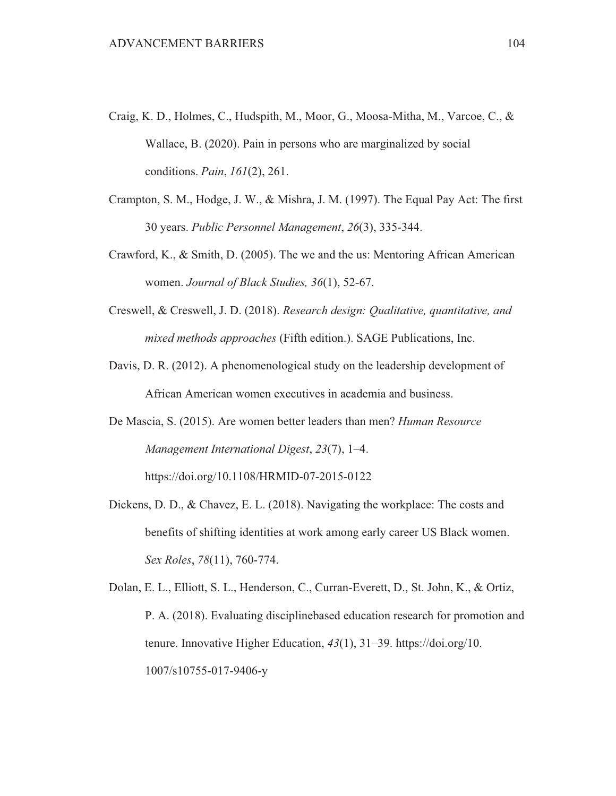- Craig, K. D., Holmes, C., Hudspith, M., Moor, G., Moosa-Mitha, M., Varcoe, C., & Wallace, B. (2020). Pain in persons who are marginalized by social conditions. *Pain*, 161(2), 261.
- Crampton, S. M., Hodge, J. W., & Mishra, J. M. (1997). The Equal Pay Act: The first 30 years. Public Personnel Management, 26(3), 335-344.
- Crawford, K., & Smith, D. (2005). The we and the us: Mentoring African American women. Journal of Black Studies, 36(1), 52-67.
- Creswell, & Creswell, J. D. (2018). Research design: Qualitative, quantitative, and mixed methods approaches (Fifth edition.). SAGE Publications, Inc.
- Davis, D. R. (2012). A phenomenological study on the leadership development of African American women executives in academia and business.
- De Mascia, S. (2015). Are women better leaders than men? Human Resource Management International Digest, 23(7), 1-4. https://doi.org/10.1108/HRMID-07-2015-0122
- Dickens, D. D., & Chavez, E. L. (2018). Navigating the workplace: The costs and benefits of shifting identities at work among early career US Black women. Sex Roles, 78(11), 760-774.

Dolan, E. L., Elliott, S. L., Henderson, C., Curran-Everett, D., St. John, K., & Ortiz, P. A. (2018). Evaluating discipline based education research for promotion and tenure. Innovative Higher Education,  $43(1)$ ,  $31-39$ . https://doi.org/10. 1007/s10755-017-9406-y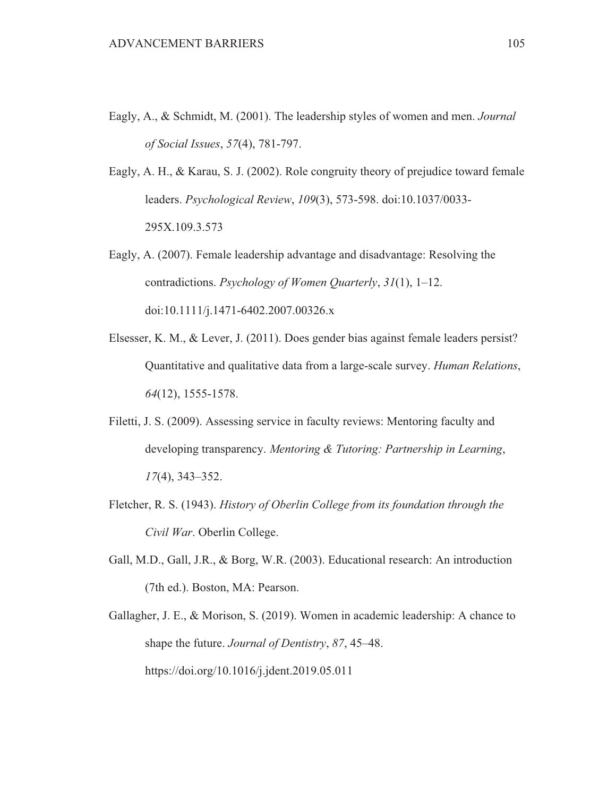- Eagly, A., & Schmidt, M. (2001). The leadership styles of women and men. Journal of Social Issues, 57(4), 781-797.
- Eagly, A. H., & Karau, S. J. (2002). Role congruity theory of prejudice toward female leaders. Psychological Review, 109(3), 573-598. doi:10.1037/0033-295X.109.3.573
- Eagly, A. (2007). Female leadership advantage and disadvantage: Resolving the contradictions. Psychology of Women Quarterly,  $31(1)$ , 1–12. doi:10.1111/j.1471-6402.2007.00326.x
- Elsesser, K. M., & Lever, J. (2011). Does gender bias against female leaders persist? Quantitative and qualitative data from a large-scale survey. Human Relations,  $64(12)$ , 1555-1578.
- Filetti, J. S. (2009). Assessing service in faculty reviews: Mentoring faculty and developing transparency. Mentoring & Tutoring: Partnership in Learning,  $17(4)$ , 343-352.
- Fletcher, R. S. (1943). History of Oberlin College from its foundation through the Civil War. Oberlin College.
- Gall, M.D., Gall, J.R., & Borg, W.R. (2003). Educational research: An introduction (7th ed.). Boston, MA: Pearson.
- Gallagher, J. E., & Morison, S. (2019). Women in academic leadership: A chance to shape the future. Journal of Dentistry, 87, 45–48. https://doi.org/10.1016/j.jdent.2019.05.011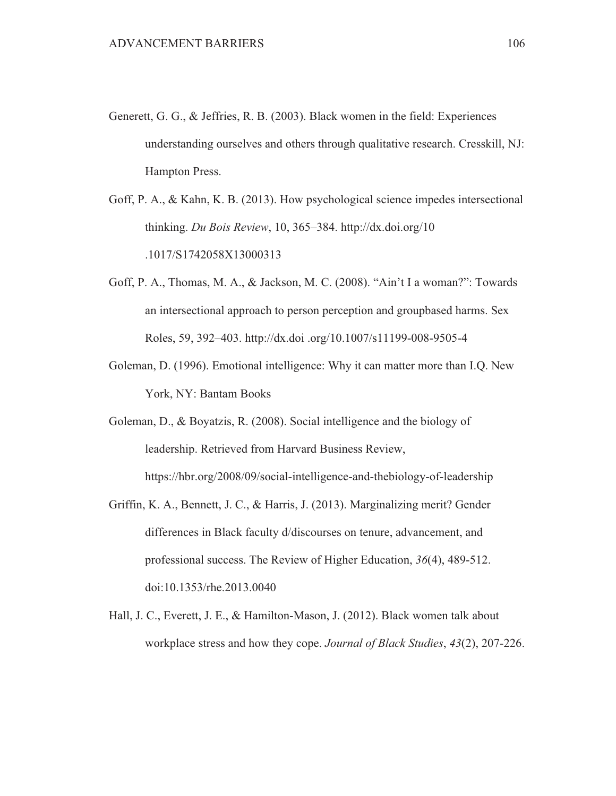- Generett, G. G., & Jeffries, R. B. (2003). Black women in the field: Experiences understanding ourselves and others through qualitative research. Cresskill, NJ: Hampton Press.
- Goff, P. A., & Kahn, K. B. (2013). How psychological science impedes intersectional thinking. Du Bois Review, 10, 365–384. http://dx.doi.org/10 .1017/S1742058X13000313
- Goff, P. A., Thomas, M. A., & Jackson, M. C. (2008). "Ain't I a woman?": Towards an intersectional approach to person perception and groupbased harms. Sex Roles, 59, 392-403. http://dx.doi.org/10.1007/s11199-008-9505-4
- Goleman, D. (1996). Emotional intelligence: Why it can matter more than I.Q. New York, NY: Bantam Books
- Goleman, D., & Boyatzis, R. (2008). Social intelligence and the biology of leadership. Retrieved from Harvard Business Review, https://hbr.org/2008/09/social-intelligence-and-thebiology-of-leadership
- Griffin, K. A., Bennett, J. C., & Harris, J. (2013). Marginalizing merit? Gender differences in Black faculty d/discourses on tenure, advancement, and professional success. The Review of Higher Education,  $36(4)$ ,  $489-512$ . doi:10.1353/rhe.2013.0040
- Hall, J. C., Everett, J. E., & Hamilton-Mason, J. (2012). Black women talk about workplace stress and how they cope. Journal of Black Studies, 43(2), 207-226.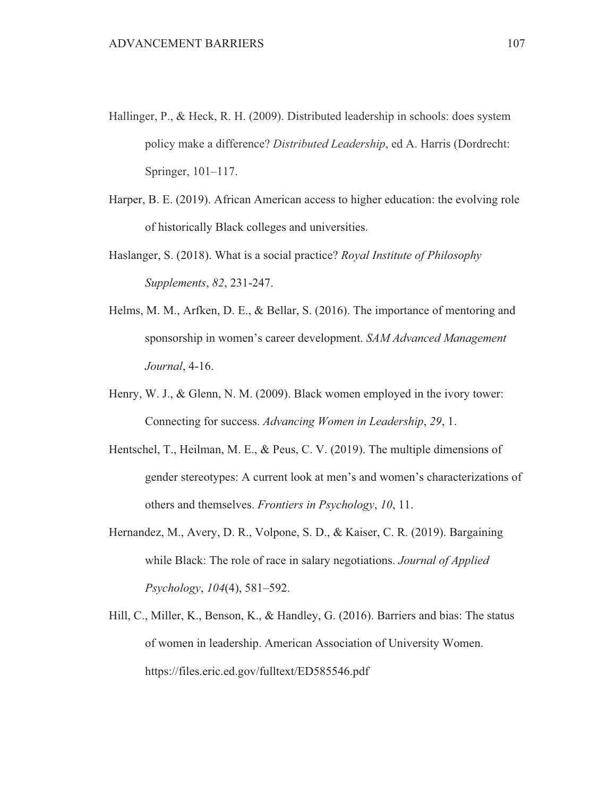- Hallinger, P., & Heck, R. H. (2009). Distributed leadership in schools: does system policy make a difference? Distributed Leadership, ed A. Harris (Dordrecht: Springer, 101-117.
- Harper, B. E. (2019). African American access to higher education: the evolving role of historically Black colleges and universities.
- Haslanger, S. (2018). What is a social practice? Royal Institute of Philosophy Supplements, 82, 231-247.
- Helms, M. M., Arfken, D. E., & Bellar, S. (2016). The importance of mentoring and sponsorship in women's career development. SAM Advanced Management Journal, 4-16.
- Henry, W. J., & Glenn, N. M. (2009). Black women employed in the ivory tower: Connecting for success. Advancing Women in Leadership, 29, 1.
- Hentschel, T., Heilman, M. E., & Peus, C. V. (2019). The multiple dimensions of gender stereotypes: A current look at men's and women's characterizations of others and themselves. *Frontiers in Psychology*, 10, 11.
- Hernandez, M., Avery, D. R., Volpone, S. D., & Kaiser, C. R. (2019). Bargaining while Black: The role of race in salary negotiations. Journal of Applied Psychology, 104(4), 581-592.
- Hill, C., Miller, K., Benson, K., & Handley, G. (2016). Barriers and bias: The status of women in leadership. American Association of University Women. https://files.eric.ed.gov/fulltext/ED585546.pdf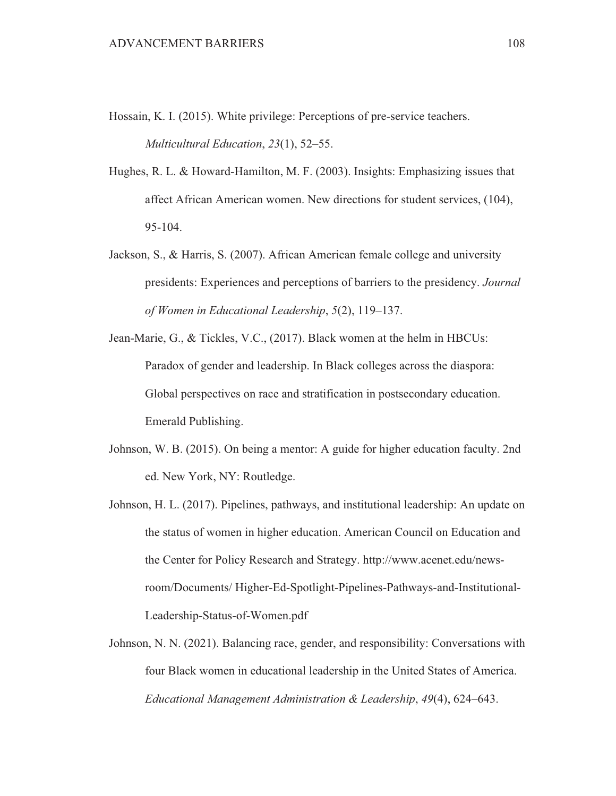- Hossain, K. I. (2015). White privilege: Perceptions of pre-service teachers. Multicultural Education, 23(1), 52-55.
- Hughes, R. L. & Howard-Hamilton, M. F. (2003). Insights: Emphasizing issues that affect African American women. New directions for student services, (104), 95-104.
- Jackson, S., & Harris, S. (2007). African American female college and university presidents: Experiences and perceptions of barriers to the presidency. Journal of Women in Educational Leadership, 5(2), 119–137.
- Jean-Marie, G., & Tickles, V.C., (2017). Black women at the helm in HBCUs: Paradox of gender and leadership. In Black colleges across the diaspora: Global perspectives on race and stratification in postsecondary education. Emerald Publishing.
- Johnson, W. B. (2015). On being a mentor: A guide for higher education faculty. 2nd ed. New York, NY: Routledge.
- Johnson, H. L. (2017). Pipelines, pathways, and institutional leadership: An update on the status of women in higher education. American Council on Education and the Center for Policy Research and Strategy. http://www.acenet.edu/newsroom/Documents/Higher-Ed-Spotlight-Pipelines-Pathways-and-Institutional-Leadership-Status-of-Women.pdf
- Johnson, N. N. (2021). Balancing race, gender, and responsibility: Conversations with four Black women in educational leadership in the United States of America. Educational Management Administration & Leadership, 49(4), 624–643.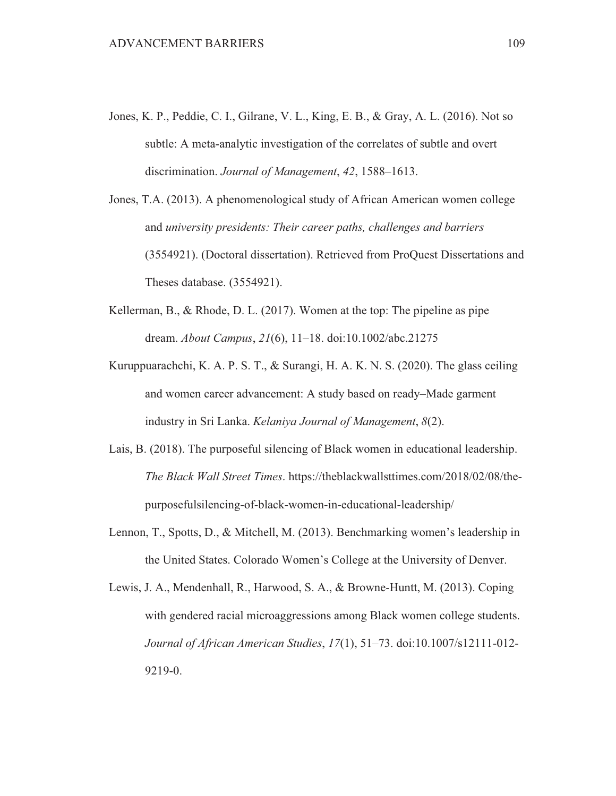- Jones, K. P., Peddie, C. I., Gilrane, V. L., King, E. B., & Gray, A. L. (2016). Not so subtle: A meta-analytic investigation of the correlates of subtle and overt discrimination. Journal of Management, 42, 1588-1613.
- Jones, T.A. (2013). A phenomenological study of African American women college and university presidents: Their career paths, challenges and barriers (3554921). (Doctoral dissertation). Retrieved from ProQuest Dissertations and Theses database. (3554921).
- Kellerman, B., & Rhode, D. L. (2017). Women at the top: The pipeline as pipe dream. *About Campus, 21(6), 11–18, doi:10.1002/abc.21275*
- Kuruppuarachchi, K. A. P. S. T., & Surangi, H. A. K. N. S. (2020). The glass ceiling and women career advancement: A study based on ready-Made garment industry in Sri Lanka. Kelaniya Journal of Management, 8(2).
- Lais, B. (2018). The purposeful silencing of Black women in educational leadership. The Black Wall Street Times, https://theblackwallsttimes.com/2018/02/08/thepurposefulsilencing-of-black-women-in-educational-leadership/
- Lennon, T., Spotts, D., & Mitchell, M. (2013). Benchmarking women's leadership in the United States. Colorado Women's College at the University of Denver.
- Lewis, J. A., Mendenhall, R., Harwood, S. A., & Browne-Huntt, M. (2013). Coping with gendered racial microaggressions among Black women college students. Journal of African American Studies, 17(1), 51-73. doi:10.1007/s12111-012-9219-0.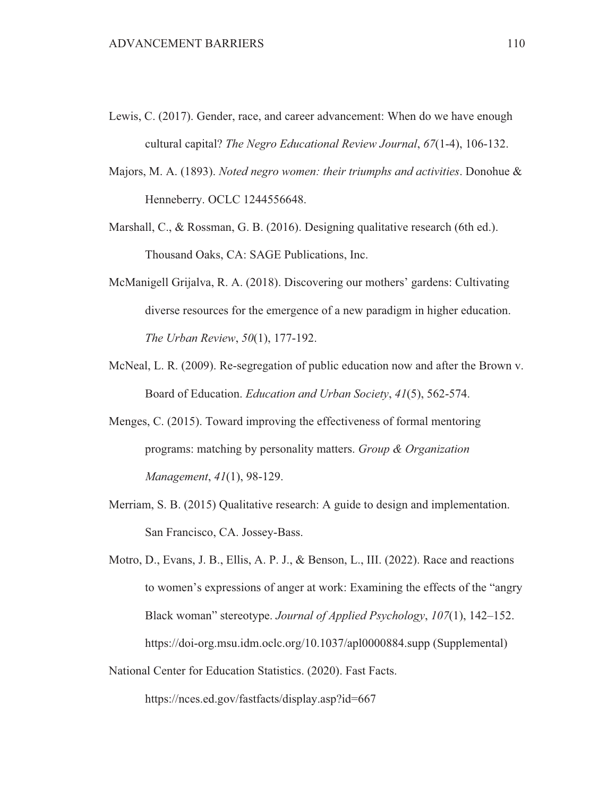- Lewis, C. (2017). Gender, race, and career advancement: When do we have enough cultural capital? The Negro Educational Review Journal, 67(1-4), 106-132.
- Majors, M. A. (1893). Noted negro women: their triumphs and activities. Donohue & Henneberry. OCLC 1244556648.
- Marshall, C., & Rossman, G. B. (2016). Designing qualitative research (6th ed.). Thousand Oaks, CA: SAGE Publications, Inc.
- McManigell Grijalva, R. A. (2018). Discovering our mothers' gardens: Cultivating diverse resources for the emergence of a new paradigm in higher education. The Urban Review, 50(1), 177-192.
- McNeal, L. R. (2009). Re-segregation of public education now and after the Brown v. Board of Education. Education and Urban Society, 41(5), 562-574.
- Menges, C. (2015). Toward improving the effectiveness of formal mentoring programs: matching by personality matters. Group & Organization Management, 41(1), 98-129.
- Merriam, S. B. (2015) Qualitative research: A guide to design and implementation. San Francisco, CA. Jossey-Bass.
- Motro, D., Evans, J. B., Ellis, A. P. J., & Benson, L., III. (2022). Race and reactions to women's expressions of anger at work: Examining the effects of the "angry" Black woman" stereotype. Journal of Applied Psychology, 107(1), 142–152. https://doi-org.msu.idm.oclc.org/10.1037/apl0000884.supp (Supplemental)
- National Center for Education Statistics. (2020). Fast Facts.

https://nces.ed.gov/fastfacts/display.asp?id=667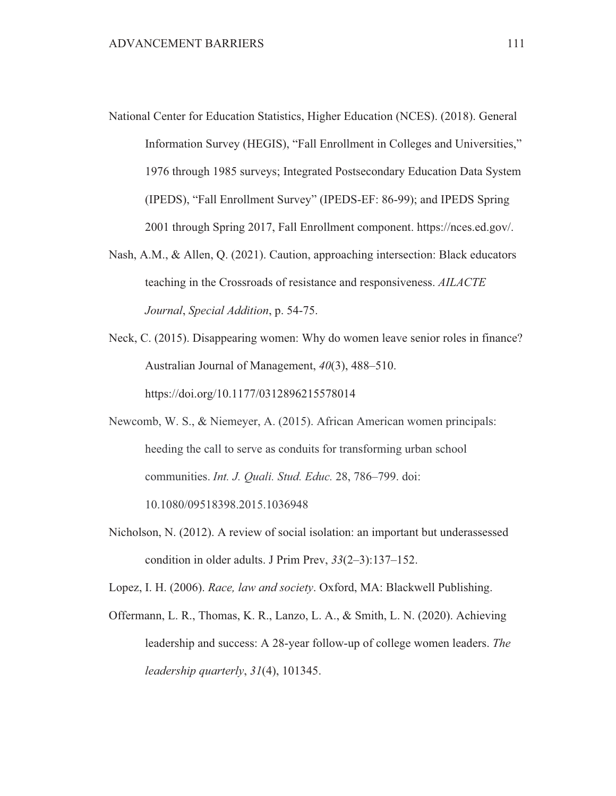- National Center for Education Statistics, Higher Education (NCES). (2018). General Information Survey (HEGIS), "Fall Enrollment in Colleges and Universities," 1976 through 1985 surveys; Integrated Postsecondary Education Data System (IPEDS), "Fall Enrollment Survey" (IPEDS-EF: 86-99); and IPEDS Spring 2001 through Spring 2017, Fall Enrollment component. https://nces.ed.gov/.
- Nash, A.M., & Allen, Q. (2021). Caution, approaching intersection: Black educators teaching in the Crossroads of resistance and responsiveness. AILACTE Journal, Special Addition, p. 54-75.
- Neck, C. (2015). Disappearing women: Why do women leave senior roles in finance? Australian Journal of Management,  $40(3)$ ,  $488-510$ . https://doi.org/10.1177/0312896215578014
- Newcomb, W. S., & Niemeyer, A. (2015). African American women principals: heeding the call to serve as conduits for transforming urban school communities. Int. J. Quali. Stud. Educ. 28, 786-799. doi: 10.1080/09518398.2015.1036948
- Nicholson, N. (2012). A review of social isolation: an important but underassessed condition in older adults. J Prim Prev,  $33(2-3):137-152$ .

Lopez, I. H. (2006). Race, law and society. Oxford, MA: Blackwell Publishing.

Offermann, L. R., Thomas, K. R., Lanzo, L. A., & Smith, L. N. (2020). Achieving leadership and success: A 28-year follow-up of college women leaders. The leadership quarterly,  $31(4)$ , 101345.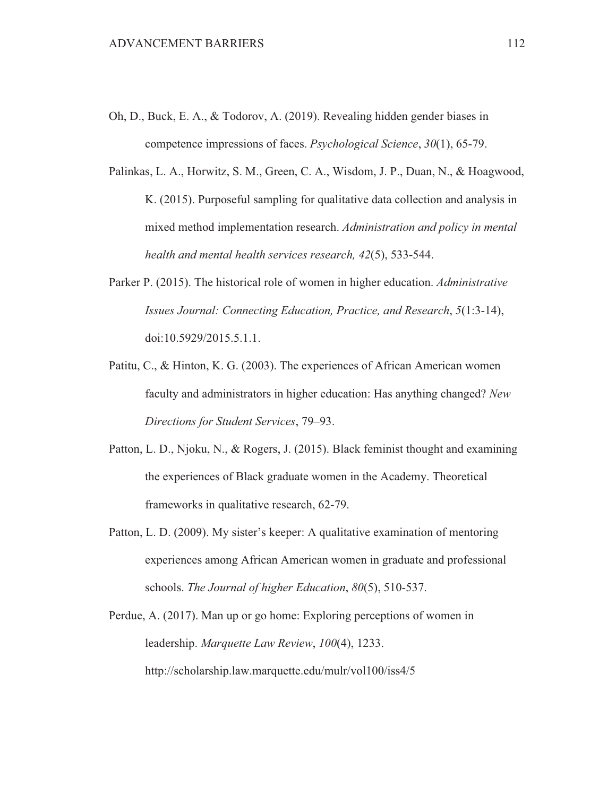- Oh, D., Buck, E. A., & Todorov, A. (2019). Revealing hidden gender biases in competence impressions of faces. *Psychological Science*, 30(1), 65-79.
- Palinkas, L. A., Horwitz, S. M., Green, C. A., Wisdom, J. P., Duan, N., & Hoagwood, K. (2015). Purposeful sampling for qualitative data collection and analysis in mixed method implementation research. Administration and policy in mental health and mental health services research, 42(5), 533-544.
- Parker P. (2015). The historical role of women in higher education. Administrative Issues Journal: Connecting Education, Practice, and Research, 5(1:3-14), doi:10.5929/2015.5.1.1.
- Patitu, C., & Hinton, K. G. (2003). The experiences of African American women faculty and administrators in higher education: Has anything changed? New Directions for Student Services, 79–93.
- Patton, L. D., Njoku, N., & Rogers, J. (2015). Black feminist thought and examining the experiences of Black graduate women in the Academy. Theoretical frameworks in qualitative research, 62-79.
- Patton, L. D. (2009). My sister's keeper: A qualitative examination of mentoring experiences among African American women in graduate and professional schools. The Journal of higher Education, 80(5), 510-537.
- Perdue, A. (2017). Man up or go home: Exploring perceptions of women in leadership. Marquette Law Review, 100(4), 1233. http://scholarship.law.marquette.edu/mulr/vol100/iss4/5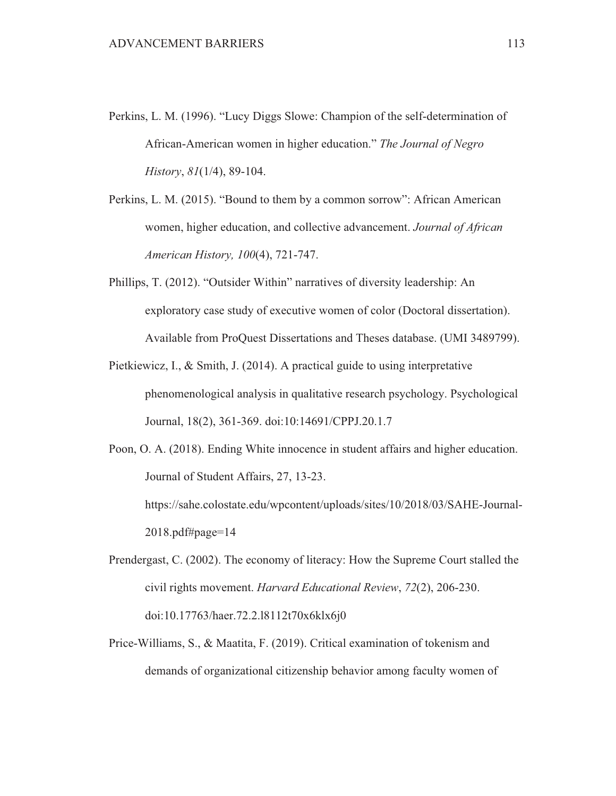Perkins, L. M. (1996). "Lucy Diggs Slowe: Champion of the self-determination of African-American women in higher education." The Journal of Negro History,  $81(1/4)$ , 89-104.

Perkins, L. M. (2015). "Bound to them by a common sorrow": African American women, higher education, and collective advancement. Journal of African American History, 100(4), 721-747.

- Phillips, T. (2012). "Outsider Within" narratives of diversity leadership: An exploratory case study of executive women of color (Doctoral dissertation). Available from ProQuest Dissertations and Theses database. (UMI 3489799).
- Pietkiewicz, I., & Smith, J. (2014). A practical guide to using interpretative phenomenological analysis in qualitative research psychology. Psychological Journal, 18(2), 361-369. doi:10:14691/CPPJ.20.1.7

Poon, O. A. (2018). Ending White innocence in student affairs and higher education. Journal of Student Affairs, 27, 13-23. https://sahe.colostate.edu/wpcontent/uploads/sites/10/2018/03/SAHE-Journal-

 $2018$ .pdf#page=14

- Prendergast, C. (2002). The economy of literacy: How the Supreme Court stalled the civil rights movement. Harvard Educational Review, 72(2), 206-230. doi:10.17763/haer.72.2.18112t70x6klx6j0
- Price-Williams, S., & Maatita, F. (2019). Critical examination of tokenism and demands of organizational citizenship behavior among faculty women of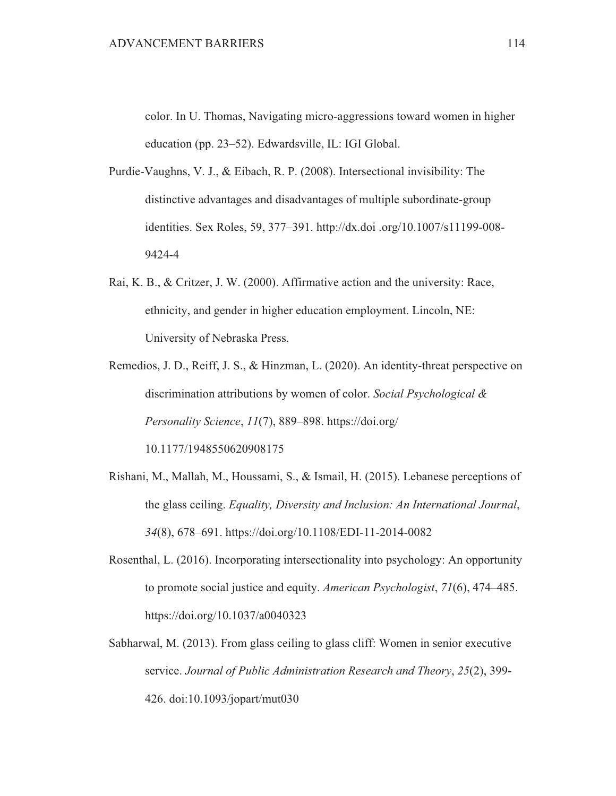color. In U. Thomas, Navigating micro-aggressions toward women in higher education (pp. 23–52). Edwardsville, IL: IGI Global.

- Purdie-Vaughns, V. J., & Eibach, R. P. (2008). Intersectional invisibility: The distinctive advantages and disadvantages of multiple subordinate-group identities. Sex Roles, 59, 377-391. http://dx.doi.org/10.1007/s11199-008-9424-4
- Rai, K. B., & Critzer, J. W. (2000). Affirmative action and the university: Race, ethnicity, and gender in higher education employment. Lincoln, NE: University of Nebraska Press.
- Remedios, J. D., Reiff, J. S., & Hinzman, L. (2020). An identity-threat perspective on discrimination attributions by women of color. Social Psychological & Personality Science, 11(7), 889–898. https://doi.org/ 10.1177/1948550620908175
- Rishani, M., Mallah, M., Houssami, S., & Ismail, H. (2015). Lebanese perceptions of the glass ceiling. Equality, Diversity and Inclusion: An International Journal, 34(8), 678–691. https://doi.org/10.1108/EDI-11-2014-0082
- Rosenthal, L. (2016). Incorporating intersectionality into psychology: An opportunity to promote social justice and equity. American Psychologist, 71(6), 474–485. https://doi.org/10.1037/a0040323
- Sabharwal, M. (2013). From glass ceiling to glass cliff: Women in senior executive service. Journal of Public Administration Research and Theory, 25(2), 399-426. doi:10.1093/jopart/mut030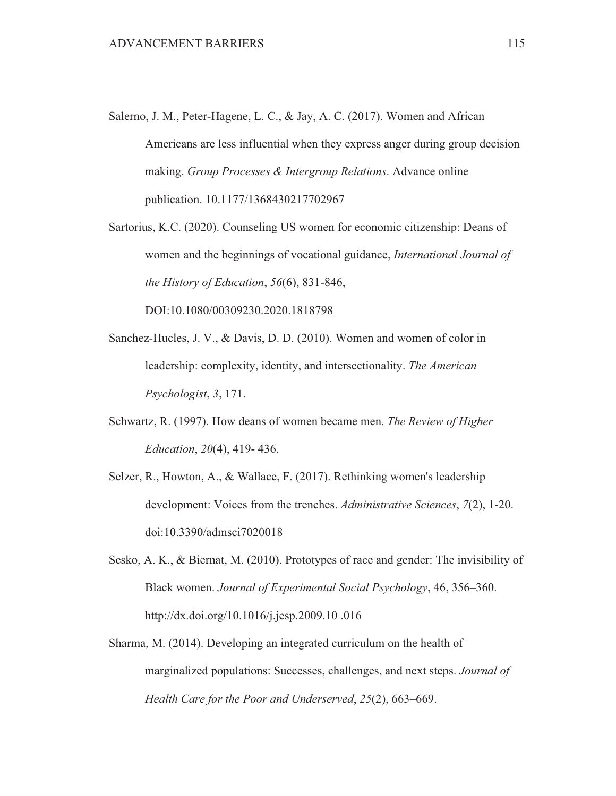- Salerno, J. M., Peter-Hagene, L. C., & Jay, A. C. (2017). Women and African Americans are less influential when they express anger during group decision making. Group Processes & Intergroup Relations. Advance online publication. 10.1177/1368430217702967
- Sartorius, K.C. (2020). Counseling US women for economic citizenship: Deans of women and the beginnings of vocational guidance, *International Journal of* the History of Education,  $56(6)$ , 831-846,

DOI:10.1080/00309230.2020.1818798

- Sanchez-Hucles, J. V., & Davis, D. D. (2010). Women and women of color in leadership: complexity, identity, and intersectionality. The American Psychologist, 3, 171.
- Schwartz, R. (1997). How deans of women became men. The Review of Higher *Education, 20(4), 419-436.*
- Selzer, R., Howton, A., & Wallace, F. (2017). Rethinking women's leadership development: Voices from the trenches. Administrative Sciences, 7(2), 1-20. doi:10.3390/admsci7020018
- Sesko, A. K., & Biernat, M. (2010). Prototypes of race and gender: The invisibility of Black women. Journal of Experimental Social Psychology, 46, 356–360. http://dx.doi.org/10.1016/j.jesp.2009.10.016
- Sharma, M. (2014). Developing an integrated curriculum on the health of marginalized populations: Successes, challenges, and next steps. Journal of Health Care for the Poor and Underserved, 25(2), 663–669.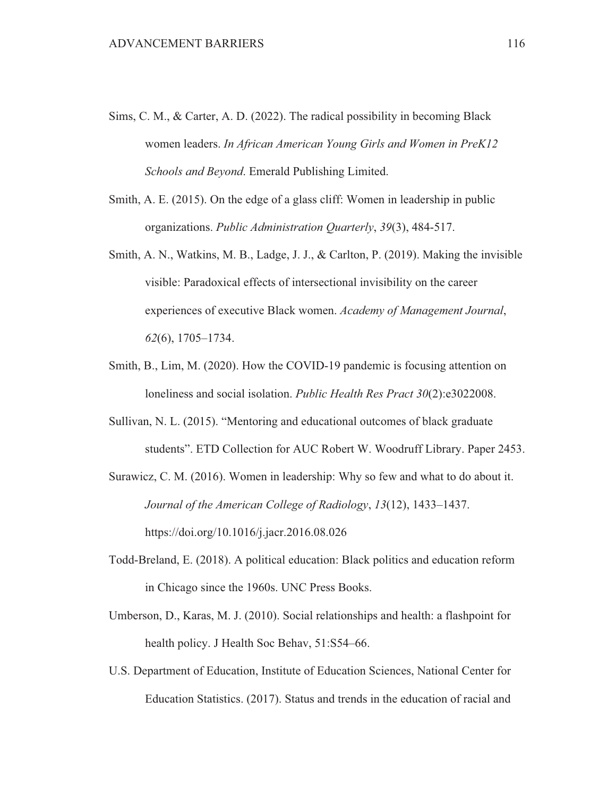- Sims, C. M., & Carter, A. D. (2022). The radical possibility in becoming Black women leaders. In African American Young Girls and Women in PreK12 Schools and Beyond. Emerald Publishing Limited.
- Smith, A. E. (2015). On the edge of a glass cliff: Women in leadership in public organizations. Public Administration Quarterly, 39(3), 484-517.
- Smith, A. N., Watkins, M. B., Ladge, J. J., & Carlton, P. (2019). Making the invisible visible: Paradoxical effects of intersectional invisibility on the career experiences of executive Black women. Academy of Management Journal,  $62(6)$ , 1705-1734.
- Smith, B., Lim, M. (2020). How the COVID-19 pandemic is focusing attention on loneliness and social isolation. Public Health Res Pract 30(2):e3022008.
- Sullivan, N. L. (2015). "Mentoring and educational outcomes of black graduate students". ETD Collection for AUC Robert W. Woodruff Library. Paper 2453.
- Surawicz, C. M. (2016). Women in leadership: Why so few and what to do about it. Journal of the American College of Radiology, 13(12), 1433-1437. https://doi.org/10.1016/j.jacr.2016.08.026
- Todd-Breland, E. (2018). A political education: Black politics and education reform in Chicago since the 1960s. UNC Press Books.
- Umberson, D., Karas, M. J. (2010). Social relationships and health: a flashpoint for health policy. J Health Soc Behav, 51:S54–66.
- U.S. Department of Education, Institute of Education Sciences, National Center for Education Statistics. (2017). Status and trends in the education of racial and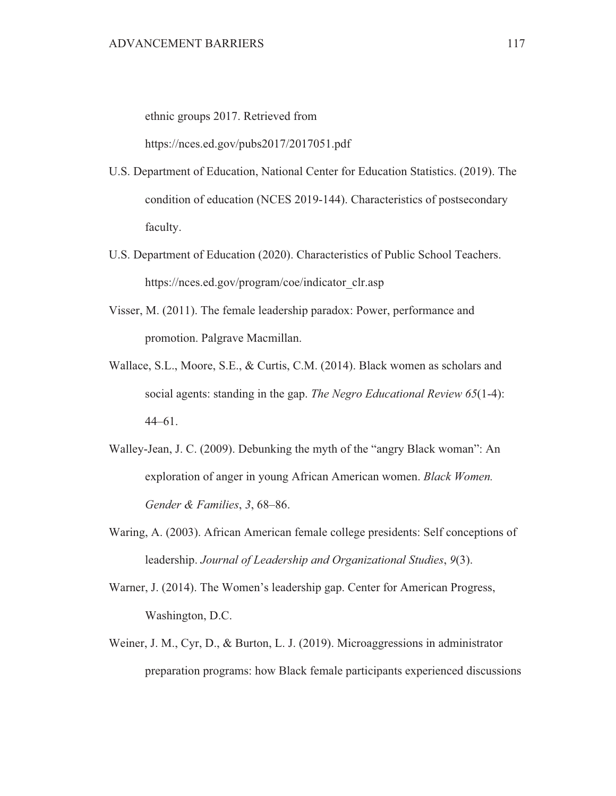ethnic groups 2017. Retrieved from

https://nces.ed.gov/pubs2017/2017051.pdf

- U.S. Department of Education, National Center for Education Statistics. (2019). The condition of education (NCES 2019-144). Characteristics of postsecondary faculty.
- U.S. Department of Education (2020). Characteristics of Public School Teachers. https://nces.ed.gov/program/coe/indicator clr.asp
- Visser, M. (2011). The female leadership paradox: Power, performance and promotion. Palgrave Macmillan.
- Wallace, S.L., Moore, S.E., & Curtis, C.M. (2014). Black women as scholars and social agents: standing in the gap. The Negro Educational Review  $65(1-4)$ :  $44 - 61$ .
- Walley-Jean, J. C. (2009). Debunking the myth of the "angry Black woman": An exploration of anger in young African American women. Black Women. Gender & Families, 3, 68-86.
- Waring, A. (2003). African American female college presidents: Self conceptions of leadership. Journal of Leadership and Organizational Studies, 9(3).
- Warner, J. (2014). The Women's leadership gap. Center for American Progress, Washington, D.C.
- Weiner, J. M., Cyr, D., & Burton, L. J. (2019). Microaggressions in administrator preparation programs: how Black female participants experienced discussions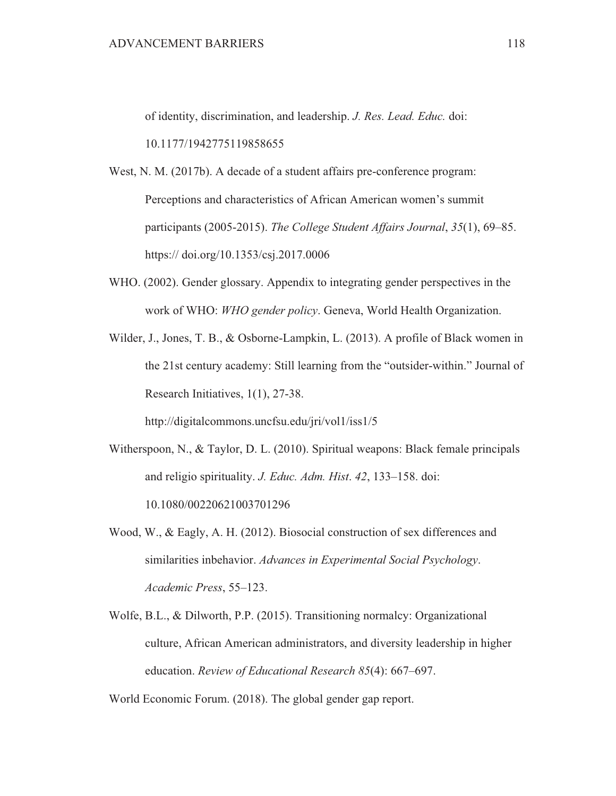of identity, discrimination, and leadership. J. Res. Lead. Educ. doi:

10.1177/1942775119858655

- West, N. M. (2017b). A decade of a student affairs pre-conference program: Perceptions and characteristics of African American women's summit participants (2005-2015). The College Student Affairs Journal, 35(1), 69–85. https:// doi.org/10.1353/csj.2017.0006
- WHO. (2002). Gender glossary. Appendix to integrating gender perspectives in the work of WHO: WHO gender policy. Geneva, World Health Organization.
- Wilder, J., Jones, T. B., & Osborne-Lampkin, L. (2013). A profile of Black women in the 21st century academy: Still learning from the "outsider-within." Journal of Research Initiatives, 1(1), 27-38.

http://digitalcommons.uncfsu.edu/jri/vol1/iss1/5

- Witherspoon, N., & Taylor, D. L. (2010). Spiritual weapons: Black female principals and religio spirituality. J. Educ. Adm. Hist. 42, 133-158. doi: 10.1080/00220621003701296
- Wood, W., & Eagly, A. H.  $(2012)$ . Biosocial construction of sex differences and similarities inbehavior. Advances in Experimental Social Psychology. Academic Press, 55-123.
- Wolfe, B.L., & Dilworth, P.P. (2015). Transitioning normalcy: Organizational culture, African American administrators, and diversity leadership in higher education. Review of Educational Research 85(4): 667–697.

World Economic Forum. (2018). The global gender gap report.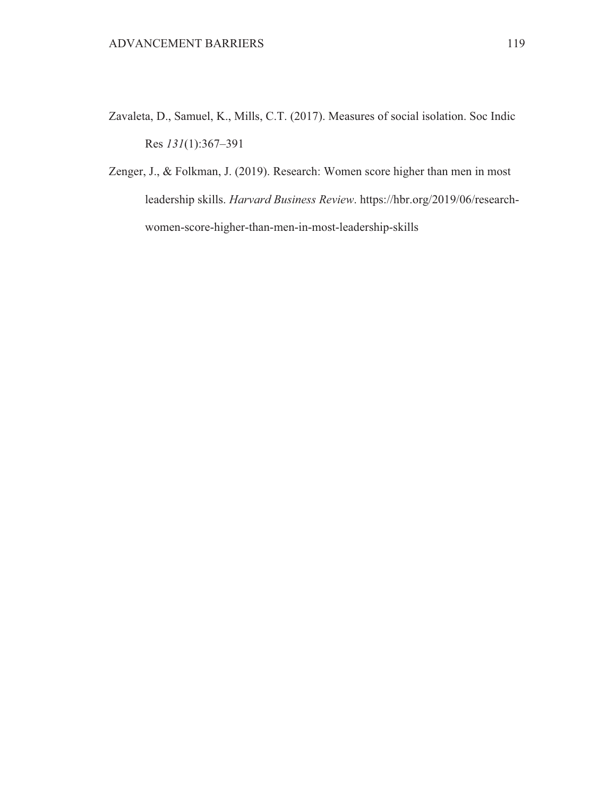- Zavaleta, D., Samuel, K., Mills, C.T. (2017). Measures of social isolation. Soc Indic Res  $131(1):367-391$
- Zenger, J., & Folkman, J. (2019). Research: Women score higher than men in most leadership skills. Harvard Business Review. https://hbr.org/2019/06/researchwomen-score-higher-than-men-in-most-leadership-skills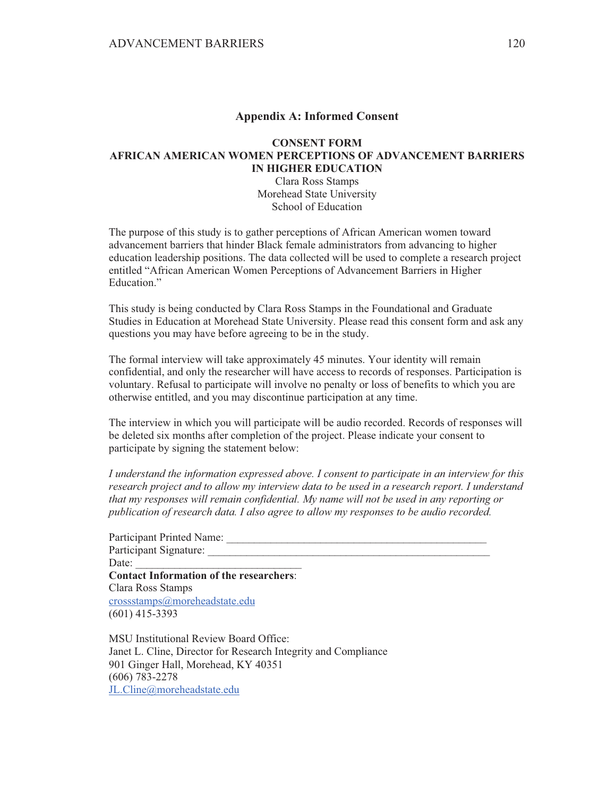### **Appendix A: Informed Consent**

### **CONSENT FORM AFRICAN AMERICAN WOMEN PERCEPTIONS OF ADVANCEMENT BARRIERS IN HIGHER EDUCATION**

Clara Ross Stamps Morehead State University School of Education

The purpose of this study is to gather perceptions of African American women toward advancement barriers that hinder Black female administrators from advancing to higher education leadership positions. The data collected will be used to complete a research project entitled "African American Women Perceptions of Advancement Barriers in Higher Education."

This study is being conducted by Clara Ross Stamps in the Foundational and Graduate Studies in Education at Morehead State University. Please read this consent form and ask any questions you may have before agreeing to be in the study.

The formal interview will take approximately 45 minutes. Your identity will remain confidential, and only the researcher will have access to records of responses. Participation is voluntary. Refusal to participate will involve no penalty or loss of benefits to which you are otherwise entitled, and you may discontinue participation at any time.

The interview in which you will participate will be audio recorded. Records of responses will be deleted six months after completion of the project. Please indicate your consent to participate by signing the statement below:

*I* understand the information expressed above. I consent to participate in an interview for this *research proiect and to allow my interview data to be used in a research report. I understand Ihat my responses will remain confidential. My name will not be used in any reporting or*  $\overline{a}$  *Dublication of research data. I also agree to allow my responses to be audio recorded.* 

| Participant Printed Name:                      |  |
|------------------------------------------------|--|
| Participant Signature:                         |  |
| Date:                                          |  |
| <b>Contact Information of the researchers:</b> |  |
| Clara Ross Stamps                              |  |
| crossstamps@moreheadstate.edu                  |  |
| $(601)$ 415-3393                               |  |
|                                                |  |

MSU Institutional Review Board Office: Janet L. Cline, Director for Research Integrity and Compliance 901 Ginger Hall, Morehead, KY 40351  $(606)$  783-2278 JL.Cline@moreheadstate.edu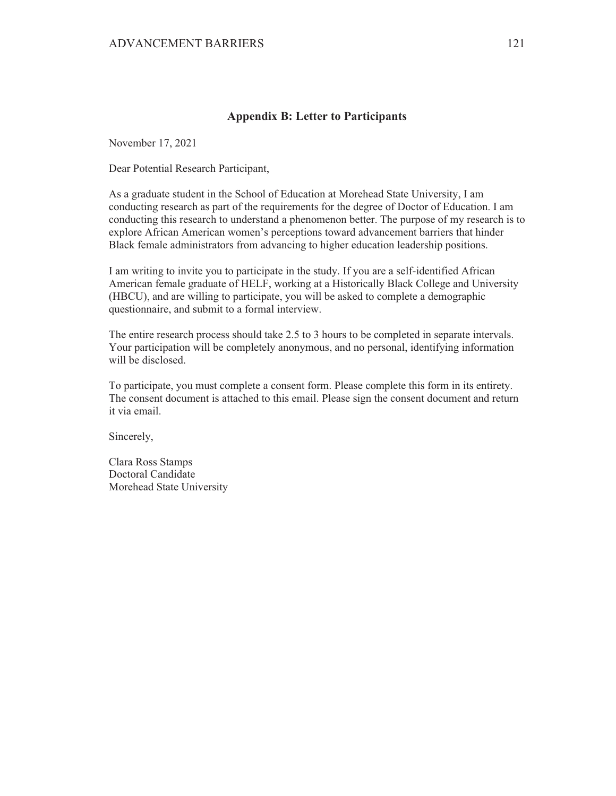### **Appendix B: Letter to Participants**

November 17, 2021

Dear Potential Research Participant,

As a graduate student in the School of Education at Morehead State University, I am conducting research as part of the requirements for the degree of Doctor of Education. I am conducting this research to understand a phenomenon better. The purpose of my research is to explore African American women's perceptions toward advancement barriers that hinder Black female administrators from advancing to higher education leadership positions.

I am writing to invite you to participate in the study. If you are a self-identified African American female graduate of HELF, working at a Historically Black College and University (HBCU), and are willing to participate, you will be asked to complete a demographic questionnaire, and submit to a formal interview.

The entire research process should take 2.5 to 3 hours to be completed in separate intervals. Your participation will be completely anonymous, and no personal, identifying information will be disclosed.

To participate, you must complete a consent form. Please complete this form in its entirety. The consent document is attached to this email. Please sign the consent document and return it via email.

Sincerely,

Clara Ross Stamps Doctoral Candidate Morehead State University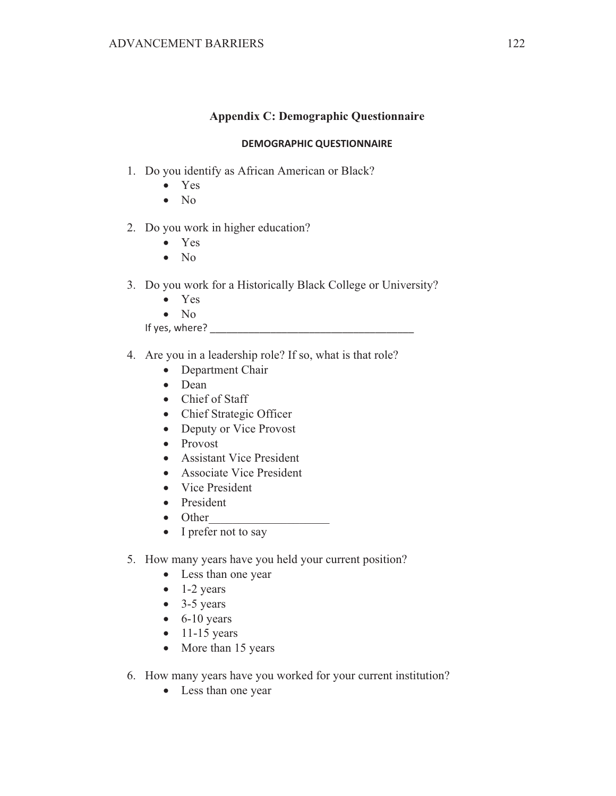### **Appendix C: Demographic Questionnaire**

#### **DEMOGRAPHIC QUESTIONNAIRE**

- 1. Do you identify as African American or Black?
	- $\bullet$  Yes
	- $\bullet$  No
- 2. Do you work in higher education?
	- Yes  $\bullet$
	- $\bullet$  No
- 3. Do you work for a Historically Black College or University?
	- $\bullet$  Yes
	- $\bullet$  No

If yes, where?

- 4. Are you in a leadership role? If so, what is that role?
	- Department Chair
	- $\bullet$  Dean
	- Chief of Staff
	- Chief Strategic Officer
	- Deputy or Vice Provost
	- Provost
	- Assistant Vice President
	- Associate Vice President
	- Vice President
	- President
	- $\bullet$  Other
	- $\bullet$  I prefer not to say
- 5. How many years have you held your current position?
	- Less than one year
	- $\bullet$  1-2 years
	- $\bullet$  3-5 years
	- $\bullet$  6-10 years
	- $\bullet$  11-15 years
	- More than 15 years
- 6. How many years have you worked for your current institution?
	- Less than one year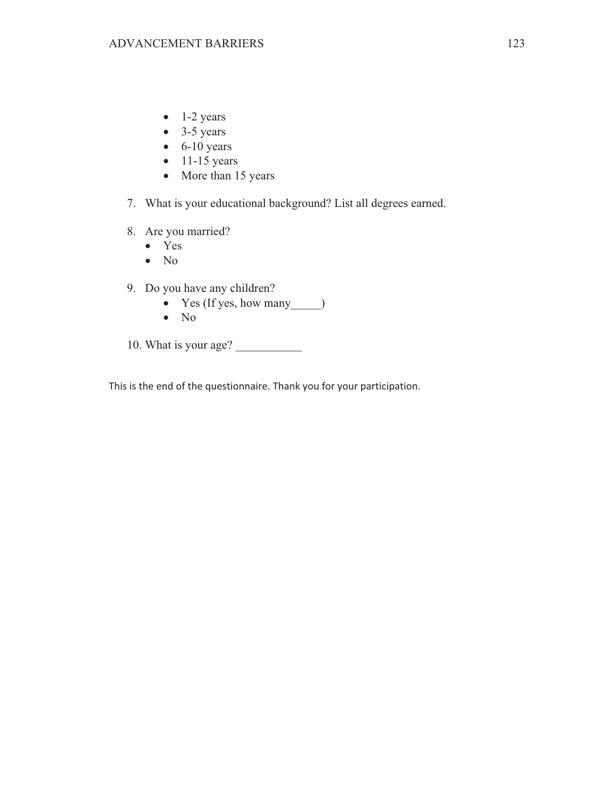- $\bullet$  1-2 years
- $\bullet$  3-5 years
- $\bullet$  6-10 years
- $\bullet$  11-15 years
- More than 15 years
- 7. What is your educational background? List all degrees earned.
- 8. Are you married?
	- $\bullet$  Yes
	- $\bullet$  No
- 9. Do you have any children?
	-
	- $\bullet$  No
- 10. What is your age?

This is the end of the questionnaire. Thank you for your participation.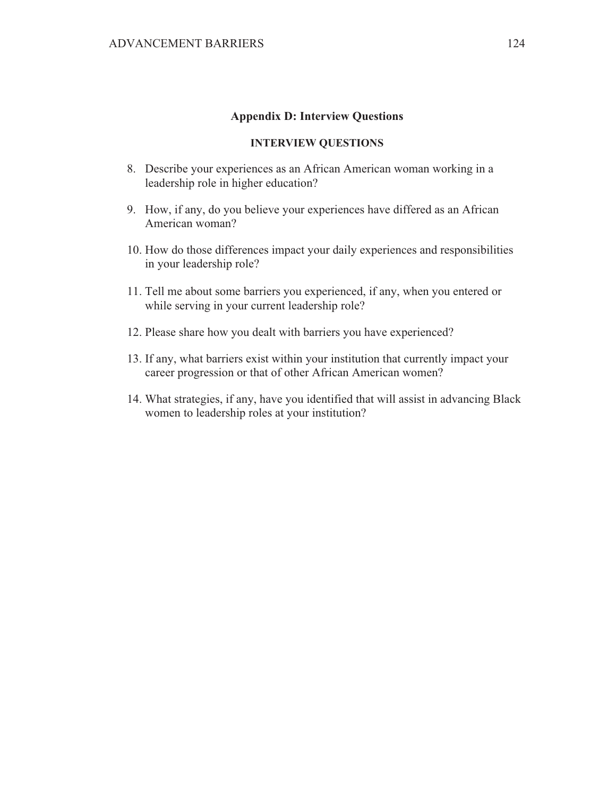#### **Appendix D: Interview Questions**

### **INTERVIEW QUESTIONS**

- 8. Describe your experiences as an African American woman working in a leadership role in higher education?
- 9. How, if any, do you believe your experiences have differed as an African American woman?
- 10. How do those differences impact your daily experiences and responsibilities in your leadership role?
- 11. Tell me about some barriers you experienced, if any, when you entered or while serving in your current leadership role?
- 12. Please share how you dealt with barriers you have experienced?
- 13. If any, what barriers exist within your institution that currently impact your career progression or that of other African American women?
- 14. What strategies, if any, have you identified that will assist in advancing Black women to leadership roles at your institution?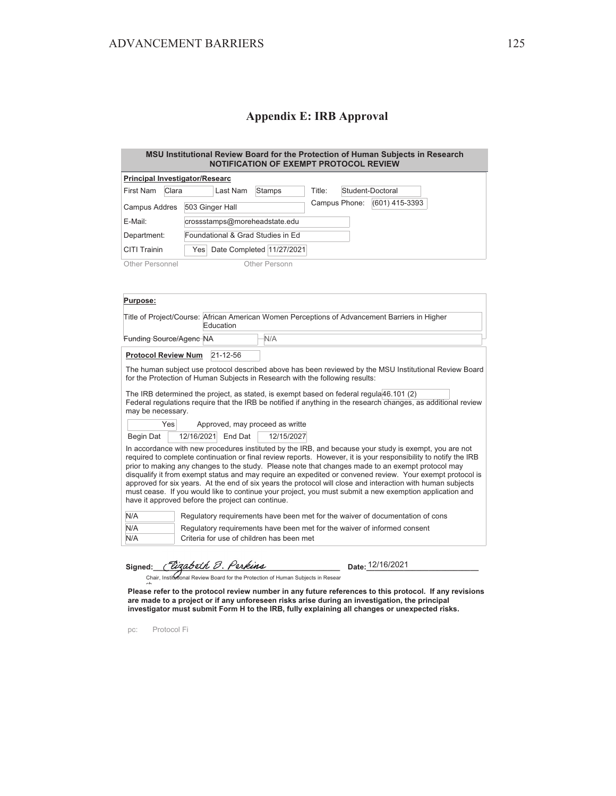# **Appendix E: IRB Approval**

| MSU Institutional Review Board for the Protection of Human Subjects in Research<br><b>NOTIFICATION OF EXEMPT PROTOCOL REVIEW</b>                                                                                                                                                                                                                                                                                                                                                                                                                                                                                                                                                                                           |                                                                                                            |                           |        |               |                  |  |
|----------------------------------------------------------------------------------------------------------------------------------------------------------------------------------------------------------------------------------------------------------------------------------------------------------------------------------------------------------------------------------------------------------------------------------------------------------------------------------------------------------------------------------------------------------------------------------------------------------------------------------------------------------------------------------------------------------------------------|------------------------------------------------------------------------------------------------------------|---------------------------|--------|---------------|------------------|--|
| <b>Principal Investigator/Researc</b>                                                                                                                                                                                                                                                                                                                                                                                                                                                                                                                                                                                                                                                                                      |                                                                                                            |                           |        |               |                  |  |
| <b>First Nam</b><br>Clara                                                                                                                                                                                                                                                                                                                                                                                                                                                                                                                                                                                                                                                                                                  | Last Nam                                                                                                   | Stamps                    | Title: |               | Student-Doctoral |  |
| Campus Addres                                                                                                                                                                                                                                                                                                                                                                                                                                                                                                                                                                                                                                                                                                              | 503 Ginger Hall                                                                                            |                           |        | Campus Phone: | (601) 415-3393   |  |
| E-Mail:                                                                                                                                                                                                                                                                                                                                                                                                                                                                                                                                                                                                                                                                                                                    | crossstamps@moreheadstate.edu                                                                              |                           |        |               |                  |  |
| Department:                                                                                                                                                                                                                                                                                                                                                                                                                                                                                                                                                                                                                                                                                                                | Foundational & Grad Studies in Ed                                                                          |                           |        |               |                  |  |
| CITI Trainin                                                                                                                                                                                                                                                                                                                                                                                                                                                                                                                                                                                                                                                                                                               | Yes                                                                                                        | Date Completed 11/27/2021 |        |               |                  |  |
| Other Personnel                                                                                                                                                                                                                                                                                                                                                                                                                                                                                                                                                                                                                                                                                                            |                                                                                                            | Other Personn             |        |               |                  |  |
|                                                                                                                                                                                                                                                                                                                                                                                                                                                                                                                                                                                                                                                                                                                            |                                                                                                            |                           |        |               |                  |  |
|                                                                                                                                                                                                                                                                                                                                                                                                                                                                                                                                                                                                                                                                                                                            |                                                                                                            |                           |        |               |                  |  |
| Purpose:                                                                                                                                                                                                                                                                                                                                                                                                                                                                                                                                                                                                                                                                                                                   |                                                                                                            |                           |        |               |                  |  |
|                                                                                                                                                                                                                                                                                                                                                                                                                                                                                                                                                                                                                                                                                                                            | Title of Project/Course: African American Women Perceptions of Advancement Barriers in Higher<br>Education |                           |        |               |                  |  |
| Funding Source/Agenc NA                                                                                                                                                                                                                                                                                                                                                                                                                                                                                                                                                                                                                                                                                                    |                                                                                                            | N/A                       |        |               |                  |  |
| <b>Protocol Review Num</b>                                                                                                                                                                                                                                                                                                                                                                                                                                                                                                                                                                                                                                                                                                 | 21-12-56                                                                                                   |                           |        |               |                  |  |
| The human subject use protocol described above has been reviewed by the MSU Institutional Review Board<br>for the Protection of Human Subjects in Research with the following results:                                                                                                                                                                                                                                                                                                                                                                                                                                                                                                                                     |                                                                                                            |                           |        |               |                  |  |
| The IRB determined the project, as stated, is exempt based on federal regula 46.101 (2)<br>Federal regulations require that the IRB be notified if anything in the research changes, as additional review<br>may be necessary.                                                                                                                                                                                                                                                                                                                                                                                                                                                                                             |                                                                                                            |                           |        |               |                  |  |
| Yes                                                                                                                                                                                                                                                                                                                                                                                                                                                                                                                                                                                                                                                                                                                        | Approved, may proceed as writte                                                                            |                           |        |               |                  |  |
| Begin Dat                                                                                                                                                                                                                                                                                                                                                                                                                                                                                                                                                                                                                                                                                                                  | 12/16/2021<br>End Dat                                                                                      | 12/15/2027                |        |               |                  |  |
| In accordance with new procedures instituted by the IRB, and because your study is exempt, you are not<br>required to complete continuation or final review reports. However, it is your responsibility to notify the IRB<br>prior to making any changes to the study. Please note that changes made to an exempt protocol may<br>disqualify it from exempt status and may require an expedited or convened review. Your exempt protocol is<br>approved for six years. At the end of six years the protocol will close and interaction with human subjects<br>must cease. If you would like to continue your project, you must submit a new exemption application and<br>have it approved before the project can continue. |                                                                                                            |                           |        |               |                  |  |
| N/A                                                                                                                                                                                                                                                                                                                                                                                                                                                                                                                                                                                                                                                                                                                        | Regulatory requirements have been met for the waiver of documentation of cons                              |                           |        |               |                  |  |
| N/A                                                                                                                                                                                                                                                                                                                                                                                                                                                                                                                                                                                                                                                                                                                        | Regulatory requirements have been met for the waiver of informed consent                                   |                           |        |               |                  |  |
| N/A                                                                                                                                                                                                                                                                                                                                                                                                                                                                                                                                                                                                                                                                                                                        | Criteria for use of children has been met                                                                  |                           |        |               |                  |  |
| Signed:                                                                                                                                                                                                                                                                                                                                                                                                                                                                                                                                                                                                                                                                                                                    | Pizabeth B. Perkins<br>Chair, Institutional Review Board for the Protection of Human Subjects in Resear    |                           |        |               | Date: 12/16/2021 |  |
| $\sim$                                                                                                                                                                                                                                                                                                                                                                                                                                                                                                                                                                                                                                                                                                                     |                                                                                                            |                           |        |               |                  |  |

**Please refer to the protocol review number in any future references to this protocol. If any revisions are made to a project or if any unforeseen risks arise during an investigation, the principal investigator must submit Form H to the IRB, fully explaining all changes or unexpected risks.**

pc: Protocol Fi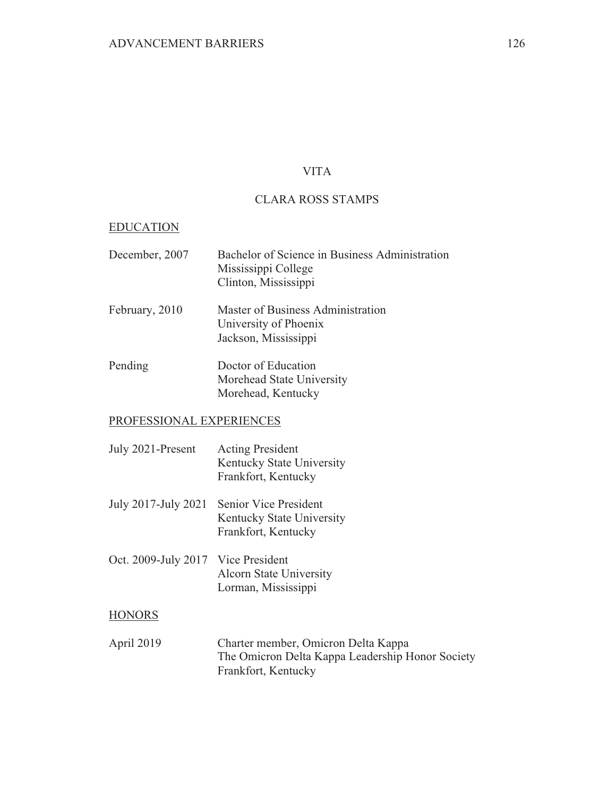# **VITA**

# **CLARA ROSS STAMPS**

### **EDUCATION**

| December, 2007 | Bachelor of Science in Business Administration<br>Mississippi College<br>Clinton, Mississippi |
|----------------|-----------------------------------------------------------------------------------------------|
| February, 2010 | Master of Business Administration<br>University of Phoenix<br>Jackson, Mississippi            |
| Pending        | Doctor of Education<br>Morehead State University<br>Morehead, Kentucky                        |

# PROFESSIONAL EXPERIENCES

| July 2021-Present                  | <b>Acting President</b><br>Kentucky State University<br>Frankfort, Kentucky                                    |
|------------------------------------|----------------------------------------------------------------------------------------------------------------|
| July 2017-July 2021                | Senior Vice President<br>Kentucky State University<br>Frankfort, Kentucky                                      |
| Oct. 2009-July 2017 Vice President | <b>Alcorn State University</b><br>Lorman, Mississippi                                                          |
| HONORS                             |                                                                                                                |
| April 2019                         | Charter member, Omicron Delta Kappa<br>The Omicron Delta Kappa Leadership Honor Society<br>Frankfort, Kentucky |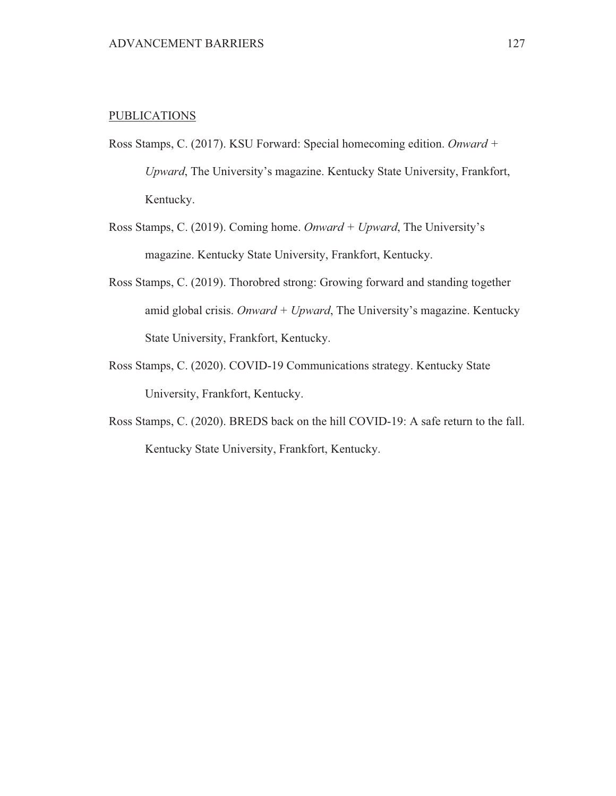### **PUBLICATIONS**

- Ross Stamps, C. (2017). KSU Forward: Special homecoming edition. Onward + Upward, The University's magazine. Kentucky State University, Frankfort, Kentucky.
- Ross Stamps, C. (2019). Coming home. Onward + Upward, The University's magazine. Kentucky State University, Frankfort, Kentucky.
- Ross Stamps, C. (2019). Thorobred strong: Growing forward and standing together amid global crisis. Onward + Upward, The University's magazine. Kentucky State University, Frankfort, Kentucky.
- Ross Stamps, C. (2020). COVID-19 Communications strategy. Kentucky State University, Frankfort, Kentucky.
- Ross Stamps, C. (2020). BREDS back on the hill COVID-19: A safe return to the fall. Kentucky State University, Frankfort, Kentucky.